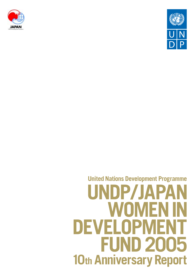



## **United Nations Development Programme** UNDP/JAPA **WHIME** DEVELOPN **FUND 2005** 10th Anniversary Report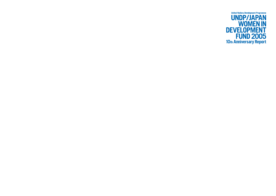**United Nations Development Programme** 

# UNDP/JAPAN<br>
WOMEN IN<br>
DEVELOPMENT<br>
FUND 2005<br>
10th Anniversary Report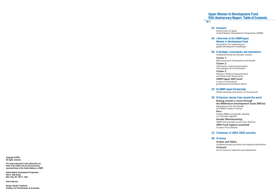|    | <b>02 Foreword</b><br>Government of Japan<br>United Nations Development Programme (UNDP)                                                                                                                                                                                                                                                                                                                                              |
|----|---------------------------------------------------------------------------------------------------------------------------------------------------------------------------------------------------------------------------------------------------------------------------------------------------------------------------------------------------------------------------------------------------------------------------------------|
|    | 04 I. Overview of the UNDP/Japan<br><b>Women in Development Fund:</b><br>Innovations for responding to<br>global development challenges                                                                                                                                                                                                                                                                                               |
| 06 | <b>II.Strategic investments and innovations:</b><br>Analytical review by thematic clusters<br><b>Cluster 1:</b><br>Macroeconomic Frameworks and Gender<br><b>Cluster 2:</b><br>Information and Communication<br>Technologies (ICT) and Gender<br><b>Cluster 3:</b><br><b>Women's Political Empowerment</b><br>and Democratic Governance<br><b>UNDP/Japan WID Fund:</b><br>A case of institutional<br>good practice and lessons learnt |
| 24 | <b>III. UNDP-Japan Partnership:</b><br>Global advocacy and actions on the ground                                                                                                                                                                                                                                                                                                                                                      |
| 26 | <b>IV. Success stories from around the world</b><br>Raising women's voices through<br>the Millennium Development Goals (MDGs):<br><b>Experiences from the Gender</b><br>and MDGs Project in Kenya<br>Peru:<br>Putting MDGs and gender equality<br>on the public agenda<br><b>Gender Mainstreaming:</b><br><b>UNDP links energies across Latin America</b><br><b>JWID Fund support sustained:</b><br>A report from Ukraine             |
|    | 32 V.Summary of 2004-2005 activities                                                                                                                                                                                                                                                                                                                                                                                                  |
| 48 | <b>VI.Annex</b><br><b>Graphs and Tables</b><br>Complete project portfolio and regional distribution                                                                                                                                                                                                                                                                                                                                   |

*Complete project portfolio and regional distribution* **Outreach** *List of resource materials and publications*

#### **Japan Women In Development Fund 10th Anniversary Report: Table of Contents**



**Copyright ©2005 All rights reserved.**

**The views expressed in this publication are those of the author and do not necessarily represent those of the United Nations or UNDP.**

**United Nations Development Programme 304 E. 45th Street New York, NY 10017, USA**

**www.undp.org**

**Design: Hanako Tomikawa Printing: Ten Print-Directors & Associates**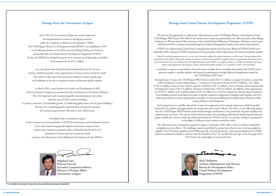Since 1995, the Government of Japan has actively supported the empowerment of women in developing countries under the "Initiative on Women in Development" (WID). The UNDP/Japan Women in Development Fund (JWIDF) was established in 1995 as a funding mechanism to the follow-up of the Beijing Platform for Action in partnership with the United Nations Development Programme (UNDP). To date, the JWIDF has funded 63 projects in 41 countries (as of September end 2005) in the amount of over \$15.1 million.

I am very pleased that this partnership has flourished over the ten years and has contributed greatly to the empowerment of many women around the world. You will see in this report that each project addresses country specific gaps and challenges in the aim to empower women and promote gender equality.

In March 2005, a new Initiative on Gender and Development (GAD) of the Government of Japan was announced at the Commission on the Status of Women. The GAD approach seeks to promote gender mainstreaming at every phase and every area of ODA activities including (1) poverty reduction, (2) sustainable growth, (3) addressing global issues, and (4) peace-building **\* 1** . We hope that combining gender mainstreaming with specific measures for women's empowerment will result in more effectiveness.

On behalf of the Government of Japan, I wish to express my sincere gratitude to UNDP for remaining a vital development partner in the work of promoting gender equality and women's empowerment. I believe that continued cooperative efforts will further benefit the lives of thousands of women and men around the world and hence the achievement of the Millennium Development Goals (MDGs).

#### **Message from the Government of Japan**

We welcome the opportunity to celebrate the 10th anniversary of the UNDP/Japan Women in Development Fund (UNDP/Japan WID Fund: 1995-2005) in the context of two major commemorations: the 10th anniversary of the Beijing Conference on Women and the fifth anniversary of the United Nations Millennium Declaration. Both have carved a powerful framework for a common international agenda towards reaching gender equality and women's empowerment.

UNDP's new Administrator, Kemal Dervis, during his first speech to the Executive Board of UNDP/UNFPA on 6 September 2005, reiterated UNDP's commitment to the promotion of the empowerment of women and gender equality:

I would like to express our gratitude to the Government of Japan for its invaluable partnership with UNDP and its generous support to gender equality and women's empowerment through dedicated programmes funded by the UNDP/Japan WID Fund.

During the past 10 years, the UNDP/Japan WID Fund invested US\$ 15.2 million to support 63 projects around the world including 45 country based projects – 16 projects in Asia and the Pacific (US\$ 3.8 million), 12 in Africa (US\$ 2.6 million), seven in Latin America and the Caribbean (US\$ 1.6 million), seven in Europe and Commonwealth of Independent States (US\$ 2.0 million), and three in Arab States (US\$ 0.6 million). In addition, three regional projects (US\$ 0.7 million) and 16 global projects (US\$ 3.9 million) have received support for a broad range of initiatives, from building women's leadership in Ecuador, to gender responsive budgeting in Mongolia and Uganda, and from enhancing women's economic opportunities in Jordan to institution building and strengthening in the post conflict setting of Bosnia and Herzegovina.

*"Critical to overall development success is, in my view, the need to address the gender dimension in all our work. Strong evidence from around the world confirms that gender equality accelerates overall economic growth, strengthens democratic governance and reduces poverty and insecurity. As we move forward with the implementation of the MDGs, it is important that we are fully committed to investing in policies and programmes that empower women and promote gender equality. It is a priority to which I am committed. "*

Each programme was carefully selected for its innovative approach and its strategic importance while being fully anchored in the realities and opportunities for change that each country offered. You will see in the following chapters how the UNDP/Japan WID Fund has made break-through contributions to the promotion of gender equality and empowerment of women. The success of this Fund has many facets including multi-lateral/ bilateral partnership and greater visibility for concrete results that demonstrate both the UNDP's and the Government of Japan's commitment to the plight of millions of poor women around the world.

The 10th Anniversary Symposium organized in Japan in November 2005 will be a time to celebrate and further strengthen our joint efforts. The challenges ahead are probably far greater than what we have so far accomplished together. The UN reform agenda and the MDGs provide new frameworks for a closer partnership between UNDP and the Government of Japan to advance what the founders of the UN inscribed 60 years ago, in the first page of the UN Charter: the equal rights of women and men.



#### **Message from United Nations Development Programme (UNDP)**

**\* <sup>1</sup> For complete document go to http://www.mofa.go.jp/policy/oda/category/wid/gad.html**



**Shigekazu Sato Director-General Economic Cooperation Bureau Ministry of Foreign Affairs Government of Japan**

**Shoji Nishimoto Assistant Administrator and Director Bureau for Development Policy United Nations Development Programme (UNDP)**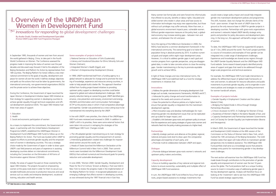Many women lost formal jobs and were forced into informal jobs that offered no security, benefits or labour rights. Educated and skilled women who reside in urban areas and have access to information technologies may enjoy new opportunities, but those without such privileges may suffer seriously. More than ever, a global economic environment impacts poor, vulnerable women. Without gender-responsive measures at the policy level, a globalized economy may increase existing gaps – between men and women, and between the rich and poor.

Since the signing of the Millennium Declaration in 2000, the MDGs have become a common development framework in the international community. The overarching goal is to halve the population living in absolute poverty by 2015. It outlines numerical goals and targets within eight major development areas. However, it is critical to address gender gaps in each goal and monitor progress from a gender perspective, using sex-disaggregated data, in order to take concrete actions to close the existing gaps. Gender mainstreaming is the key to promote equitable growth and to achieve MDGs.

In light of these changes and new international norms, the UNDP/Japan WID Fund redefined itself as a fund for strategic investments in initiatives that:

#### **Innovations**

❑Address the gender dimensions of emerging development challenges such as trade, macroeconomic frameworks, HIV/AIDS and ICT; ❑ Advocate for policy change and social transformation to respond to the needs and concerns of women;

❑ Have the potential to influence policies at a higher level to ensure that gender equality is integrated into the mainstream development agenda;

❑ Pilot innovative ways and develop methodologies for mainstreaming gender into development issues that can be replicated and up-scaled for larger impact; and

❑Establish a link between grass-roots and upstream policy to ensure that the experiences and coping strategies of grass-roots women and networks feed into the policy-making processes at a higher level;

#### **Partnerships**

❑ Identify strategic partners and alliances at the global, regional, national and grass-roots level to draw upon the comparative advantages and expertise of each party; and ❑ Promote multi-bi collaboration between UNDP and Japan;

#### **Dialogue**

❑ Promote dialogue between grass-roots women's networks and upstream policy makers and entities;

#### **Capacity development**

❑ Focus on building capacities of key national and regional institutions to ensure ownership, sustainability and multiplier effect of UNDP/Japan WID Fund assistance.

In sum, the UNDP/Japan WID Fund shifted its focus from grassroots, project-based assistance to strategic investments that

would create a larger policy impact and would help integrate gender into mainstream development policies and programmes. This shift, however, does not change the ultimate clients of the Fund – poor women. It kept the work of UNDP close to the ground as the only resource base in UNDP for gender projects in developing countries. Partnerships with grass-roots organizations and women's networks helped UNDP identify strategic entry points and priorities for policy discussions and development planning. In the long run, this approach will benefit a larger number of women.

To date, the UNDP/Japan WID Fund has supported 63 projects (as of 1 Oct, 2005) around the world. The Fund's project portfolio is a source of innovations and examples of how gender can be integrated into a wide range of development challenges. Experiences and knowledge are shared across regions through the UNDP Gender Equality Network and the UNDP/Japan WID Fund website. Some research-based projects identified priority areas of support and gaps that need to be addressed through larger-scale programmes and technical assistance.

For example, the UNDP/Japan WID Fund made interventions to address the differential impact of global trade frameworks on men and women; to advocate for resource allocations and public investments to promote gender equality; and to engender e-commerce policies and strategies to create an enabling environment for women handicraft artisans.

#### **Examples of projects include:**

❑ Gender Equality in Employment Creation and the Labour Market (Chile);

❑ Bridging the Digital Divide in Africa through Strategic Partnerships (Rwanda);

❑ China's Accession to WTO: A Challenge for Women (China); ❑ Awareness of Women's Rights in the Islamic Republic of Iran; and ❑ Capacity Development and Partnerships between Governments and Civil Society for Gender Equality Law Implementation (Bosnia and Herzegovina).

In March 2005, the Government of Japan launched the Gender and Development (GAD) Initiative at the 49th session of the Commission on the Status of Women held in New York, which marked the 10th anniversary of the Beijing Declaration. The GAD Initiative states that Japan will make efforts to mainstream gender perspectives into its bilateral assistance. The UNDP/Japan WID Fund portfolio shall serve as a knowledge source that presents strategic entry points for mainstreaming gender in key development challenges.

The next section will examine how the UNDP/Japan WID Fund has made break-through contributions to the promotion of gender equality and empowerment of women over the last 10 years across the globe. The Fund positions itself as a unique funding source to invest in innovative ways of addressing gender gaps in the key development agenda. Analysis will therefore focus on looking at the 'investment' side to see how the UNDP/Japan WID Fund has seized strategic opportunities.

In September 1995, thousands of women and men from around the world gathered in Beijing, China, to take part in the Fourth World Conference on Women. The Conference assessed the progress made in improving the status of women over the past decades and discussed ways forward. It led to the adoption of the Beijing Declaration and Platform for Action by representatives from 189 countries. The Beijing Platform for Action reflects a new international commitment to the goals of equality, development and peace for women all over the world. It defines strategic objectives and spells out the actions that must be taken by governments, the international community, non-governmental organizations (NGOs) and the private sector to achieve these objectives.

During the Conference, the Government of Japan launched the Japan Women in Development Initiative (Japan WID Initiative) as their strategy for supporting women in developing countries to achieve gender equality through technical cooperation and official development assistance (ODA). The Japan WID Initiative had three main areas of support:

#### **1.** Education

- **2.** Health
- **3.** Social and economic participation of women

As a means to implement the commitment, the Government of Japan, in partnership with the United Nations Development Programme (UNDP), established the UNDP/Japan Women in Development Fund (UNDP/Japan WID Fund) to follow-up on the Beijing Platform for Action. The Fund was located within UNDP to support its efforts to promote gender equality and the empowerment of women in developing countries. This was a strategic choice made by the Government of Japan in order to draw upon UNDP's vast field presence and years of experience in assisting developing countries deliver on international commitments, including the Convention on the Elimination of All Forms of Discrimination against Women (CEDAW).

Initially, the areas of support focused on those covered by the Japan WID Initiative. The projects focused on empowering women at the grass-roots level in order for them to secure sustainable livelihoods and access to productive resources and social services such as credits and enterprise development, vocational training, education and health services.

#### **Some examples of projects include:**

❑ National Seminar on Education of Girls (Guatemala); ❑ Literacy and Vocational Education for Ethnic Minority Girls and Women (Vietnam); ❑ Integrated Women's Health (Egypt); and

❑ Women's Entrepreneurship Development (Ghana).

In 1999, UNDP transformed itself from a funding agency to a global network to advocate for change and to promote the sharing of knowledge, experience and resources among countries, in order to help people build a better life. The approach therefore shifted from funding project-based initiatives to providing upstream policy support so developing countries could better respond to global and national development challenges. With poverty reduction being an overarching goal, UNDP identified governance, crisis prevention and recovery, environment and energy, HIV/AIDS and Information and Communication Technologies (ICT)**\* <sup>1</sup>** as the practice areas in which it had comparative advantage and expertise. Gender was positioned as a cross-cutting issue to be mainstreamed into everything done by the UNDP.

In line with UNDP's new priorities, the criteria of the UNDP/Japan WID Fund were reviewed and renewed in 2000. In addition to UNDP's shift in its priorities, there were some external factors that were taken into account in reshaping the strategies of the UNDP/Japan WID Fund. Changes include:

❑ The UN adopted gender mainstreaming as its main strategy for promoting gender equality and the empowerment of women; ❑ Intensifying globalization created new challenges for impoverished women around the world; and ❑ Heads of States launched the Millennium Declaration at the Millennium Summit held in New York in 2000. Their commitments were translated into the Millennium Development Goals (MDGs) that outlined numerical and time-bound goals for poverty reduction and sustainable development.

In June 2000, 'Women 2000: Gender Equality, Development and Peace for the 21st Century' (known as Beijing + Five) was held in New York to review the progress made in the implementation of the Beijing Platform for Action. It recognized globalization as an emerging challenge that affects women in developing countries, as was witnessed during the 1997 financial crisis in East Asia.

**\* <sup>1</sup> ICT later became a cross-cutting theme.**

# **I. Overview of the UNDP/Japan Women in Development Fund**

<sup>2</sup><sup>3<sup>2</sup> Innovations for responding to global development challenges</sup>

**By Asako Osaki, Gender and Development Specialist (Former UNDP/Japan WID Fund Programme Manager)**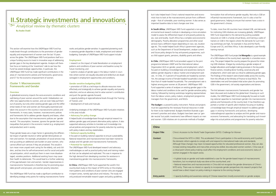## **II.Strategic investments and innovations**

 $\sqrt[6]{\infty}$  Analytical review by thematic clusters

This section will examine how the UNDP/Japan WID Fund has made break-through contributions to the promotion of gender equality and empowerment of women over the last 10 years across the globe. The UNDP/Japan WID Fund positions itself as a unique funding source to invest in innovative ways of addressing gender gaps in the key development agenda. Analysis will therefore focus on looking at the 'investment' side to see how the Fund has seized strategic opportunities. In particular, the UNDP/Japan WID Fund has made significant contributions in the areas of: macroeconomic policies and frameworks; governance; and ICT for the economic empowerment of women.

#### **Cluster 1: Macroeconomic Frameworks and Gender**

#### **Overview**

A globalized economy impacts the socio-economic conditions and well-being of poor women around the world. Globalization can offer new opportunities to women, and can even help pull them out of poverty, but only when existing gender gaps and the differential needs of men and women are thoroughly examined and taken into account in the country's macroeconomic policies and frameworks. In many cases, however, macroeconomic policies and frameworks fail to address gender disparity and biases, often due to the assumption that macroeconomic policies are 'gender neutral'. This assumption, however, ignores the gender bias and inequalities that persist in the economic market (e.g. employment and production) and in society.

- research on the impact of trade liberalization on employment patterns and conditions of poor women and baseline survey for future monitoring; and
- systemic analysis of gender gaps in the labour market in countries where women are equally educated and skilled but are disadvantaged in employment opportunities and conditions;

These gender biases are a major factor in generating the differential impact of gender-neutral or rather gender-blind policies on men and women. For example, privatization of social services may end up putting an additional care burden on poor women, who cannot afford such services if they are privatized. This would in turn mean more unpaid work caring for the elderly, sick and children, and less time for self-enhancement and for social and political participation, which would put them in even more disadvantaged, voiceless positions. Additional working hours may cause their health to deteriorate. This would lead to a further widening of the gap between men and women. Gender responsiveness in macroeconomic frameworks is therefore key for promoting equitable growth and pro-poor, pro-women poverty reduction.

The UNDP/Japan WID Fund has made a significant contribution to identifying strategic entry points for making macroeconomic frameworks and policies gender-sensitive. It supported pioneering work in assessing gender disparities in trade, employment and national budgeting. Examples of UNDP/Japan WID Fund support include:

#### **Employment**

#### **Gender sensitive budgeting (GSB)**

- promotion of GSB as a technique to allocate resources more effectively and strategically to achieve gender equality and poverty reduction; and as an advocacy tool to value women's contribution and push the gender agenda forward;
- capacity-building at regional/national levels through the Training of Trainers; and
- development of tools and manuals.

Underlying strategies of the UNDP/Japan WID Fund pilot initiatives in this area include:

• **Advocacy for policy change**

It helped build a knowledge-base through empirical research to address gender gaps and present alternative policy options. It also supported advocacy activities to translate such knowledge into actual policies and programmes for poverty reduction by working with policy-makers and key stakeholders.

• **National capacity-building**

It focused on building national capacities to ensure sustainability. National researchers and macroeconomists have been trained to analyse and link gender and macroeconomic frameworks. • **Potential for replication**

The UNDP/Japan WID Fund developed research and advocacy methodologies as well as practical policy tools and training materials that can be adopted and replicated. This was in response to the high demand from developing countries for assistance in mainstreaming gender into macroeconomic frameworks.

**In China**, UNDP/Japan WID Fund supported the world's first country-level study on the impact of WTO entry on the employment patterns and conditions of poor women who are engaged in export zones, namely agriculture and industry. The study not only produced remarkable research paper and policy guidelines,

but it also helped teach China's national researchers and economists how to look at the macroeconomic picture from a different angle – that of vulnerable, poor working women. It also serves as important baseline data to track changes over time.

**In South Africa**, UNDP/Japan WID Fund supported a non-governmental local research institute in developing a micro-simulation model to assess the differential impact of anti-poverty policies by sex, race and locality. South Africa has a complex socio-economic demography. Poverty alleviation programmes and other social services have a different impact depending on race, sex, location age etc. This model helped South Africa's government agencies, such as the Department of Social Development, analyse current and future policy designs for key anti-poverty programmes, such as child support grants, pensions, disability grants and others.

**In Chile**, UNDP/Japan WID Fund provided support to the joint programme between UNDP and the International Labour Organization (ILO) on gender, poverty and employment, which focused on building a knowledge-base and awareness-raising to address gender disparity in labour market and employment policies. In Chile, 31.5 percent of households are headed by women. Yet, the average income of female-headed households is lower than that of made-headed households. The unemployment rate is highest among poor women at 28 percent. UNDP/Japan WID Fund supported a series of analyses on existing gender gaps in the labour market and conditions to be used for gender-sensitive policy making, followed by training workshops targeting representatives from the labour unions, policy makers, employment programme managers from the government, and NGOs.

**The budget** is a powerful policy instrument. Policies and projects must be supported by the necessary financial resources in order for them to be implemented. Budgets therefore illustrate a government's priorities and values. Budgets have been seen as 'gender neutral' but public investments have different impacts on men and women. GSB initiatives aim to promote methods of budget

| China                 |                                                                                                                                                                                                                                                                              |
|-----------------------|------------------------------------------------------------------------------------------------------------------------------------------------------------------------------------------------------------------------------------------------------------------------------|
| <b>Project Title:</b> | China's Accession to the World Trade Orga                                                                                                                                                                                                                                    |
| Context:              | China entered the WTO in 2002. This accele<br>the domestic reform agenda to comply with<br>Although these changes may mean increase<br>increase existing inequalities and insecurities<br>a critical point where policy-making could a<br>women engaged in the export zones. |
| Gaps:                 | • A global study on gender and trade estab<br>transitions, but no empirical study was done<br>• National researchers and macroeconomist<br>WTO entry. There was no interest or capaci<br>would have a direct impact on policy-makin                                          |
| <b>Entry points:</b>  | • Capacity-building and awareness-raising of                                                                                                                                                                                                                                 |
|                       |                                                                                                                                                                                                                                                                              |

formulation that will enhance gender equality. Not only is GSB an influential macroeconomic framework, but it is also a tool for good governance, helping to ensure that women have a voice in the government's choices.

To date, more than 60 countries have initiated GSB, and demands for instituting GSB initiatives are increasing globally. UNDP/Japan WID Fund responded to this demand by putting available resources on GSB in a handy virtual library, and training a cadre of trainers on GSB in the regions where the demands for such training workshops are high, for example in Asia and the Pacific, Europe and CIS, and West Africa. It also developed a user-friendly training manual.

The UNDP/Japan WID Fund project **in Mongolia** is a good example of a GSB initiative at the country level, especially in a transition economy. The project helped the country prepare the ground for initiating GSB initiatives. It began by conducting a gender analysis of budget allocations and budget-making processes in the key public finance sectors, including donor funding, social security and employment, which were seen as critical to addressing gender gaps. The findings of the research were shared widely across the country, from the officials at the Ministry of Finance to local NGOs. The stakeholders met and formulated initial action plans for promoting GSB in the government, civil society organizations and donors.

The link between macroeconomic frameworks and gender has been discussed and studied at the global level. Drawing on such studies, the UNDP/Japan WID Fund strategically focused on building national capacities to mainstream gender into macroeconomic policies and frameworks at the country level. It has therefore supported a number of specific pilot initiatives focusing on building a knowledge-base through empirical research to address gender gaps in existing frameworks and policies; developing national/regional capacities to analyse and link gender and macroeconomic frameworks; and advocating for translating such knowledge into actual policies and programmes for poverty reduction.

#### nization (WTO): Challenge for Women

erated China's participation in the world economy and it pushed n and respond to international trade rules and standards. ed opportunities for educated professional women, they can also s among less-skilled, less-educated women workers. China was at affect the employment conditions and socio-economic status of

lished a case for the gender-based impact of macroeconomic e at the country-level; and

ts in China did not recognize the gender dimensions of China's ity to incorporate gender perspectives into research projects that g in response to the coming changes.

of Chinese researchers (mostly economists) on gender analysis

**By Asako Osaki**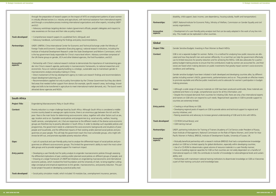dependency, housing subsidy, health and transportation).

, Ministry of Welfare, Commission on Gender Equality and civil

ysis tool that can be easily adopted in the work of any line miniountries.

#### Women to Reach MDGs

ather, it is a method for analysing how public resources are alloen differently. It is a tool that can help the government effectively in and for achieving the MDGs. GSB also advocates for a particiat the contributions made by women are accounted for, and their public investments that greatly impact women's socio-economic

d in both developed and developing countries alike, by different ents, parliamentarians and so on. They provide an effective means vestments and to advocate for women's participation in budget-

als on GSB have been produced world-wide, these materials are sive source for all this information; and

tries for initiating GSB, there are only a few international experts ch needs. Regional-level capacities in GSB to provide support to

SB to provide advice and technical support to regional and

se general understanding of GSB and its link with MDGs.

Trainers (Academy of Civil Service under President of Russia, Inmission on the Role of Filipino Women, and Center for Asiaof Development Studies, University of Sussex, UK.

earch institute (BRIDGE) that had a comprehensive knowledge obal distribution, especially within developing countries; volume of resource materials in a user-friendly manner; FSB so that countries are not solely dependant on a handful of is to transfer of knowledge to national/regional levels and sustain-

ining institutions to disseminate knowledge on GSB so it becomes ledge base.

|                               | through the preparation of research papers on the impact of WTO on employment patterns of poor women<br>in critically affected sectors (i.e. industry and agriculture), with technical assistance from international experts<br>and through a consultative process involving international organizations and other experts, including UNDP<br>and ILO.                                                                                                                                                                                                                                                                                                                                                                                                                                                                                                                           | <b>Partnerships:</b>              | disability, child support, basic income, care o<br>UNDP, National Institute for Economic Policy<br>society organizations.                                                                                                                                                                                                                |
|-------------------------------|----------------------------------------------------------------------------------------------------------------------------------------------------------------------------------------------------------------------------------------------------------------------------------------------------------------------------------------------------------------------------------------------------------------------------------------------------------------------------------------------------------------------------------------------------------------------------------------------------------------------------------------------------------------------------------------------------------------------------------------------------------------------------------------------------------------------------------------------------------------------------------|-----------------------------------|------------------------------------------------------------------------------------------------------------------------------------------------------------------------------------------------------------------------------------------------------------------------------------------------------------------------------------------|
|                               | • Advocacy workshops targeting decision makers (government officials, people's delegates and mayors) to<br>raise awareness on the issue and their roles as policy makers.                                                                                                                                                                                                                                                                                                                                                                                                                                                                                                                                                                                                                                                                                                        | <b>Innovative</b><br>aspects:     | • Development of a user-friendly policy-anal<br>istry. This model can be replicated in other c                                                                                                                                                                                                                                           |
| <b>Tools developed:</b>       | • Comprehensive research papers (in a published form, bilingual); and<br>• Advocacy handbook, summarizing the findings and policy recommendations.                                                                                                                                                                                                                                                                                                                                                                                                                                                                                                                                                                                                                                                                                                                               |                                   |                                                                                                                                                                                                                                                                                                                                          |
| <b>Partnerships:</b>          | UNDP, UNIFEM, China International Center for Economic and Technical Exchange under the Ministry of                                                                                                                                                                                                                                                                                                                                                                                                                                                                                                                                                                                                                                                                                                                                                                               | <b>Global</b>                     |                                                                                                                                                                                                                                                                                                                                          |
|                               | Foreign Trade and Economic Cooperation (Executing agency), national research institutions, including the<br>Institute of Industrial Development Research under the State Development and Reform Commission, which<br>is the key government body responsible for China's macro-level reform. Advisory committee comprised of<br>the UN theme group on gender, JICA and other bilateral agencies, the Ford Foundation, and ILO.                                                                                                                                                                                                                                                                                                                                                                                                                                                    | <b>Project Title:</b><br>Context: | Gender Sensitive Budgets: Investing in Poor<br>GSB is not a separate budget for women. Ra<br>cated and how they benefit men and wome                                                                                                                                                                                                     |
| <b>Innovative</b><br>aspects: | . Partnership with China's national research institute to demonstrate the importance of mainstreaming gen-<br>der into China's research agenda, particularly in macroeconomic frameworks, to national researchers and<br>economists. Focus on national capacity-building is a strategic, sustainable way to mainstream gender in<br>macroeconomic analysis and policy-making in China;<br>. Direct involvement of the key development agency to make sure research findings and recommendations<br>impact development planning; and<br>. Recommendations applied not only to policy formulation by the Chinese Government but they also identi-<br>fied areas that needed further support from donors (for example, specific research areas, technology, knowl-<br>edge and skills to be transferred in agriculture to meet international market demands, etc). The launch event |                                   | use its limited resources for poverty reductio<br>patory budget-making process to ensure tha<br>voices are heard when making decisions on<br>conditions and well-being.<br>Gender sensitive budgets have been initiated<br>parties including women's NGOs, governme<br>to promote equitable and effective public in<br>making processes. |
| <b>South Africa</b>           | attracted donor agencies and NGOs.                                                                                                                                                                                                                                                                                                                                                                                                                                                                                                                                                                                                                                                                                                                                                                                                                                               | Gaps:                             | • Although a wide range of resource materi<br>scattered and there is no single, comprehen:<br>• Despite the increased demands from coun<br>and trainers on GSB who can respond to sur                                                                                                                                                    |
| <b>Project Title:</b>         | Engendering Macroeconomic Policy in South Africa                                                                                                                                                                                                                                                                                                                                                                                                                                                                                                                                                                                                                                                                                                                                                                                                                                 |                                   | countries are extremely limited.                                                                                                                                                                                                                                                                                                         |
| Context:                      | Poverty reduction is a major challenge faced by South Africa. Although South Africa is considered a middle-<br>income country based on average per capita income, there is an enormous gap between the rich and the<br>poor. Race is the main factor for determining socio-economic status, together with other factors such as sex,<br>age, location and so on. Equitable social policies and programmes (e.g. social security, welfare, housing,                                                                                                                                                                                                                                                                                                                                                                                                                               | <b>Entry points:</b>              | • Creating a virtual library on GSB;<br>• Developing regional pools of experts on G<br>country initiatives; and<br>. Raising awareness and advocacy to increase                                                                                                                                                                          |
|                               | health services, unemployment, etc.) that are responsive to the different needs of the diverse socio-economic<br>groups are therefore key to poverty alleviation in South Africa. In order to develop such equitable policies and<br>programmes, the government needs to understand the socio-economic backgrounds and situations of poor                                                                                                                                                                                                                                                                                                                                                                                                                                                                                                                                        | Tools developed:                  | . CD ROM (virtual library); and<br>• GSB training manual                                                                                                                                                                                                                                                                                 |
|                               | people and households, and the differential impacts of their existing and/or planned social policies and pro-<br>grammes on poor people. This will help the government reach the most vulnerable groups, who might oth-<br>erwise be left out, and promote equitable poverty reduction efforts.                                                                                                                                                                                                                                                                                                                                                                                                                                                                                                                                                                                  | <b>Partnerships:</b>              | UNDP, partnering institutions for Training of<br>Asian Institute of Management, National Co<br>Pacific Women in Politics), BRIDGE, Institute                                                                                                                                                                                             |
| Gaps:                         | • Lack of a practical and user-friendly policy tool to analyse the differential impact of social policies and pro-<br>grammes on different socio-economic groups. This limited the government's ability to reach the most vulner-<br>able groups and to provide targeted support for maximum impact.                                                                                                                                                                                                                                                                                                                                                                                                                                                                                                                                                                             | <b>Innovative</b><br>aspects:     | • Mutually beneficial partnership with a rese<br>product on GSB but a limited capacity for gl<br>• Use of a CD-ROM to disseminate a great v<br>. Focus on building regional capacities for G                                                                                                                                             |
| <b>Entry points:</b>          | • Developing a user-friendly tool for policy analysis to engender macroeconomic policies through assessing<br>the differential implications of past, existing and/or planned social policies on different groups of people; and<br>• Drawing on a larger framework of UNDP-led initiatives on engendering macroeconomic and international<br>economic policies, which involved the Ford Foundation and the University of Utah, to bring together cutting-<br>edge conceptual and empirical experiences to link gender, macroeconomics, and poverty reduction. This par-<br>ticular project focused on developing a practical policy tool.                                                                                                                                                                                                                                        |                                   | international experts on GSB; this contribute<br>ability; and<br>· Partnerships with mainstream national trai<br>a part of their training curriculum and know                                                                                                                                                                            |
|                               |                                                                                                                                                                                                                                                                                                                                                                                                                                                                                                                                                                                                                                                                                                                                                                                                                                                                                  |                                   |                                                                                                                                                                                                                                                                                                                                          |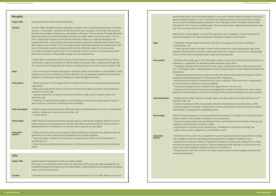gnant in recent years. Women-headed households constitute 23 percent live under the poverty line. Securing women's employction in Chile. Although women in the labour force are more age in terms of access to jobs, wages and social protection meas-

PE programme, which developed a common framework for ment generation strategies in Latin America.

is very high, and a large portion of these households is

rket; women workers are usually well educated (high school gher than that of men. However, women are at a disadvantage wages and social protection.

in labour market as well as the link between poverty, gender and gender-responsive public policies;

n model, using an existing social policy aimed at poverty reduction, to assist policity designing and and/or employment policies and

 $emong$  key policy makers and programme managers involved in ream gender considerations;

ers (e.g. unions, businesses, NGOs and women's organizations) nd gender;

eat the regional level on this issue; and

and engaging ILO's tripartite constituencies (i.e. labour unions, and advisory entities to promote dialogue and raise awareness.

der Gaps in the Labour Market and Gender Determinants of

erty alleviation and employment generation policy, entitled ization of Women Beneficiaries of the Social Protection System: ed versions.

rganizations (Foundation for Alleviation of Poverty and Centre of tive council consisting of:

istry of Labour and Social Security, the Ministry of Planning and Affairs;

reneurs, Confederation of Production and Trade); and htral Workers' Union).

ience in promoting poverty reduction through effective employamong government, employers and labour unions;

bloyment strategies at the policy level; employment is a critical hile and addressing gender disparities is crucial to ensure that pulled out of poverty; and

e region to share experience and knowledge and to promote

| <b>Mongolia</b>               |                                                                                                                                                                                                                                                                                                                                                                                                                                                                                                                                                                                                                                                            |  |                                      | growth slowed down and has remained stagna<br>percent of total households, of which 16.4 per                                                                                                                                                                                                         |
|-------------------------------|------------------------------------------------------------------------------------------------------------------------------------------------------------------------------------------------------------------------------------------------------------------------------------------------------------------------------------------------------------------------------------------------------------------------------------------------------------------------------------------------------------------------------------------------------------------------------------------------------------------------------------------------------------|--|--------------------------------------|------------------------------------------------------------------------------------------------------------------------------------------------------------------------------------------------------------------------------------------------------------------------------------------------------|
| <b>Project Title:</b>         | Capacity-building for Gender Sensitive Budgeting                                                                                                                                                                                                                                                                                                                                                                                                                                                                                                                                                                                                           |  |                                      | ment is crucial for accelerating poverty reduction<br>educated than men, they are at a disadvantage                                                                                                                                                                                                  |
| <b>Context:</b>               | Since the 1990s, Mongolia has been undergoing a transition from a centrally planned economy to a market<br>economy. This transition, combined with the fact that the State now plays a minimal role in the economy,<br>has led to the emergence of poverty as a new problem in Mongolia. Thirty-six percent of the population lives<br>below the poverty line and female-headed households have higher levels of poverty than others. The eco-<br>nomic changes have impacted women and men differently. Women are usually disadvantaged in the<br>employment market, and have lower income levels and less social security. Macroeconomic policies have a |  | Gaps:                                | ures. This is a common trend in Latin America.<br>UNDP and ILO worked together on a joint GPE<br>mainstreaming gender into national employme<br>• Percentage of female-headed households is                                                                                                          |
|                               | direct impact on poor women. Thus, the first step towards mainstreaming gender into macroeconomic poli-<br>cies and frameworks would be to analyse and identify their differential impact on men and women.<br>This analysis will guide the government on how to allocate resources and how to enforce macroeconomic<br>policies and measures to achieve gender equality and human development.                                                                                                                                                                                                                                                            |  |                                      | considered poor; and<br>• Gender gaps are evident in the labour marke<br>equivalent) and their level of education is highe<br>in terms of their access to job opportunities, wa                                                                                                                      |
|                               | In 2002, UNDP, in partnership with the Ministry of Social Welfare and Labour and the Ministry of Finance<br>and Economy, organized a workshop on GSB for government officials, NGOs, academia and UN agencies.<br>The Government of Mongolia expressed interest in receiving assistance to build its national capacity in GSB.                                                                                                                                                                                                                                                                                                                             |  | <b>Entry points:</b>                 | · Identifying both gender gaps in the Chilean la<br>employment, in preparation for developing ger<br>• Developing a gender-sensitive intervention n<br>tion, to assist policy makers in designing gende                                                                                              |
| Gaps:                         | . Due to the economic transition taking place in Mongolia, poverty has emerged as a major problem. Poverty<br>impacts men and women differently, but these differences are not adequately analysed and translated into<br>Mongolia's national poverty reduction strategy and national budgetary allocations.                                                                                                                                                                                                                                                                                                                                               |  |                                      | programmes;<br>• Capacity-building and awareness raising am<br>employment policies/programmes to mainstrea<br>. Raising awareness among civil society actors                                                                                                                                         |
| <b>Entry points:</b>          | . Raising awareness on GSB concepts within the Ministry of Finance and Economy and among civil society<br>organizations;<br>. Direct partnership with the Ministry of Finance to influence the budgetary processes and build technical<br>capacities to conduct GSB;<br>• Capacity building both at national and sub-national levels to create a pool of resource persons and                                                                                                                                                                                                                                                                              |  |                                      | on the link between employment, poverty and<br>• Promoting knowledge-sharing and debate at<br>. Drawing on ILO's overall GPE programme an<br>government and businesses) as consultative an                                                                                                           |
| <b>Tools developed:</b>       | researchers; and<br>• Production of research/analytical papers by national research institutes on the gender-specific impact of<br>donor assistance, employment, and social security and welfare.<br>. Research papers assessing the gender-differential impact of selected development sectors, including donor                                                                                                                                                                                                                                                                                                                                           |  | Tools developed:                     | • Analytical study entitled 'Diagnosis of Gender<br>Poverty in Chile'; and<br>• Gender review/analysis of the existing poverty<br>'Social, Demographic and Labour Characterizat<br>Chile Solidario', and proposals for engendered                                                                    |
|                               | assistance, employment, social security and welfare; and<br>• Training manual.                                                                                                                                                                                                                                                                                                                                                                                                                                                                                                                                                                             |  | <b>Partnerships:</b>                 | UNDP, ILO (executing agency), civil society orga<br>Study on Women), and a tripartite consultative                                                                                                                                                                                                   |
| <b>Partnerships:</b>          | UNDP, Ministry of Finance and Economy (execution agency), international consultants, National Council on<br>Gender Equity (as a monitoring body and standing committee for promoting GSB; the Council consists of<br>representatives from the Parliament, line ministries, NGOs, private sector and media).                                                                                                                                                                                                                                                                                                                                                |  |                                      | • Government representatives from the Ministr<br>Cooperation and the Ministry of Women's Affa<br>· Entrepreneurs (Committee Women Entrepren<br>· Labour unions (women's department, Centra                                                                                                           |
| <b>Innovative</b><br>aspects: | . Ministry of Finance and Economy is taking the lead in establishing a mechanism and capacities within the<br>government to monitor national and local budgeting from a gender perspective;<br>. Project also forges a trilateral link of cooperation among researchers, NGOs and the government to<br>promote GSB; and<br>. Project intends to reach local governments and it will help mainstream gender into fiscal decentralization<br>efforts.                                                                                                                                                                                                        |  | <i><b>Innovative</b></i><br>aspects: | • Partnership with ILO, which has vast experien<br>ment strategies as well as through dialogue an<br>• Strong focus on making an impact on emplo<br>entry point for poverty reduction efforts in Chil<br>women and female-headed households are pu<br>. Networking with other GPE countries in the r |
| <b>Chile</b>                  |                                                                                                                                                                                                                                                                                                                                                                                                                                                                                                                                                                                                                                                            |  |                                      | south-south cooperation.                                                                                                                                                                                                                                                                             |
|                               |                                                                                                                                                                                                                                                                                                                                                                                                                                                                                                                                                                                                                                                            |  |                                      |                                                                                                                                                                                                                                                                                                      |
| <b>Project Title:</b>         | Gender Equality in Employment Creation and Labour Market<br>(This project is a country-level initiative within the framework of ILO's large-scale regional programme, the<br>Institutional Strengthening Programme for Gender Equality, Poverty Eradication and Employment Generation,<br>known as the GPE programme.)                                                                                                                                                                                                                                                                                                                                     |  |                                      |                                                                                                                                                                                                                                                                                                      |
| Context:                      | Chile experienced fast economic growth and dramatic poverty reduction in the 1990s. However, the rate of                                                                                                                                                                                                                                                                                                                                                                                                                                                                                                                                                   |  |                                      |                                                                                                                                                                                                                                                                                                      |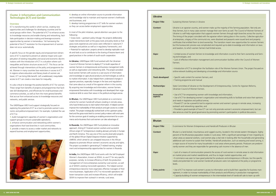make up the majority of the farming population. Not only are hage their own farms as well. The Council of Women Farmers of orts women farmers through eight branches across the country. agrarian reform taking place in the country. Collective agriculturwere dissolved and peasants were issued land and property ship. The transition meant new opportunities for women farmers d and required up-to-date knowledge and information on laws imited access.

ledge and information crucial to their farm ownership and farm-

and communication facilities within the Council of Women

tation role of the Women Farmers Union. The project focused on nowledge and information source.

ment of Entrepreneurship, Centre for Agrarian Reforms,

howledge and information;

zation and networking skills to facilitate and voice their opinions

hize women and women's groups in remote areas, increasing

hot only promote women's economic empowerment, but can bromoting women's participation in political discussions.

Handicraft Producers in Bhutan

ugged country, located in the remote eastern Himalayans. Eighty in rural areas. With a significant percentage of men migrating to en play a vital role in looking after the households and generating and the house in looking and generating an ies. Handicraft production, such as weaving and wood carving, is blds in rural areas where poverty persists. Producers are predomigenerating cash income in the absence of men.

tts the access of rural women in remote areas to vital information and thus to larger market opportunities; and tial for producers and entrepreneurs in Bhutan, but the specific craft producers were not explored at the policy or programme

es to information and to build their capacities for business manof their products and efficiency in production management; s in the intermediate level of handicraft sale to team up with

#### **Cluster 2: Information and Communication Technologies (ICT) and Gender**

#### **Overview**

ICT is transforming the world in which we live, creating new opportunities and challenges for developing countries and for social groups within them. The potential of ICT to enhance access to knowledge resources and enable sharing and networking, facilitate participation in decision-making and leverage economic opportunities by women is tremendous. Yet harnessing the potential of the ICT revolution for the empowerment of women does not occur automatically.

It is also critical to leverage the positive benefits of ICT for women. These range from benefits of projects and programmes that facilitate skill development, and efficiencies for small businesses and commerce activities, as well as from the more general benefits that accrue from enhanced access to knowledge resources and networks, and public services.

A specific focus on the gender equity and empowerment dimensions of ICT is essential to prevent an adverse impact and a perpetuation of existing inequalities and social and economic discriminations with the introduction of ICT in a situation where such inequalities and factors structure access to ICT. This focus can be achieved through interventions at the policy and programme levels. Women in many countries face restrictions in access to ICT. In regions where education and literacy levels of women are lower, ICT can bring little benefit. Left unaddressed, inequitable access to ICT can create a new basis for inequality.

The UNDP/Japan WID Fund support strategically focused on exploring the potential of ICT as a tool to promote women's economic and political empowerment. For example, it piloted the use of ICT to:

**1.** build management capacities of women's organizations and support groups to ensure sustainable operations; **2.** enhance communication and networking within women's organizations that have branches in rural communities; **3.** provide a means to access a wider market and networks to expand business and employment opportunities;



**4.** develop an online information source to provide information and knowledge vital to maintain and improve women's livelihoods and businesses; and

**5.** develop training programmes in ICT skills for women workers so they can access better employment opportunities.

In most of the pilot initiatives, special attention was given to the following:

• Grass-roots – upstream policy linkage: the projects deliberately made interventions both at the grass-roots and policy levels so that grass-roots experiences and voices were reflected in national ICT strategies and policies as well as in regulatory frameworks; and • Potential for replication: projects aimed to develop replicable models and tools so as to contribute to the sharing of lessons-learnt and good practices in the context of south-south cooperation.

**In Ukraine**, UNDP/Japan WID Fund worked with the Ukrainian Council of Women Farmers to deploy ICT to build capacities of women farmers in entrepreneurial and business management skills as well as organization and networking skills. The project provided local women farmers with access to a vast source of information and knowledge on agricultural products and technologies as well as to market information. It also helped them understand changes in agrarian practices, especially changes in the laws and regulations that came about as a result of the agrarian reform in the country. By acquiring new knowledge and information, women farmers empowered themselves with knowledge and developed their organizational skills to voice their views in the political and legal arenas.

**In Bhutan**, the UNDP/Japan WID Fund piloted an e-commerce scheme for women handicraft artisans residing in remote areas, who have limited access to vital market information. It helped women improve the marketability of their products and gain access to a wider market. The project strategically worked both at the upstream policy level and the grass-roots level to connect policy-makers with end-users for the common goal of creating an enabling environment for e-commerce and e-business that rural women can take advantage of.

**In Rwanda**, the UNDP/Japan WID Fund piloted an innovative approach, linking ICT-trained women workers and successful African-origin ICT entrepreneurs residing abroad, primarily in Europe and North America. This was one of the country-level pilot projects of the global African Digital Diaspora Initiative supported by UNIFEM, which aimed to use untapped resources in the African diaspora to promote African women's economic security and rights. The project succeeded in generating ICT-related training, employment and entrepreneurship opportunities for women in Rwanda.

**In India,** the UNDP/Japan WID Fund works with the Self Employed Women's Association, known as SEWA, to use ICT for very specific purposes, namely, to increase efficiency of both the production management of micro-enterprises owned by rural women, as well as of SEWA's existing microcredit operations. This helped women entrepreneurs become more organized, effective managers of their micro-businesses. Application of ICT to microcredit operations will lower transaction costs and increase efficiency, which will enable SEWA to improve their outreach in remote, rural areas.

| <b>Project Title:</b>         | Sustaining Women Farmers in Ukraine                                                                                                                                                                                                                                                                                                                                                                               |
|-------------------------------|-------------------------------------------------------------------------------------------------------------------------------------------------------------------------------------------------------------------------------------------------------------------------------------------------------------------------------------------------------------------------------------------------------------------|
|                               |                                                                                                                                                                                                                                                                                                                                                                                                                   |
| Context:                      | Ukraine is an agrarian country, and women mak<br>they farmers, but in many cases women manag<br>Ukraine is a self-help organization that supports<br>The timing of the project coincided with the agr<br>al enterprises, a legacy of the communist era, w<br>certificates that entitled them to land ownership<br>but the bureaucratic process was complicated a<br>and taxation, to which women farmers had limi |
| Gaps:                         | • Limited access of women farmers to knowled<br>ing technologies; and<br>• Lack of effective information management an<br>Farmers.                                                                                                                                                                                                                                                                                |
| <b>Entry points:</b>          | . Introduction of ICT to strengthen the facilitation<br>online-network building and developing a know                                                                                                                                                                                                                                                                                                             |
| <b>Tools developed:</b>       | · Specific web content for women farmers; and<br>• Training programme and manual                                                                                                                                                                                                                                                                                                                                  |
| <b>Partnerships:</b>          | State Committee of Ukraine on the Developmer<br>Ukrainian Council of Women Farmers.                                                                                                                                                                                                                                                                                                                               |
| <b>Innovative</b><br>aspects: | • Use of ICT for empowering women with knov<br>• Use of ICT for developing women's organizati<br>and needs in legislative and political arenas;<br>. Proved ICT can be a powerful tool to organize<br>outreach and networking capacities; and<br>• Provided a good example of how ICT can not<br>also serve as a tool for good governance by pror                                                                 |

**Bhutan**

| ышша                  |                                                                                                                                                                                                                                                                                           |
|-----------------------|-------------------------------------------------------------------------------------------------------------------------------------------------------------------------------------------------------------------------------------------------------------------------------------------|
| <b>Project Title:</b> | E-commerce for Women Entrepreneurs and                                                                                                                                                                                                                                                    |
| Context:              | Bhutan is a land-locked, mountainous and ru<br>percent of the Bhutanese population resides<br>urban areas as seasonal workers, rural wom<br>additional cash income to sustain their famil<br>a major source of income for many househor<br>nantly women and they are responsible for only |
| Gaps:                 | • Lack of a means of communication prever<br>on market prices and market needs/trends, a<br>• E-commerce was seen to have good poter<br>needs and potentials for rural women handi<br>levels.                                                                                             |
| <b>Entry points:</b>  | • Use of ICT to improve rural women's acces<br>agement, in order to increase marketability o<br>• Capacity-building of women entrepreneur                                                                                                                                                 |
|                       |                                                                                                                                                                                                                                                                                           |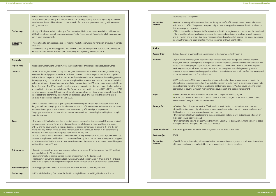liaspora, linking successful African-origin entrepreneurs who wish to opportunity to use the untapped resources of the African diaspora,

or replication in the African region and in other parts of the world; and  $\sigma$  address the needs and constraints of local women entrepreneurs se needs are reflected in national ICT policies. This is done by synergizinitiatives supported by UNDP and UNIFEM.

repreneurs in the Informal Sector through ICT

disasters such as earthquakes, drought and cyclones. With low high rates of forced migration, the communities have only been able tecure their livelihoods. Government's relief efforts focus on public om for women. Women play a vital role in generating income. ged in paid work in the informal sector, which offers little security and ervices.

ization of poor, self-employed women workers who work in the t has 300,000 members in India, mostly in Gujarat, and offers a wide ealth care, child care and so on. SEWA has played a leading role in o-enterprise development, and disaster management.

areas because of high transaction costs; and SEWA's services as mentioned, but as yet it has not been used to operatives.

SEWA headquarters to better connect with remote branches; es and a web-based information source to improve rural members' ment opportunities;

to manage production systems as well as to increase efficiency of

e in the effective use of ICT to teach women members how to better duction processes.

management and microcredit operations.

applications for production management and microcredit operations,  $\mu$  other organizations in India and elsewhere.

| women producers so as to benefit from wider market opportunities; and<br>Technology and Management.<br>. Policy advice to the Ministry of Trade and Industry for creating enabling policy and regulatory frameworks<br>for e-business that would take into account the needs of rural women producers, starting with a review of<br>• Unique partnership with the African o<br><b>Innovative</b><br>aspects:<br>exiting frameworks.<br>assist women in Africa. This presents an<br>their knowledge and expertise;<br>Ministry of Trade and Industry, Ministry of Communication, National Women's Association for Bhutan (an<br>. This pilot project has a high potential f<br><b>Partnerships:</b><br>NGO with a network across the country), Asia and Pacific Telecommunity (based in Bangkok to provide sup-<br>• The project has set up a mechanism to<br>and ICT workers and to ensure that the<br>port in policy development).<br>ing with other ongoing policy-oriented<br>. Application of e-commerce as a tool for widening market opportunities for handicraft producers in remote<br><i><b>Innovative</b></i><br>aspects:<br>areas; and<br><b>India</b><br>• Combination of grass-roots support to rural women producers and upstream policy support to integrate<br>the needs of rural women artisans into national policy and regulatory frameworks for ICT.<br><b>Project Title:</b><br><b>Context:</b><br><b>Rwanda</b><br>Bridging the Gender Digital Divide in Africa through Strategic Partnerships: Pilot Initiatives in Rwanda<br><b>Project Title:</b><br>Rwanda is a small, landlocked country that has gone through ethnic-based civil wars and genocide. Ninety<br><b>Context:</b><br>percent of the total population resides in rural areas. Women constitute 54 percent of the total population,<br>and an estimated 34 percent of all households are female-headed. Over 90 percent of the working popula-<br>tion engages in agriculture, while 7.2 percent is employed in the service sector and 1.7 percent in the indus-<br>trial sector. Although Rwanda's economy is still at a recovery stage, the ICT sector has grown remarkably over<br>the last few years. The ICT sector offers stable employment opportunities, but a shortage of skilled technical<br>personnel in this field remains a challenge. The Government, with assistance from UNDP, UNECA and USAID,<br>launched a comprehensive ICT policy, which aims to transform Rwanda into an information-rich, knowledge-<br>based society and economy by modernizing key sectors using ICT. This links with the country's goal to<br>Gaps:<br>achieve a middle-income status by the year 2020.<br>UNIFEM launched an innovative global programme involving the African digital diaspora, which was<br><b>Entry points:</b><br>designed to foster strategic partnerships between women in African countries and successful ICT-oriented<br>businesses in Europe and North America that are owned by African-origin entrepreneurs.<br>The programme aims to promote African women's economic security and rights and is piloted in eight<br>countries in Africa.<br>microcredit service operations; and<br>. The national ICT policy has been launched, but women face constraints in accessing ICT because of disad-<br>Gaps:<br>vantages arising from low literacy and education levels, remote locations, heavy workload, and so on.<br>UNIFEM and the government are working together to address gender gaps in access to ICT and the con-<br><b>Tools developed:</b><br>straints faced by women. However, more efforts must be made to include women in the policy-making<br>process so that their needs are integrated into national policies; and<br><b>SEWA</b><br><b>Partnerships:</b><br>. ICT as a potential tool to promote women's economic security and rights has not been explored adequately.<br>Despite the employment and business opportunities offered by the ICT sector, there is no systematic support<br>to train women in ICT skills to enable them to tap into the employment market and entrepreneurship oppor-<br><b>Innovative</b><br>aspects:<br>tunities offered by the ICT sector.<br>- Capacity-building of women's business organizations in the use of ICT with assistance from ICT and busi-<br><b>Entry points:</b><br>ness experts from the African diaspora;<br>• Establishment of a telecentre for local women entrepreneurs for ICT training; and<br>• Facilitation of networking opportunities between women ICT entrepreneurs in Rwanda and ICT entrepre-<br>neurs in the diaspora to exchange knowledge and information as well as to create business opportunities.<br>. Training programme tailored to the needs of Rwandese women business organizations.<br>Tools developed:<br>UNIFEM, Global Advisory Committee for the African Digital Diaspora, and Kigali Institute of Science,<br><b>Partnerships:</b> |  |  |                                                                                                                                                                                                                                                                  |
|------------------------------------------------------------------------------------------------------------------------------------------------------------------------------------------------------------------------------------------------------------------------------------------------------------------------------------------------------------------------------------------------------------------------------------------------------------------------------------------------------------------------------------------------------------------------------------------------------------------------------------------------------------------------------------------------------------------------------------------------------------------------------------------------------------------------------------------------------------------------------------------------------------------------------------------------------------------------------------------------------------------------------------------------------------------------------------------------------------------------------------------------------------------------------------------------------------------------------------------------------------------------------------------------------------------------------------------------------------------------------------------------------------------------------------------------------------------------------------------------------------------------------------------------------------------------------------------------------------------------------------------------------------------------------------------------------------------------------------------------------------------------------------------------------------------------------------------------------------------------------------------------------------------------------------------------------------------------------------------------------------------------------------------------------------------------------------------------------------------------------------------------------------------------------------------------------------------------------------------------------------------------------------------------------------------------------------------------------------------------------------------------------------------------------------------------------------------------------------------------------------------------------------------------------------------------------------------------------------------------------------------------------------------------------------------------------------------------------------------------------------------------------------------------------------------------------------------------------------------------------------------------------------------------------------------------------------------------------------------------------------------------------------------------------------------------------------------------------------------------------------------------------------------------------------------------------------------------------------------------------------------------------------------------------------------------------------------------------------------------------------------------------------------------------------------------------------------------------------------------------------------------------------------------------------------------------------------------------------------------------------------------------------------------------------------------------------------------------------------------------------------------------------------------------------------------------------------------------------------------------------------------------------------------------------------------------------------------------------------------------------------------------------------------------------------------------------------------------------------------------------------------------------------------------------------------------------------------------------------------------------------------------------------------------------------------------------------------------------------------------------------------------------------------------------------------------------------------------------------------------------------------------------------------------------------------------------------------------------------------------------------------------------------------------------------------------------------------------------------------------------------------------------------------------------------------------------------------------------------------------------------------------------------------------------------------------|--|--|------------------------------------------------------------------------------------------------------------------------------------------------------------------------------------------------------------------------------------------------------------------|
|                                                                                                                                                                                                                                                                                                                                                                                                                                                                                                                                                                                                                                                                                                                                                                                                                                                                                                                                                                                                                                                                                                                                                                                                                                                                                                                                                                                                                                                                                                                                                                                                                                                                                                                                                                                                                                                                                                                                                                                                                                                                                                                                                                                                                                                                                                                                                                                                                                                                                                                                                                                                                                                                                                                                                                                                                                                                                                                                                                                                                                                                                                                                                                                                                                                                                                                                                                                                                                                                                                                                                                                                                                                                                                                                                                                                                                                                                                                                                                                                                                                                                                                                                                                                                                                                                                                                                                                                                                                                                                                                                                                                                                                                                                                                                                                                                                                                                                                                                      |  |  |                                                                                                                                                                                                                                                                  |
| work programmes, which leave little roo<br>• Creation of an online platform within<br>manage their micro-enterprises and pro                                                                                                                                                                                                                                                                                                                                                                                                                                                                                                                                                                                                                                                                                                                                                                                                                                                                                                                                                                                                                                                                                                                                                                                                                                                                                                                                                                                                                                                                                                                                                                                                                                                                                                                                                                                                                                                                                                                                                                                                                                                                                                                                                                                                                                                                                                                                                                                                                                                                                                                                                                                                                                                                                                                                                                                                                                                                                                                                                                                                                                                                                                                                                                                                                                                                                                                                                                                                                                                                                                                                                                                                                                                                                                                                                                                                                                                                                                                                                                                                                                                                                                                                                                                                                                                                                                                                                                                                                                                                                                                                                                                                                                                                                                                                                                                                                         |  |  |                                                                                                                                                                                                                                                                  |
|                                                                                                                                                                                                                                                                                                                                                                                                                                                                                                                                                                                                                                                                                                                                                                                                                                                                                                                                                                                                                                                                                                                                                                                                                                                                                                                                                                                                                                                                                                                                                                                                                                                                                                                                                                                                                                                                                                                                                                                                                                                                                                                                                                                                                                                                                                                                                                                                                                                                                                                                                                                                                                                                                                                                                                                                                                                                                                                                                                                                                                                                                                                                                                                                                                                                                                                                                                                                                                                                                                                                                                                                                                                                                                                                                                                                                                                                                                                                                                                                                                                                                                                                                                                                                                                                                                                                                                                                                                                                                                                                                                                                                                                                                                                                                                                                                                                                                                                                                      |  |  | <b>Building Capacity of Women Micro Enti</b>                                                                                                                                                                                                                     |
|                                                                                                                                                                                                                                                                                                                                                                                                                                                                                                                                                                                                                                                                                                                                                                                                                                                                                                                                                                                                                                                                                                                                                                                                                                                                                                                                                                                                                                                                                                                                                                                                                                                                                                                                                                                                                                                                                                                                                                                                                                                                                                                                                                                                                                                                                                                                                                                                                                                                                                                                                                                                                                                                                                                                                                                                                                                                                                                                                                                                                                                                                                                                                                                                                                                                                                                                                                                                                                                                                                                                                                                                                                                                                                                                                                                                                                                                                                                                                                                                                                                                                                                                                                                                                                                                                                                                                                                                                                                                                                                                                                                                                                                                                                                                                                                                                                                                                                                                                      |  |  | Gujarat suffers periodically from natural<br>wages, low literacy, crippling debts and<br>to exercise limited coping strategies to s                                                                                                                              |
|                                                                                                                                                                                                                                                                                                                                                                                                                                                                                                                                                                                                                                                                                                                                                                                                                                                                                                                                                                                                                                                                                                                                                                                                                                                                                                                                                                                                                                                                                                                                                                                                                                                                                                                                                                                                                                                                                                                                                                                                                                                                                                                                                                                                                                                                                                                                                                                                                                                                                                                                                                                                                                                                                                                                                                                                                                                                                                                                                                                                                                                                                                                                                                                                                                                                                                                                                                                                                                                                                                                                                                                                                                                                                                                                                                                                                                                                                                                                                                                                                                                                                                                                                                                                                                                                                                                                                                                                                                                                                                                                                                                                                                                                                                                                                                                                                                                                                                                                                      |  |  | However, they are predominantly enga<br>no formal access to credit or financial se<br>SEWA was formed in 1972 as an organ<br>informal sector to support each other. It<br>range of services, including financing, h<br>applying ICT to poverty alleviation, micr |
|                                                                                                                                                                                                                                                                                                                                                                                                                                                                                                                                                                                                                                                                                                                                                                                                                                                                                                                                                                                                                                                                                                                                                                                                                                                                                                                                                                                                                                                                                                                                                                                                                                                                                                                                                                                                                                                                                                                                                                                                                                                                                                                                                                                                                                                                                                                                                                                                                                                                                                                                                                                                                                                                                                                                                                                                                                                                                                                                                                                                                                                                                                                                                                                                                                                                                                                                                                                                                                                                                                                                                                                                                                                                                                                                                                                                                                                                                                                                                                                                                                                                                                                                                                                                                                                                                                                                                                                                                                                                                                                                                                                                                                                                                                                                                                                                                                                                                                                                                      |  |  | • SEWA's outreach is limited in remote<br>• ICT has been piloted in some areas of<br>increase the efficiency of production co                                                                                                                                    |
|                                                                                                                                                                                                                                                                                                                                                                                                                                                                                                                                                                                                                                                                                                                                                                                                                                                                                                                                                                                                                                                                                                                                                                                                                                                                                                                                                                                                                                                                                                                                                                                                                                                                                                                                                                                                                                                                                                                                                                                                                                                                                                                                                                                                                                                                                                                                                                                                                                                                                                                                                                                                                                                                                                                                                                                                                                                                                                                                                                                                                                                                                                                                                                                                                                                                                                                                                                                                                                                                                                                                                                                                                                                                                                                                                                                                                                                                                                                                                                                                                                                                                                                                                                                                                                                                                                                                                                                                                                                                                                                                                                                                                                                                                                                                                                                                                                                                                                                                                      |  |  | • Establishment of community telecentr<br>livelihood security and business develop<br>• Development of software applications<br>• Development of a training programm                                                                                             |
|                                                                                                                                                                                                                                                                                                                                                                                                                                                                                                                                                                                                                                                                                                                                                                                                                                                                                                                                                                                                                                                                                                                                                                                                                                                                                                                                                                                                                                                                                                                                                                                                                                                                                                                                                                                                                                                                                                                                                                                                                                                                                                                                                                                                                                                                                                                                                                                                                                                                                                                                                                                                                                                                                                                                                                                                                                                                                                                                                                                                                                                                                                                                                                                                                                                                                                                                                                                                                                                                                                                                                                                                                                                                                                                                                                                                                                                                                                                                                                                                                                                                                                                                                                                                                                                                                                                                                                                                                                                                                                                                                                                                                                                                                                                                                                                                                                                                                                                                                      |  |  | · Software applications for production i                                                                                                                                                                                                                         |
|                                                                                                                                                                                                                                                                                                                                                                                                                                                                                                                                                                                                                                                                                                                                                                                                                                                                                                                                                                                                                                                                                                                                                                                                                                                                                                                                                                                                                                                                                                                                                                                                                                                                                                                                                                                                                                                                                                                                                                                                                                                                                                                                                                                                                                                                                                                                                                                                                                                                                                                                                                                                                                                                                                                                                                                                                                                                                                                                                                                                                                                                                                                                                                                                                                                                                                                                                                                                                                                                                                                                                                                                                                                                                                                                                                                                                                                                                                                                                                                                                                                                                                                                                                                                                                                                                                                                                                                                                                                                                                                                                                                                                                                                                                                                                                                                                                                                                                                                                      |  |  | • Specific focus on developing software<br>which can be adopted and replicated by                                                                                                                                                                                |
|                                                                                                                                                                                                                                                                                                                                                                                                                                                                                                                                                                                                                                                                                                                                                                                                                                                                                                                                                                                                                                                                                                                                                                                                                                                                                                                                                                                                                                                                                                                                                                                                                                                                                                                                                                                                                                                                                                                                                                                                                                                                                                                                                                                                                                                                                                                                                                                                                                                                                                                                                                                                                                                                                                                                                                                                                                                                                                                                                                                                                                                                                                                                                                                                                                                                                                                                                                                                                                                                                                                                                                                                                                                                                                                                                                                                                                                                                                                                                                                                                                                                                                                                                                                                                                                                                                                                                                                                                                                                                                                                                                                                                                                                                                                                                                                                                                                                                                                                                      |  |  |                                                                                                                                                                                                                                                                  |
|                                                                                                                                                                                                                                                                                                                                                                                                                                                                                                                                                                                                                                                                                                                                                                                                                                                                                                                                                                                                                                                                                                                                                                                                                                                                                                                                                                                                                                                                                                                                                                                                                                                                                                                                                                                                                                                                                                                                                                                                                                                                                                                                                                                                                                                                                                                                                                                                                                                                                                                                                                                                                                                                                                                                                                                                                                                                                                                                                                                                                                                                                                                                                                                                                                                                                                                                                                                                                                                                                                                                                                                                                                                                                                                                                                                                                                                                                                                                                                                                                                                                                                                                                                                                                                                                                                                                                                                                                                                                                                                                                                                                                                                                                                                                                                                                                                                                                                                                                      |  |  |                                                                                                                                                                                                                                                                  |
|                                                                                                                                                                                                                                                                                                                                                                                                                                                                                                                                                                                                                                                                                                                                                                                                                                                                                                                                                                                                                                                                                                                                                                                                                                                                                                                                                                                                                                                                                                                                                                                                                                                                                                                                                                                                                                                                                                                                                                                                                                                                                                                                                                                                                                                                                                                                                                                                                                                                                                                                                                                                                                                                                                                                                                                                                                                                                                                                                                                                                                                                                                                                                                                                                                                                                                                                                                                                                                                                                                                                                                                                                                                                                                                                                                                                                                                                                                                                                                                                                                                                                                                                                                                                                                                                                                                                                                                                                                                                                                                                                                                                                                                                                                                                                                                                                                                                                                                                                      |  |  |                                                                                                                                                                                                                                                                  |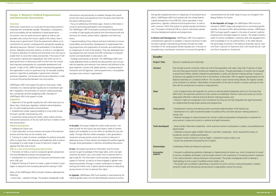that gender equality becomes an integral part of local governance efforts. UNDP/Japan WID Fund worked with the United Nations Capital Development Fund (UNCDF), which specializes in local governance, Uganda's national and local government, as well as with a women's NGO that pushes for gender equality and democracy. The project introduced GSB as a tool to mainstream gender into local development policies and programmes.

mainstreamed into the wide range of issues as envisaged in the Beijing Platform for Action.

**In Bosnia and Herzegovina**, UNDP/Japan WID Fund supports a comprehensive approach to establish a national machinery to take the lead in gender mainstreaming primarily through the implementation of the newly-passed Gender Equality Law. It focuses on strengthening a coordination mechanism to ensure that gender is

**In the Republic of Congo**, the UNDP/Japan WID Fund contributed to UNDP's large-scale programme on promoting gender equality in the post-conflict democratization process. UNDP/Japan WID Fund gave specific support in the areas of women's political empowerment and legal support to women. The project trained a cadre of women candidates in advocacy skills and equipped them with knowledge to run for political office. In the 2002 election, the percentage of women in the National Assembly rose by 7 percent (from 2 percent to 9 percent) and in the Senate also by 7 percent (from 9 percent to 16 percent).

half of the population and voters, they hold 13 percent of seats headed by women. Though participation of women has increased v participation in policy and decision-making settings. A quota of the elections of December 1997 to appoint representatives for the This resulted in seven women being elected, the highest number the perception of the role of women in society continues to interpowerment.

vomen to exercise political leadership and act on the issues that in women on leadership. Women's views and voices are not yet ecision making processes; and

nstitution but they are not fully integrated into legal frameworks nd programmes.

s to promote implementation of the Quota Law; ers for political office and other decision making positions in

or women's political participation and generate a movement to ical and legal frameworks.

hich examines women's participation in politics, was published and

en's and Men's Leadership', which reviewed the history of

the 'Austick', a booklet for policy makers; and Congress.

ges to implementing the Quota Law, which include lack of a pool public interest in the importance of increasing women's presence and processes. The project strategically aimed to develop a omen leaders; and

a movement to call for women's active participation in politics, omen's organizations across the country.

#### **Cluster 3: Women's Political Empowerment and Democratic Governance**

#### **Overview**

**3.** Training of a cadre of women candidates for political and public office to equip them with advocacy and leadership skills as well as knowledge of a wide range of issues to help them shape the agenda that they wish to push.

**3.** Regional Training of Trainers to create a cadre of trainers in each region to respond to the increasing demand for training in GSB.

Democratic Governance is a crucial area for promoting women's empowerment and gender equality. Participation, transparency and accountability are key ingredients of good governance. Do women, who are active economic agents as well as care providers who nurture the human capital of the nation, have a strong voice in government? Does the government deliver on its commitment to women's empowerment and gender equality by allocating resources? Women's full participation in the electoral process, legislative and justice systems, as well as in management of resource allocation at national and local levels is the only way to enable them to voice their needs and priorities. If the voice of half of humanity is denied and marginalized, then there can be no good governance or democracy, both of which are now considered important prerequisites for sustainable development and growth. In light of this, UNDP has been mainstreaming gender in the organization's work on governance by, for example, building women's capacities to participate in government, electoral processes, legislation, civil services and resource allocation in order to ensure full partnership between men and women.

UNDP/Japan WID Fund support focused on three areas: implementation of a national gender equality law to mainstream gender in legislation; the promotion of women's political participation; and gender sensitive budgeting (GSB). Examples of UNDP/Japan WID Fund support include:

#### **Legislation**

**1.** Alignment of the gender equality law with other laws (such as labour laws, family laws, legislation related to decentralization etc.) as well as legal processes and procedures;

**2.** Establishment and/or capacity-building of a key entity to take the lead in gender mainstreaming; and

**3.** Awareness-raising among the public, policy makers and law enforcement personnel, of the law itself and how it relates to their lives and practices.

#### **Political participation**

**1.** Lobbying for Quota Law;

**2.** Voters education to ensure women are aware of the electoral process and how they can be involved; and

#### **GSB as a way of promoting good governance**

**1.** Promotion of GSB as a tool to incorporate gender perspectives into local development policies and programmes;

**2.** Development of a virtual library of resources and literature related to GSB; and

Many of the UNDP/Japan WID Fund pilot initiatives addressed the following:

• Grass-roots – upstream linkage. The projects strategically made

interventions and partnerships to establish linkages that would ensure that voices and experiences from the grass-roots feed into the policy-making process;

• Focus on addressing information gaps. Access to information is crucial for promoting participation and transparency.

The UNDP/Japan WID Fund projects produced and disseminated a number of high-quality educational and informational tools and resources for women, policy-makers, legislators and other key actors;

• Capacity-building of key national and local institutions to ensure sustainability and ownership. Development of needs-based training programmes and organization of seminars and workshops are an integral part of most of the projects. They also developed training programmes and manuals and offer workshops to empower women and stakeholders to take action; and

• Strategic partnerships at all levels. The UNDP/Japan WID Fund made deliberate efforts to identify the best partners who can provide the expertise and networks most relevant and effective to the given objective. It works with global partners, including research institutions and UN agencies, national government, municipalities and grass-roots women's organizations.



**In Ecuador**, the project helped the nation-wide women's network to push for the Quota Law and create a cadre of women leaders and candidates to run for office to translate the Law into reality. Through effective media campaigns, it also generated a movement among women across the country to take part in addressing issues of their interest and shaping the political agenda through active participation in elections and political discussions.

**In Iran**, the project launched an information hub for Iranian women to gain knowledge of their legal rights, which are legitimized by the Islamic Law, and to learn how to exercise them in day-to-day life. The information centre provides comprehensive support to women, as well as to those engaged in gender mainstreaming activities, through a unique combination of research, training and hotline units. It places special emphasis on educating young women on how to exercise their rights.

**In Uganda**, UNDP/Japan WID Fund assisted in mainstreaming the national gender policy into the decentralization process to ensure

| <b>Ecuador</b>         |                                                                                                                                                                                                                                                                                                                                                             |
|------------------------|-------------------------------------------------------------------------------------------------------------------------------------------------------------------------------------------------------------------------------------------------------------------------------------------------------------------------------------------------------------|
| <b>Project Title:</b>  | Women's Leadership and Citizenship                                                                                                                                                                                                                                                                                                                          |
| <b>Context:</b>        | Even though women constitute a little over ha<br>and only three governmental ministries are hea<br>in government offices, statistics indicate low pa<br>20 percent was applied for the first time in the<br>National Assembly on Constitution Reform. Th<br>so far achieved in an election. Nevertheless, the<br>fere with the achievement of women's empov |
| Gaps:                  | • Lack of opportunities and capacities for wom<br>affect them. No systematic assistance to train v<br>adequately reflected in national and local decis<br>. Women's rights are recognized in the Consti<br>nor implemented through public policies and p                                                                                                    |
| <b>Entry points:</b>   | • Development of policy and advocacy tools to<br>· Development of a cadre of potential leaders<br>society; and<br>• National campaign to create awareness for v<br>voice women's needs and concerns in political                                                                                                                                            |
| Tools developed:       | · Book entitled 'Alternative Leadership', which<br>disseminated:<br>· Published a research paper entitled 'Women'<br>Ecuadorian women's political participation;<br>· Produced 'Guide to Women's Human Rights<br>• Quota Law proposed and passed by the Con                                                                                                 |
| Partnerships:          | Coodinadora Politica de Mujeres Ecuatorianas                                                                                                                                                                                                                                                                                                                |
| Innovative<br>aspects: | • Focused on addressing qualitative challenges<br>of women candidates and leaders, and low pu<br>in the national decision making mechanism an<br>methodology to train a pool of qualified wome<br>• The project also succeeded in generating a m<br>using the media and networking among wom                                                                |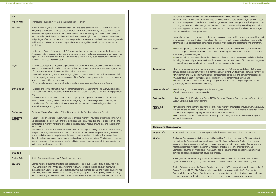Conference held in Beijing in 1995 to promote the empowerment of The National Gender Policy 1997 mandates the Ministry of Gender, Labour head and coordinate gender-responsive development. It also imposes a duty eam gender. However, it is not complemented by an enabling law, nor is it al Government Act 1997, which is the primary law related to the manageernments.

menting these two main gender policies at the central government level and in with the Laws. However, little has been done at the local council level to al frameworks, or to strengthen institutional capacities to implement them.

etween the national gender policies and existing legislation on decentralization, including the polician action, were notice the term into include actions into actual actions

the Ministry of Gender, Labour and Social Development and district bodies s department, local councils and women's councils) to implement the gender into all phases of the local development processes.

ment and coherence between the National Gender Policy and other develvorks, such as the Local Government Act, to serve as a common framework; r mainstreaming gender in local governance and development processes; hational and local institutions for gender mainstreaming; and ncorporate gender perspectives into local development policies and prolopment Plan).

gender mainstreaming; and ual on GSB.

nent Fund (UNCDF), Forum for Women in Democracy (an NGO), Ministry of

ps among the grass-roots women's organization (including women's caucus), and a UN agency that has expertise in local governance to translate national lity into concrete actions at the local level; and

e women's leadership within local governments and mainstream gender

Iender Equality and Policy Development in Bosnia and Herzegovina

December 1995 established Bosnia and Herzegovina (BiH) as a state with osnia and Herzegovina (FBiH) and the Republika Srpska (RS), and granted vith their own governments and civil structures. The BiH state government the different needs and priorities of the two entity governments. res and mechanisms add to such challenges, especially in implementing hat require coordination.

In 1995, In 1995, Bih became a state of the Convention of All Forms of Discrimination Igh the state accession to the Convention from the former Yugoslavia.

Gender Equality Law in March 2003 as a result of strong lobbying by the UN arliament also responded to encouragement by the EU Community Equality, which urges member states to build institutional capacities for gen-Equality Law addresses a wide range of gender issues including education,

| <b>Iran</b>                               |                                                                                                                                                                                                                                                                                                                                                                                                                                                                                                                                                                                                                                                                                     |                                                 | a follow up to the Fourth World Conferer                                                                                                                                                                                                                                |
|-------------------------------------------|-------------------------------------------------------------------------------------------------------------------------------------------------------------------------------------------------------------------------------------------------------------------------------------------------------------------------------------------------------------------------------------------------------------------------------------------------------------------------------------------------------------------------------------------------------------------------------------------------------------------------------------------------------------------------------------|-------------------------------------------------|-------------------------------------------------------------------------------------------------------------------------------------------------------------------------------------------------------------------------------------------------------------------------|
| <b>Project Title:</b>                     | Strengthening the Role of Women in the Islamic Republic of Iran                                                                                                                                                                                                                                                                                                                                                                                                                                                                                                                                                                                                                     |                                                 | women in several focused areas. The Nati<br>and Social Development to spearhead and                                                                                                                                                                                     |
| Context:                                  | In Iran, women are, in general, highly educated. Female students constitute over 50 percent of the student<br>body in higher education. In the last decade, the role of Iranian women in society has become more active,<br>particularly in the political arena. In the 1999 local council elections, many young women ran for political<br>positions and some of them won. These positive changes have brought attention to women's legal rights<br>and privileges. Efforts are being made to interpret provisions on women in the Islamic Law more progressively<br>and liberally and reflect such positive interpretations in specific legal frameworks, such as labour laws and |                                                 | on local governments to mainstream gen<br>adequately supported by the Local Gover<br>ment and operations of local government<br>Progress has been made in implementing<br>there has been some coordination with th<br>either reflect these policies in legal framev     |
|                                           | family laws.<br>The Centre for Women's Participation (CWP) was established by the Government to take the lead in main-<br>streaming gender in development policies and programmes as well as to raise public awareness on women's<br>rights. The CWP developed an action plan to eliminate gender inequality, but it needs further refining and<br>strategizing for actual implementation.                                                                                                                                                                                                                                                                                          | Gaps:                                           | . Weak linkage and coherence between<br>tion, including the 1997 Local Governmer<br>at local and grass-roots level; and<br>. Weak institutional capacities of the Min<br>(including the community services depart<br>policies and mainstream gender into all p          |
| Gaps:                                     | · Gender-based gaps in employment opportunities, particularly for highly educated women. Women make<br>up only 12.2 percent of the workforce in the formal employment sector. Most women are employed in the<br>informal job sector, which does not provide social security schemes;<br>• Information gap among women on their legal rights and the legal protections to which they are entitled;<br>. Lack of capacity (especially in human resources) of the CWP as a main governmental body to mainstream<br>gender and raise public awareness; and<br>• Action plan for gender equality needs to be refined and strategized for actual implementation.                          | <b>Entry points:</b>                            | • Support to develop policy alignment an<br>opment policies and legal frameworks, su<br>• Development of policy tools for mainstr<br>• Capacity development of key national a<br>• Promotion of GSB as a tool to incorporal<br>grammes (e.g. District Level Development |
| <b>Entry points:</b>                      | . Creation of a central information hub for gender equality and women's rights. This hub would generate<br>informational and research materials and enhance women's access to such resources and training opportuni-<br>ties;<br>. Development of an institutional mechanism and capacity-building within the above hub to carry out<br>research, conduct training workshops on women's legal rights and provide legal advisory services; and<br>. Development of educational materials on women's issues for dissemination in colleges and secondary                                                                                                                               | <b>Tools developed:</b><br><b>Partnerships:</b> | • Database of good practices on gender r<br>• Training programme and manual on GS<br>United Nations Capital Development Fund<br>Labour, Gender and Social Development.                                                                                                  |
| <b>Partnerships:</b><br><b>Innovative</b> | schools to encourage young women.<br>Centre for Women's Participation, Office of the Advisor to the President, Ministry of Education.<br>· Specific focus on addressing information gaps to enhance women's knowledge of their legal rights, which                                                                                                                                                                                                                                                                                                                                                                                                                                  | <b>Innovative</b><br>aspects:                   | • Strategic and strong partnerships amon<br>local and national governments, and a UN<br>law and policies on gender equality into o<br>• Use of GSB as a tool to promote wome<br>into public investments.                                                                |
| aspects:                                  | are legitimized by the Islamic Law and thus by religious authorities. Production of a sourcebook on the provi-<br>sions related to women's rights and protection in the Islamic Law, which is ground-breaking and extremely                                                                                                                                                                                                                                                                                                                                                                                                                                                         |                                                 |                                                                                                                                                                                                                                                                         |
|                                           | useful; and<br>. Establishment of an information hub to house the three mutually-reinforcing functions of research, training                                                                                                                                                                                                                                                                                                                                                                                                                                                                                                                                                        | <b>Bosnia and Herzegovina</b>                   |                                                                                                                                                                                                                                                                         |
|                                           | and practice (i.e. legal advisory services). The hub serves as a link between the experiences of grass-roots<br>women and discussions at the policy-level. Information on the needs and situations of women gathered                                                                                                                                                                                                                                                                                                                                                                                                                                                                | <b>Project Title:</b>                           | Implementation of the Law on Gender Ed                                                                                                                                                                                                                                  |
|                                           | through the legal services can be documented and analysed by the research team. This information can then<br>feed into upstream policy-making and be reflected in training programmes, especially those conducted for<br>policy makers and government officials.                                                                                                                                                                                                                                                                                                                                                                                                                    | Context:                                        | The Dayton Peace Agreement in Decemb<br>two entities, the Federation of Bosnia and<br>each a great deal of autonomy with their<br>has faced challenges in meeting the differ                                                                                            |
| <b>Uganda</b>                             |                                                                                                                                                                                                                                                                                                                                                                                                                                                                                                                                                                                                                                                                                     |                                                 | Complicated government structures and<br>common policies and strategies that requ                                                                                                                                                                                       |
| <b>Project Title:</b>                     | District Development Programme 2: Gender Mainstreaming                                                                                                                                                                                                                                                                                                                                                                                                                                                                                                                                                                                                                              |                                                 | In 1995, BiH became a state party to the<br>Against Women (CEDAW) through the st                                                                                                                                                                                        |
| Context:                                  | Uganda has one of the most ambitious decentralization policies in sub-Saharan Africa, as stipulated in the<br>1995 Constitution. The 1997 Local Governments Act (LGA) provides a detailed legislative framework for<br>decentralization. Uganda is made up of districts, counties, sub-counties, parishes and villages. It currently has<br>56 districts, which are further sub-divided into 43,000 villages. Uganda has strong policy frameworks for gen-<br>der mainstreaming at the national level. The National Action Plan on Women 1999-2004 was formulated as                                                                                                                |                                                 | The BiH Parliament adopted the Gender E<br>Gender Group and NGOs. The Parliament<br>Framework Strategy on Gender Equality,<br>der mainstreaming. The Gender Equality I                                                                                                  |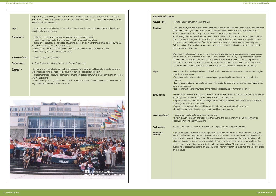#### **Produty between Women and Men**

1990s, the Republic of Congo suffered from political instability and armed conflict, including three civil wars, until the cease-fire was accorded in 1999. The civil wars had a devastating social if these successive wars and violence.

> mmunities are the top priorities of the war-torn country. Despite and community, cultural and traditional norms position women a mainstream reconstruction process at the community level. ses is essential and crucial to reflect their needs and priorities in

> been minimal. Women were under-represented in the executive, te. In 1999, women made up only two percent of the National Aider political participation of women is crucial, especially at a untry. Their needs and priorities should be fully addressed in the he new legal and institutional frameworks of the country.

blic office is low, and their representation is even smaller in region-

men's participation in politics and their rights to productive

about the electoral process and how they can be involved as vot-

he steps and skills required to run for public office.

mocracy and women's rights, and voters education to disseminate I how women can participate;

qislative and senatorial elections to equip them with the skills and

provisions into actual practices and norms; and es to provide advisory services.

aders; and

al frameworks and gaps in line with the Beijing Platform for

ion of Congolese Women Legal Professionals

political participation through voters' education and training for sed resource centres as a means to enhance their involvement in the country and ensure gender sensitive democratization; and ociation in setting up legal clinics to provide free legal consultaintegrity have been violated. This not only helps individual women, te the problems many women are faced with and raise awareness

|                               | employment, social welfare, participation in decision-making, and violence. It envisages that the establish-                                                                                                                                                                                                                                                                                                                                                                                          | <b>Republic of Congo</b> |                                                                                                              |
|-------------------------------|-------------------------------------------------------------------------------------------------------------------------------------------------------------------------------------------------------------------------------------------------------------------------------------------------------------------------------------------------------------------------------------------------------------------------------------------------------------------------------------------------------|--------------------------|--------------------------------------------------------------------------------------------------------------|
|                               | ment of effective institutional mechanisms and capacities for gender mainstreaming is the first step towards<br>gender equality in the country.                                                                                                                                                                                                                                                                                                                                                       | <b>Project Title:</b>    | <b>Promoting E</b>                                                                                           |
| Gaps:                         | . Lack of institutional mechanism and capacities to implement the Law on Gender Equality and Equity in a<br>coordinated and effective way.                                                                                                                                                                                                                                                                                                                                                            | Context:                 | During the 1<br>devastating<br>impact. Wor                                                                   |
| <b>Entry points:</b>          | • Establishment and capacity-building of a government gender machinery;<br>. Preparation of guidelines for the implementation of the Gender Equality Law;<br>. Peparation of a strategy and formation of working groups on the major thematic areas covered by the Law<br>to prepare the ground for its implementation;<br>. Integrating the Law into legal processes and procedures to ensure actual enforcement; and<br>. Public advocacy to raise awareness on the Law.                            |                          | Social reinte<br>their critical<br>as inferior to<br>Full participa<br>the reconstri<br>Women's po           |
| <b>Tools Developed:</b>       | • Gender Equality Law guidelines                                                                                                                                                                                                                                                                                                                                                                                                                                                                      |                          | legislative ar<br>Assembly ar                                                                                |
| <b>Partnerships:</b>          | BiH State Government, Gender Centres, UN Gender Group in BiH.                                                                                                                                                                                                                                                                                                                                                                                                                                         |                          | time of majo<br>decision-ma                                                                                  |
| <b>Innovative</b><br>aspects: | • Can serve as an example of a comprehensive approach to establish an institutional and legal mechanism<br>at the national level to promote gender equality in complex, post-conflict situations;<br>· Particular emphasis on ensuring coordination among key stakeholders, which is necessary to implement the<br>Law in practice; and<br>. Preparation of practical guidelines and manuals for judges and law enforcement personnel to ensure thor-<br>ough implementation and practice of the Law. | Gaps:                    | • Percentage<br>al and local<br>• Traditional<br>resources;<br>• Lack of op<br>ers and cand<br>• Lack of inf |
|                               |                                                                                                                                                                                                                                                                                                                                                                                                                                                                                                       | <b>Entry points:</b>     | • Nation-wid<br>knowledge a<br>• Support to<br>knowledge i<br>• Support to                                   |



|                        | vastating civil vidis, antii the cease me vv<br>impact. Women were the primary victims o<br>Social reintegration and rehabilitation of co<br>their critical role as care-givers of the family<br>as inferior to men, excluding them from the<br>Full participation of women in these proces<br>the reconstruction road-map. |
|------------------------|-----------------------------------------------------------------------------------------------------------------------------------------------------------------------------------------------------------------------------------------------------------------------------------------------------------------------------|
|                        | Women's political participation has always<br>legislative and judiciary branches of the Sta<br>Assembly and nine percent of the Senate. \<br>time of major transition to a democratic co<br>decision-making processes that will shape t                                                                                     |
| Gaps:                  | • Percentage of women in political and pul<br>al and local governments;<br>. Traditional and social norms that limit wo<br>resources;<br>. Lack of opportunities for women to learn<br>ers and candidates; and<br>• Lack of information and knowledge on th                                                                 |
| <b>Entry points:</b>   | · Nation-wide awareness campaigns on de<br>knowledge about the electoral process and<br>• Support to women candidates for local le<br>knowledge necessary to run for office;<br>· Support to translate gender-related legal<br>· Establishment of legal clinics in major citie                                              |
| Tools developed:       | • Training modules for potential women lea<br>. Review by women lawyers of existing leg.<br>Action, and resulting recommendations.                                                                                                                                                                                          |
| Partnerships:          | Ministry of Promotion of Women, Associati                                                                                                                                                                                                                                                                                   |
| Innovative<br>aspects: | · Systematic support to increase women's p<br>women candidates through community-ba<br>the post-conflict reconstruction process of t<br>• Partnership with the women lawyers' asse<br>tions to women whose rights and physical i<br>but also helps legal professionals to articula<br>on such issues.                       |
|                        |                                                                                                                                                                                                                                                                                                                             |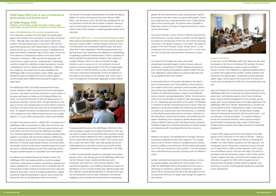gender into the macroeconomic policy making process. Specific local contexts were then chosen to organize field projects. There is thus a logical process of operationalization from a highly abstract goal to more concrete goals. This process makes it possible to relate direct outputs of a project to expected outcomes of achieving the ultimate goal.

The second Thematic Cluster, Women's Political Empowerment and Governance, was also chosen as another concrete objective to achieve the ultimate goal of the Fund. We find the same logical process in the design of projects in this cluster. The design of projects in the third Thematic Cluster, Gender and ICT, is less complicated than the first two clusters since ICT is a much more concrete concept than macroeconomic framework or governance.

The outputs of the projects are many, and include review/research/analytical papers, training manuals, advocacy handbooks, a virtual library (CD ROM), database of good practices, Gender Equality Law guidelines, website content and software applications. These products can easily provide ideas that can be applied to other local contexts.

A noteworthy feature of the projects described in this report is their innovative aspects such as the selection of the focal point (the recipient of the Fund's assistance) and the excellent partnership among critical stakeholders. The choice of focal point is not limited to an administrative body in charge of women/gender issues or women's groups/organizations. Rather, the focal point is chosen from among bodies in charge of trade, technology, statistics, etc., depending upon the theme of the project. This flexibility is important for gender mainstreaming to be a success. When the objective is to mainstream gender into institutional and state policy matters such as governance and macroeconomy, it is essential to have effective partnerships with line ministries; institutions at the international, national and local levels; and professionals and experts. Workshops and campaigns to gender-sensitize policy makers at different levels as well as the general public produced intended changes due to effective participation of relevant parties and networking with those beyond the local site, country or region.

Related to the above is the development of linkages with existing projects supported by other donor agencies. This strategy seems to be an efficient method of strengthening the existing project by adding a new dimension and also helps avoid duplication of the work necessary to start a project. It may also produce some multi-dimensional outcome of projects with two different origins.

Gender mainstreaming requires fact finding, advocacy, training for capacity building, and political will. Since its policy shift in 2000, the UNDP/Japan WID Fund has been the front-runner in attempting to mainstream a gender perspective in significant areas of life by sowing seeds through small-scale projects so that the outcomes will flourish on larger scales through the support of other donors.

#### **Lessons to be learnt**

As the donor of the UNDP/Japan WID Fund, Japan can also utilize the products of the Fund in its bilateral ODA activities. For example, the Fund followed-up on Japan's project to activate a women's centre in the Philippines by supporting targeted advocacy activities and support-service facilities. Another example is the narrowing of the gender gap in Guatemala's primary education system. Japan's aid focused on the construction of schools and human resource development while the Fund provided policy support.

Japan can benefit from several practices that are followed by the UNDP/Japan WID Fund: in particular, the logical framework of the project plan; and innovative aspects, which I have mentioned above. Projects should be designed to fit local contexts, but the project goal must be logically linked to the higher objectives of the UNDP/Japan WID Fund. Gender mainstreaming is a concept that has not gained common understanding in Japan, even among those in the circle of Japan's ODA. By learning the strategic method of selecting the focal point, partners and the tools – such as workshops, manuals and papers – for capacity building of human and institutional resources, which requires analytical research before making project plans, Japan's ODA projects should be able to produce more visible outcomes for sustainable development.

In March 2005, Japan launched the GAD Initiative at the 49th Session of the Commission on the Status of Women – 'Beijing + 10' – held in New York to replace the Women in Development Initiative. The GAD Initiative is based on the GAD approach, and incorporates many of the positive components found in the policies of major donors; it takes a holistic approach, which recognizes that different sectors of life are inter-linked. The GAD is in accordance with the framework of Japan's ODA Charter and the Charter's medium-term plan, but the fact that it begins with an affirmation of support for CSW's efforts towards women's empowerment and gender equality implies that gender mainstreaming is crucial for achieving gender equality for sustainable human development.



#### **UNDP/Japan WID Fund: A case of institutional good practice and lessons learnt**

#### **By Yoriko Meguro, Ph.D. Professor of Sociology, Sophia University, Tokyo, Japan (Representative of Japan to the UN Commission on the Status of Women)**

#### **Japan–UN collaboration for women's empowerment**  Since it became a member of the UN, Japan has actively participated in the activities of the Commission on the Status of Women (CSW). Although Japan was highly committed to advancing women in the international arena, it was only in 1991 that the government produced an ODA-related report on women in development and set up a unit focusing on women in development at

Japan International Cooperation Agency (JICA). Japan's launching of the Women in Development Initiative at the Fourth World Conference of Women in 1995 was the first declaration of its commitment to support women's empowerment in developing countries, though the underlying concept was based on 'women in development' and not 'gender and development.' Following the Conference, the Government of Japan established the UNDP/Japan WID Fund and located it within UNDP. Japan also initiated the action to establish the fund for violence against women located within UNIFEM and continued to support it as a major donor.

The UNDP/Japan WID Fund initially emphasized three areas, namely, education, health, and social and economic participation of women, and acted as a funding mechanism to assist women at the grass-roots levels as a follow-up to the Beijing Platform for Action. The Outcome Document of the 23rd Special Session of the General Assembly, 'Women 2000', brought attention to new areas of concern that emerged after the Fourth World Conference of Women and also to those areas that were of increased importance. The Agreed Conclusions and Resolutions coming out of the CSW meetings since then reflect renewed concerns such as globalization, ICT, post-conflict reconstruction, violence and HIV/AIDS.

As stated in the previous section, a radical shift in the approach of UNDP/Japan WID Fund took place in 2000, after the Fund's criteria were reviewed and renewed. With new external factors such as the MDGs, the role of the Fund was redefined, and shifted from funding project-based initiatives to providing upstream policy support in accordance with the transformations in UNDP policy. The new approach was to clarify and push forward the strategic dimension of thematic project-based activities, so that each grassroots project would not only produce specified outputs but would also result in logically-related outcomes that would help achieve the goal of gender equality for sustainable human development.

According to the Analytical Review by Thematic Clusters, the UNDP/Japan WID Fund redefined itself as a fund for strategic investments, emphasizing innovations, partnerships, dialogue and capacity development. In accordance with its revitalized role, the Fund has been actively investing its financial and human resources, despite its small scale, in areas of increasing significance in global contexts by implementing projects in specific local contexts with frameworks that can be replicated in other local contexts.

The themes of the projects selected by the Fund reflect the Beijing Platform for Action, the Outcome Document 'Women 2000', MDGs, and discussions at the CSW that have highlighted the critical importance of both the role of women in decision-making as well as of promoting the economic empowerment of women in order to make further progress in achieving gender equality at the state level.

**UNDP/Japan WID Fund - a case of institutional good practice**

After producing the Beijing Platform for Action and the Outcome Document 'Women 2000', a strong message coming out of the CSW discussions was to emphasize implementation and action rather than further negotiations. Identifying good practices and learning lessons from experiences was adopted as a methodology for speeding-up effective implementations. There is a tendency to take for granted that good practices produce clear outputs successfully. However, there is no clear-cut standard to judge whether a case is a success or not. An institution's minimum practice is to achieve goals set forth in the form of project objectives. In order to make the practice a success, the project plan must have a framework that logically connects the objective of the project to the mission of the institution itself. Only in such a case is the experience of the project applicable to other contexts.



I have examined the work of the UNDP/Japan WID Fund to find that the design of projects has a logical framework in which specific goals of a project (x) are meaningful tools to achieve a broader and more abstract objective (X) which is logically related to satisfy the mission/ultimate goal of the Fund(Y). Their success, possibly a unique case within UNDP, was made possible by the committed agreement by the donor and the Fund and the creative competence of the parties involved, including those in the fields.

In order to achieve gender equality for sustainable human development, which is the ultimate goal of the UNDP/Japan WID Fund, the first Thematic Cluster, Gender and Macroeconomic Framework, was chosen as a more concrete objective. Then, mainstreaming gender in non-traditional development issues was identified as a more concrete strategic goal. Operative goals were then selected to assess gender disparities in macroeconomic policies and frameworks such as trade, employment and national budgeting; and to develop user-friendly tools for incorporating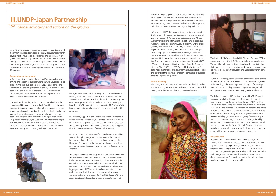markets through targeted advocacy activities and strengthening pilot support-service facilities for women entrepreneurs at the provincial level. The programme also offers a coherent response system of strategic support-service mechanisms and strengthens institutions to promote access to employment opportunities.

In Cameroon, UNDP discovered a strategic entry point for using the benefits of ICT to promote the economic empowerment of women. The project Develop E-competencies among African Women for Local and International Markets' aims to assist the Association pour le Soutien et l'Appui a la Femme Entrepreneur (ASAFE,) a local women's business organization, in serving as a regional hub of ICT training for women and women entrepreneurs. The project aims to develop ICT training modules for women who seek ICT-related jobs and for women entrepreneurs who want to improve their management and marketing capacities. Training courses are provided at the state-of-the-art ASAFE ICT centre, which was built with assistance from the Government of Japan. The UNDP/Japan WID Fund added value to Japan's grass-roots assistance by providing technical support to strengthen the contents of the centre and broadening the scope of the assistance to employment generation.

#### **Global advocacy**

The strength of the UNDP-Japan partnership also lies in its ability to translate progress on the ground into advocacy tools for global poverty reduction and sustainable human development.



The Joint UNDP-JICA workshop held in Tokyo in February 2002 is an example of a fruitful UNDP-Japan global advocacy endeavour. The event brought together international gender experts to share their experiences and good practices and make recommendations relevant to global poverty reduction and sustainable human development.

During the workshop, leading Japanese scholars and other experts from JICA, UNDP and NGOs focused on the challenges of gender mainstreaming in the issues of peace-building, ICT for development, and HIV/AIDS. They presented corporate strategies and good practices with a view to promoting greater collaboration.

The following year in 2003, the first field-level UNDP-JICA joint workshop was held in Phnom Penh (Cambodia). It brought together gender experts and focal points from UNDP and JICA offices in the neighboring countries to discuss gender dimensions of the MDGs and methods of mainstreaming gender in the efforts to achieve MDGs. UNDP, as a scorekeeper and campaign manager for MDGs, presented entry points for engendering the MDG process, including gender sensitive budgeting (GSB) as a way to track commitments through investments. Challenges faced by grass-roots communities were reported on by JICA experts, which was timely given that the focus of the MDGs was shifting from global commitments to national action that aims to transform the everyday life of poor women and men in communities.

#### **Ways forward**

At the UNDP/Japan WID Fund's 10th Anniversary Symposium, UNDP and the Government of Japan will discuss ways of furthering their partnership to promote gender equality and women's empowerment. The partnership will build on the UNDP/Japan WID Fund's 10 years of experience, during which many innovative and strategic interventions have changed the lives of women in developing countries. This continued partnership will contribute greatly to global efforts to achieve MDGs.



When UNDP and Japan formed a partnership in 1995, they shared a common goal: to achieve gender equality for sustainable human development. They pooled their expertise and experiences in programme countries to help to build capacities from the community to the global level. Today, the UNDP-Japan collaboration, through the UNDP/Japan WID Fund, has flourished, becoming a worldwide network of activities that has changed the lives of poor women in 41 countries.

#### **Cooperation on the ground**

In Guatemala, two projects – the National Seminar on Education of Girls, and Support to the Programme on Girls' Education – best exemplify the field-level success of the UNDP-Japan partnership. Eliminating the existing gender gap in primary education has long been at the top of the list of priorities of the Government of Guatemala, and UNDP and Japan have been supporting the Ministry of Education in this important step.

Japan assisted the Ministry in the construction of schools and the promotion of bilingual teaching methods (Spanish and indigenous languages). Its strategic approach also included supporting human resource development to build institutional capacities that will create sustainable girls' education programmes. To this end, Japan has been dispatching education experts from the Japan International Cooperation Agency (JICA) to Guatemala. Volunteer specialists provide advice on administrative as well as pedagogical issues to Guatemalan teachers and administrators, who, in turn, are invited to Japan to participate in a training exchange programme.





UNDP, on the other hand, lends policy support to the Guatemala Ministry of Education. In accordance with the provisions of the 1996 Peace Accords, UNDP assisted the Ministry in reforming the educational system to include gender equality as a central goal. In addition, UNDP has contributed, through the UNDP/Japan WID Fund project, to the development of a five-year strategy for girls' education.

UNDP's policy support, in combination with Japan's assistance in human resource development, has created a synergy that is helping to narrow the gender gap in the country's primary education. The partnership is paving the road that will lead to better opportunities for the new generation of Guatemalan women.

In the Philippines, the Programme for the Advancement of Filipino Women through Strategic Support Mechanisms for Economic Empowerment is another success story. It aims to support the Philippines Plan for Gender Responsive Development as well as national policies on the development of micro, cottage and small enterprises.

The programme builds on the capacities of the Technical Education and Skills Development Authority (TESDA) women's centre, which is a large-scale vocational training facility built with Japanese bilateral assistance. JICA provided technical assistance to develop staff and institutional capacities to run needs-oriented vocational training programmes. UNDP helped strengthen the contents of the centre to establish a link between the vocational training programmes and employment opportunities. UNDP/Japan WID Fund support strategically focused on increasing access to credit and

## **III. UNDP-Japan Partnership**

 $\sqrt[6]{9^\circ}$  Global advocacy and actions on the ground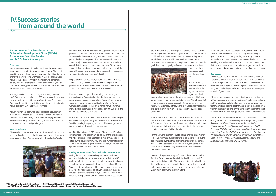ties and change agents working within the grass-roots networks." The dialogues with the women helped to illuminate how the MDGs could work to improve women's lives. For instance, they helped explain how the goal on child mortality is also about women because women are the primary caregivers of children, and how the goal of reducing hunger by half was also a women's issue since



women are the primary providers of food for their families.

In Garissa district, a woman named Halima received a letter inviting her to the dia-

logues, and this is what she had to say, "When the letter inviting me to this forum came, I called my son to read the letter for me. When I heard that it was a meeting to discuss issues affecting women I was very happy. My hope today is that we shall not just discuss these issues and leave them in this room, but that something will be done about them."

Halima cannot read or write and she represents 93 percent of women in North Eastern Province who are illiterate. This compares to 70 percent of men who are illiterate. For Halima and millions of other women, their lack of education is rooted in the negative societal perceptions of girls' education.

For the MDGs to be meaningful to Halima and the other women like her, government authorities have to do more to reach out to girls who are prevented from attending school even though it is free. "This free education is not free for everyone. Some of us have even no schools nearby where we can take our children," one woman lamented.

Insecurity also presents many difficulties in the access to medical facilities. There is only one hospital, five health centres and 15 dispensaries in Garissa district. The average distance to a health centre is 50 kilometers. In addition to the geographical distance and lack of paved and secure roads, there is the cost of hospital care, which many poor women cannot afford.

#### **Raising women's voices through the Millennium Development Goals (MDGs): Experiences from the Gender and MDGs Project in Kenya\* 1**

#### **Overview**

Numerous development strategies over the past decades have failed to yield results for the poor women of Kenya. The question asked by many of these women now is can the MDGs deliver on improving their lives. The UNDP project, Gender and MDGs in Kenya, is trying to do just that by mainstreaming gender into poverty reduction strategies at all levels of government, and to start, by promoting poor women's voices so that the MDGs work for women in the poorest communities.

In 2004, a workshop on community-level poverty dialogues on the MDGs was conducted among 800 poor women, local government authorities and district leaders from Kisuma, Rachuonyo, Garissa and Ijara districts located in two of the poorest regions in Kenya, the North East and Nyanza Provinces.

## **IV. Success stories from around the world**

Kenyan women are clearly fed up and skeptical about government promises not delivered. Says a local women's advocate in the North Eastern Province, "We are tired of empty promises. We stand here today to demand our rights in line with the MDGs on poverty, education and gender gaps."

#### **Women in Kenya**

"If gender is not mainstreamed at all levels through policies and legislation, poverty will continue to stalk Kenyan women especially in marginalized regions," stated Alice Manan, a Media Consultant in Nairobi.



In Kenya, more than 56 percent of the population lives below the poverty line, of which more than half are women. The number of female-headed households has grown to 32 percent, of which 80 percent live below the poverty line. Macroeconomic reforms and structural adjustment programmes over the past decades have done little to improve opportunities for women. Studies have shown that women bear a disproportionately large share of the costs of these reforms, and see little of the benefit ('The Working Group on Gender and Economics', 1995).

Despite the new, democratically elected government that was formed in 2002, Kenyans still face major challenges in terms of poverty, HIV/AIDS and other diseases, and a lack of vital infrastructure such as paved roads, clean water and sanitation.

Kenya also faces a huge task in reducing child mortality and maternal deaths. During the last decade, there has been little improvement in access to hospitals, doctors or other trained professionals to assist women in childbirth. Most poor Kenyan women continue to bear children at home. Kenya's maternal mortality ratio is estimated at 414 deaths per 100,000 live births ('Kenya: Gender Facts and Figures', 2003).

In an attempt to reverse some of these trends and make progress on the education goals, the government enacted a legislation in 2003 introducing free primary education. However, girls are still not enjoying the full benefits of this new law.

As Mitha Nazim from UNICEF explains, "More than 1.5 million girls of school-going age remain locked out of the school despite the introduction and implementation of free primary school education by the government in 2003. This high number of girls not going to school poses a great challenge for Kenya's future development and her attainment of the MDGs."

#### **Raising women's voices from the local to national level**

During the MDG and poverty dialogues several key issues emerged. Initially, the women were skeptical that the MDGs could work for them. However, as they learnt more, they began to feel empowered. A journalist from the Association of Media Women in Kenya, who covered the event in print and on television, reports, "[F]or the poorest of women in Kenya these dialogues on the MDGs acted as an eye opener. The women now boldly demand provisions of basic services from the local authori-

**\* 1 This is a multi-funded project with assistance from UNDP/Japan WID Fund, UK Department of International Development, and UNDP Poverty Thematic Trust Fund. The project supports five pilot projects in Kenya, Peru, Morocco, Cambodia, and Kyrgyzstan.**

Finally, the lack of vital infrastructure such as clean water and sanitation is a major concern for women. Many women and girls spend one to two hours a day hauling water along unsafe and unpaved roads. The women want their national leaders to prioritize providing safe and accessible water sources to the community so that the hours spent in search of water in dangerous conditions can be converted into more productive use of their time and work.

#### **Key lessons**

The mandate is obvious. The MDGs must be made to work for Kenyan women at all levels of society. Starting at the community level to raise poor women's voices and address their concerns is one sure way to empower women to play a central role in formulating and monitoring MDG-based poverty reduction strategies at all levels of government.

"Approaching gender as a cross-cutting issue in addressing the MDGs is essential as women are at the centre of poverty in Kenya and the rest of Africa. Failure to mainstream gender would be tantamount to addressing less than 20 per cent of the problem as women define poverty and on the same breath present the greatest opportunity for addressing the same." AMWIK representative.

*This article is a summary from a collection of interviews conducted during the MDG and Poverty Dialogues in Kenya, 2003, by the Association of Media Women in Kenya, Womankind and Women's Action Forum Network, with support from UNDP Gender and MDG Project, executed by UNIFEM. It drew secondary information from the UNIFEM media briefing kit, 'A Fair Share for Women: A Briefing Kit on Gender and Millennium Development Goals – Kenya'. Principal authors are Frederick Ochieng and Nyaradzai Gumbonzvanda, UNIFEM Kenya.*

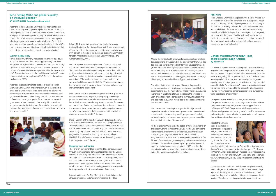#### **Gender mainstreaming: UNDP links energies across Latin America By Beiby Vaca**

Do people in Ecuador know what people in Argentina are doing on governance and political participation with a gender perspective? Do people in Argentina know what progress Colombia has made in integrating this perspective into local and national citizen security policies? How much do those who promote gender equality know about progress and experiences in other countries around the Latin American region? How many good practices do we have on hand to respond to the frequently asked question: How do we mainstream a gender perspective into our organizations' policies and programmes?

To respond to these and other questions, the Knowledge Management Platform on Gender Equality in Latin America and the Caribbean started in July 2005, with economic support from the UNDP/Japan WID Fund. This project aims to link up energies and efforts around gender mainstreaming made in the different countries and in settings including academia, the public sector, social organizations and international donor agencies.

Despite the advances made in the region in recent years, compared to men, women are still less likely to receive an education, to earn a decent living, to run for office or to run corporations, or to



even feel safe in their own homes. This is still the situation, even though 30 years have gone by since the first World Conference on Women, where strategies were mapped out to make societies more just for women and men, with equal rights and opportunities. Greater incentives, energy and political commitment are still needed.

Latin America has produced a veritable cornucopia of research, methodologies, tools and experts on this subject. Even so, large segments of society are still unaware of this information and argue that they lack the tools for putting a gender perspective into practice. Therefore, a pending priority is to systematize these

In Peru, 20.4 percent of households are headed by women (National Institute of Statistics and Informatics). Women represent 47 percent of the total labour force, but their per capita income is 50.4 percent of men's per capita income (Economic Commission for Latin America and the Caribbean, Country Profiles, Peru, Gender Statistics, 2005).

Peruvian women are increasingly aware of this inequality, and this has motivated them to work through their organizations. The project has offered the opportunity to provide them with new tools, as Nelly Damián of the Task Force on Oversight of Sexual and Reproductive Rights in the district of Independencia (Lima) pointed out, "The workshops have been important, and all women should know about the MDGs. We women have rights, but we are generally unaware of them. The organization is helping women stand up and fight."

Nelly Damián said that understanding the MDGs has given her a greater ability to make proposals in the participatory budget process in her district, especially in the areas of health and violence. Work is currently under way to set up a shelter for women who are victims of violence. "We know that at the World Summit, the government committed to combat violence against women, so we're gong to demand that it provide our district with the resources to open the shelter," she said.

Dorila Huamán, of the district of San Juan de Lurigancho (Lima), who is also a member of the Task Force on Oversight of Sexual and Reproductive Rights, said that understanding the MDGs has reinforced her work, which is aimed at youth. "We are concerned about our young people. There are more and more unwanted pregnancies, more and more young people infected with HIV/AIDS. The MDGs are a new avenue for demanding support from the government," she said.

According to Blanca Fernández, director of the Flora Tristán Women's Center, which implemented much of the project, a great deal of work remains to be done before the country will acknowledge that poverty affects women differently because of gender considerations. "Even though statistics demonstrate this differentiated impact, the gender focus does not permeate all government action," she said. "That is why this project is so important, despite the limitations of the MDGs, because it will measure the commitment of governments to the issues of poverty and gender equality."



#### **Response from authorities**

The Peruvian government has committed to a gender approach through conventions and agreements promoted by the United Nations, as well as by inter-American and Andean Region bodies. This approach is also incorporated into national legislation, from the Constitution to the National Accord signed in 2002 by the government, political parties and other sectors of civil society, which proposes policies for the coming years that are designed to lay the groundwork for the consolidation of democracy.

In public statements, Dr. Pilar Mazzetti, the Health Minister, has always expressed her sector's interest in reaching the MDGs.



Making the right to health a reality in Peru requires efforts by all sectors, according to Dr. Mazzetti, but she believes that "the two indicators proposed for following up the Millennium Development Goals (maternal mortality and the percentage of births attended by skilled health personnel) are an inadequate basis for analysing maternal health." She believes that it is "indispensable to include other indicators, such as unmet demand for family planning services, percentage of teen pregnancies and incidence of gynecological cancer."

She added that the poorest people, "because they have less access to education and health care, are the ones most likely to become ill and die. The most relevant impact, therefore, would be in changes in health indicators, an increase in the coverage of users protected by some contraceptive method, attended births and post-natal care, which would lead to a decrease in maternal and infant mortality."

She stressed that "meeting the targets for this objective will depend exclusively on the Peruvian government's interest in and commitment to implementing specific programmes aimed at excluded populations, to overcome the great gaps or inequalities that exist in the interior of the country."

At the local government level, the district of Jesús María has taken the lead in working to make the MDGs a reality. One participant in the meeting of government officials was Jesús María Mayor Carlos Bringas Claeyssen, whose district has a Women's Programme with activities that "are designed to contribute to fulfillment of the MDGs on gender equality and women's self-determination." He stated that women's participation has been most significant in local government activities in 2005, and that the municipality is placing an emphasis on generating revenue, developing skills and improving health and welfare.

#### **Peru: Putting MDGs and gender equality on the public agenda\*<sup>2</sup>**

**By Gaby Cevasco (Peruvian journalist and writer)**

According to Jorge Chediek, UNDP Resident Representative in Lima, "The integration of gender aspects into the MDGs has concrete significance: none of the MDGs will be reached unless there is progress in the area of gender equality." Chediek added that the project "first of all, places women's needs on the MDG agenda, allowing progress to be made in various indicators. Secondly, it seeks to ensure that a gender perspective is included in the MDGs, making gender a cross-cutting issue not only in the indicators, but also in design, implementation, monitoring and evaluation."

#### **Women in Peru today**

Peru is a country with many inequalities, which have a particular impact on women. Of the country's approximately 28 million inhabitants, 54.8 percent live in poverty, and the rate is especially high in rural areas and among women. On the rural coast, 50.8 percent of women live in extreme poverty, while the same is true of 47.2 percent of women in the rural highlands and 48.3 percent of women in the rural jungle areas (FAO Report on the state of rural women, 2005).

#### **Reflections**

Jorge Chediek, UNDP Residentepresentative in Peru, stressed that the integration of a gender dimension into public policies has an impact on the very concept of good governance. "Such integration leads to a reconfiguration of the public and private spheres and a redefinition of the state and its relationship with society," he said. He added that in practice, "the integration of the gender dimension into the design of public policies allows for a more equitable and inclusive model of governance, better focusing of the emphasis of public policy, and results that have a greater impact and are more sustainable."

**\* 2 Ibid.**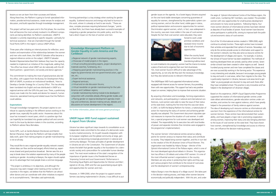gender issues on the agenda. As a Soviet legacy Ukraine acquired on the one hand stable stereotypes concerning guarantees of equality for women, strengthened by the paternalistic system concerning women, and on the other hand, visible gaps in status, political representation and economic opportunities for women. Discrimination against women, which, in fact, was widespread in the country, was even more visible in the case of rural women. Despite the fact that rural women were educated, they were



forced to work under primitive conditions and received minor income due to lack of economic opportunities.

When the country faced 'division of land into shares' (transferring kolkhoz land

to rural inhabitants into property), women had the chance to receive a piece of land and to organize their own farm-businesses. Yet, most women found it difficult to take advantage of this opportunity, as not only did they lack the necessary knowledge, but they also lacked access to relevant information.

The UNDP/Japan WID Fund supported informational centres equipped with Internet access for women farmers, thus providing them with new opportunities. This support has had a very positive impact on women, helping them to improve their economic situation.

By acquiring information and knowledge, forming organizations and networks, and participating in national and international conferences, rural women were able to raise the issue of their status at the state level, marking the first time that this was ever done. In 2001, to fulfill the Beijing Platform for Action, a national plan of action for improving the status of women and achieving gender equality was adopted. This Government document stipulates special measures to improve the situation of rural women. In addition, a special programme for rural women was developed and initiated. The responsibility for its execution lies with local bodies of power and separate ministries (five ministries were engaged in the programme's implementation).

The women farmers' informational centres served as rallying points for women anxious to improve their status and contribute to society. They helped bring women together, and this in turn led to the creation of the All Ukrainian Union of Rural Women. This organization was headed by Halyna Skarga – director of the Zykivsk Informational Centre of the Poltava region, which is one of the most developed agricultural oblasts in Ukraine. This organization has offices in 20 oblasts and unites 4187 women. It is one of the most influential women's organizations in the country. Members are very active in protecting their rights and they support various projects that contribute to the revival of rural areas and the development of women's entrepreneurship.

Halyna Skarga is now the deputy of a village council. She takes part in the decision making process, and helps other women become economically and politically independent. With this aim, and under

the aegis of Zykivsk Informational Centre of the Poltava region, the credit union, numbering 587 members, was created. This provided women with new opportunities for small business development and answers to many social questions. Following Halyna, four more women directors of informational centres have been elected as deputies of local bodies of power. Rural women have become active participants in political life, striving to improve both the political and economic status of rural women.

Out of the 10 informational centres created in 1999-2000, eight continue to actively function. These eight centres have increased their activities and expanded their sphere of services. Nowadays, not only do the centres provide access to information and support to the women's network, but they also serve as resource centres for the development of villages and rayons. For example, in Zynkov, the School of Future Farmer has been established. The methods of teaching developed there are actively used by other centres. Seven similar schools have been created in other regions as well. Several hundred young women and men have completed the classes and are now successfully working in the farming sector. This experience is very interesting and valuable, because it encourages young people to stay and work in rural areas, rather than migrate to the cities. This is particularly important in Ukraine, because rural areas tend to get 'older' as young people are reluctant to stay and work there after they have completed school. This practice is very innovative and has helped in the development of Ukrainian villages.

Based on this experience, UNDP's Equal Opportunities Programme supported the creation of informational gender centres under state oblast administrations; gender education centres under universities; and centres for men against violence, which have greatly helped in the prevention of family violence against women. The idea of developing such resource centres as informational cells was born from the experience of the informational centres for women-farmers. These centres have demonstrated their sustainability, and have played a major role in promoting cooperation among women, improving their status and also bringing attention to the issues of rural women at the state level. They have shown how women, strengthened by knowledge and access to information, can influence the decision-making process.



lessons so we can learn from their successes and failures. Along these lines, the Platform is going to furnish specialized information, provide technical assistance, create venues for analysis and discussion, and build capacities through knowledge management.

This project will last two years and in this first phase, the countries that will become the most actively involved in its different components are being identified. As Platform coordinator, UNDP El Salvador is currently responding to specific requests—primarily for technical assistance—that are channeled through the Gender Focal Points (GFP) in the region's various UNDP offices.

Three years after initiating an internal process for reflection, sensitization and examination of the relationships between the women and men who work there, the UNDP El Salvador office became a regional reference centre on the subject. UNDP El Salvador Resident Representative Beat Rohr believes they have the capacity needed to implement an initiative of this magnitude, adding that, "the office has shown what UNDP can do nationally with the different partners—government, civil society and donor agencies."

This commitment to making the most of good practices also led this office, with support from the Bureau for Development Policy (BDP of UNDP), to produce an institutional handbook, 'How to Develop a Gender Strategy for a Country Office'. This has already been translated into English and was distributed in UNDP at a regional seminar with the GFPs this past June. There, a preliminary inquiry was made into the needs and desires for research, human resources, specialized training and related issues that the Platform could address.

#### **Expectations**

Through knowledge management, this project aspires to contribute to capacity building in the different sectors working on the gender issue, especially the public sector. Awareness about this issue has increased in recent years, which is a positive sign that can hopefully be translated into greater political will and commitment to the issue by decision-makers in the countries, according to Platform advisor Neus Bernabeu.

Some GFPs, such as Sandra Bareyre (Honduras) and Marión Bernier (Panama), hope that the Platform will help simplify their daily work, given that making progress on gender mainstreaming is not at all easy.

They would like to see a regional gender equality network created, where ideas can flow and be exchanged, efforts linked up, experiences shared and good practices broadcast. Bernier sees this as a way to break down the isolation experienced by many of the people working on gender. According to Bareyre, the region should capitalize on its advantage that most people share a common language.

"The project is ambitious in its objectives, and although the resources may seem meager when looking at the number of countries in the region, we believe that the Platform can attract other donors and can coordinate with other initiatives to expand on its accomplishments," Bernabeu said optimistically.

Forming partnerships is a key strategy when working for gender equality. Scattered resources and energy only lead to burnout in this work, where it is already so hard to see results. "These are slow, complex processes requiring behavioral changes," points out Beat Rohr, but there have already been successful examples of integrating a gender perspective into public policy, and this has had a direct impact on the lives of women and men.

#### **Knowledge Management Platform on Gender Equality in Latin America and the Caribbean**

❏ Regional network of gender mainstreaming experts; ❏ Showcase of model projects in the region; ❏ Virtual consulting (providing experts, project development, materials searches, fundraising, etc.); ❏ Mapping good gender mainstreaming practices in the region by governmental and non-governmental actors, agencies, etc.; ❏ Expert technical assistance; ❏ Regional seminars; ❏ Virtual and on-site discussion forums; ❏ Virtual newsletter on gender mainstreaming for the Latin America and Caribbean regions; ❏ Gender mainstreaming training module to be developed in

conjunction with universities already offering gender studies; and ❏ Placing gender on regional development agendas (meetings and conferences, decision-making venues, debates and discussions on human development in the region).

*For further information, please visit www.genero-pnud.org.sv*

#### **UNDP/Japan WID Fund support sustained: A report from Ukraine**

Ukraine has taken significant steps towards its consolidation as an independent state committed to the values of a democratic society and a market-economy. On its path towards integration with its European neighbors and the global community at large, gender issues are becoming increasingly prominent in national and community dialogue. The basic principles of gender development in Ukraine are set in the Constitution. The Government of Ukraine shares the belief that gender equality is the foundation for a democratic society and a precondition for sustainable human development. The most recent evidence of the state's recognition of the importance of gender issues is the Presidential Decree on 'Improving Central and Local Governments' Performance in Promoting Equal Rights and Opportunities for Women and Men', signed on 26 July, 2005 and the Law guaranteeing equal rights and opportunities for women and men.

However, in 1999-2000, when the project to support women farmers was being implemented in Ukraine, it was difficult to put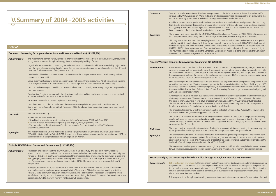n produced on the *Ashenda* festival activities. The festival itself and and articles appeared in local newspapers (we are still awaiting the icating the number of productions etc.)

In prepared and is to be distributed to all partners. The UN country ted a brief summary of the gender study to be used as an advocacy ddress gender and women's issues in public forums. A draft has uted in November 2005.

AIDS and Development Programme (2002-2006), which comprises nunity Conversations, mainstreaming and arts and media.

ehaviors and norms that fuel the spread of HIV/AIDS. The gender tween gender issues and the spread of HIV/AIDS that will feed into ations. Furthermore, in collaboration with UN Headquarters and unity Conversations methodology that focuses on women's rights. r and Development Project to expand and upscale the Community ar issue.

#### **S** \$250,000)

f local NGOs, women's development centres, MFIs, women's busiand capacity to absorb technology, and on the opportunities within local environments (LG). This has provided a baseline on ocal government agencies (LGA) and has also provided an inventory their businesses.

nd women's development centres to implement components of the panized for the partners in Port Harcourt from 15–17 August, 2005 officers, and selected staff from Ministry of Women's Affairs in the States. The meeting focused on gender responsive budgeting and

which helped identify the three participating local government counjunction with local NGOs and in collaboration with the states' osals were received and three NGOs were eventually selected. cracy, Peace & Justice, Community Partners for Development, and ned with the NGO partners.

tion of its first set of activities in July-August 2005. However, the al officials.

dged their commitment to the success of the project by providing and by supporting the women's development centres that will anchor the project in their respective to support in the projections. The interest in the interest in the inte

During the assessment missions and training, it was made very clear bject was being funded by UNDP/Japan WID Fund.

ut of mainstreaming gender responsive policies into national develcitizenry in governance through increased access to information, of capacities for good governance and service delivery at decentral- $MDGs$  1, 3 and 7.

ong local government officials who have pledged their commitment reneurship and strengthening of women's development centres.

#### gh Strategic Partnerships (US \$236,500)

|                     | V. Summary of 2004 - 2005 activities                                                                                                                                                                                                                                                                                                                                                                                                                                                                                                                                                                                 |
|---------------------|----------------------------------------------------------------------------------------------------------------------------------------------------------------------------------------------------------------------------------------------------------------------------------------------------------------------------------------------------------------------------------------------------------------------------------------------------------------------------------------------------------------------------------------------------------------------------------------------------------------------|
| <b>AFRICA</b>       | Cameroon: Developing E-competencies for Local and International Markets (US \$289,900)                                                                                                                                                                                                                                                                                                                                                                                                                                                                                                                               |
| <b>Achievements</b> | The implementing partner, ASAFE, carried out interventions at three levels: advocacy around ICT issues, empowering<br>young men and women through technology literacy, and capacity building of ASAFE.                                                                                                                                                                                                                                                                                                                                                                                                               |
|                     | Organized a seminar-workshop on writing for websites for media professionals, which was attended by 12 journalists<br>from the national audio-visual and written press. Trained journalists on the wide gamut of opportunities that ICT, and<br>more specifically the Internet, offers (18 March, 2005).                                                                                                                                                                                                                                                                                                             |
|                     | Developed multimedia CD ROMS that demonstrate vocational training techniques (see Outreach below), and are<br>being used in communities.                                                                                                                                                                                                                                                                                                                                                                                                                                                                             |
|                     | Set up a community resource centre for entrepreneurs with limited financial resources. ASAFE trainers help entrepre-<br>neurs integrate the use of ICT in their business. On an average, four to five women seek this service daily.                                                                                                                                                                                                                                                                                                                                                                                 |
|                     | Launched an inter-college competition to create school websites on 16 April, 2005. Brought together computer clubs<br>from four colleges.                                                                                                                                                                                                                                                                                                                                                                                                                                                                            |
|                     | Developed an IT training package with three training modules: job seeking, creating an enterprise, and hundreds of<br>addresses and useful contacts - the ASAFE database.                                                                                                                                                                                                                                                                                                                                                                                                                                            |
|                     | An intranet solution for 20 users is in place and functioning.                                                                                                                                                                                                                                                                                                                                                                                                                                                                                                                                                       |
|                     | Completed a report on the national ICT employment seminar on policies and practices for decision makers in<br>Cameroon, held in Yaoundé from 26-28 November, 2003. Conducted three studies to measure the e-readiness of<br>Cameroon.                                                                                                                                                                                                                                                                                                                                                                                |
| <b>Outreach</b>     | Website: www.asafe.org                                                                                                                                                                                                                                                                                                                                                                                                                                                                                                                                                                                               |
|                     | Three CD ROMs were produced:<br>· Unlocking the potential for wealth creation: une brève présentation de ASAFE réalisée en 2003;<br>• Training materials on manufacturing of soap and yoghurt, and dying of cloth; and<br>. Two presentations: 1) networking or Cisco by two students; 2) an old student from ASAFE in her own<br>telephone/business booth                                                                                                                                                                                                                                                           |
| <b>Synergies</b>    | This initiative feeds into UNDP's work under the Third Tokyo International Conference on African Development<br>(TICAD III) initiative. Both the Suivi de TICAD III project and this project are working together for a better use of ICT for<br>the development of the private sector with an emphasis on women.                                                                                                                                                                                                                                                                                                    |
|                     | Ethiopia: HIV/AIDS and Gender and Development (US \$348,434)                                                                                                                                                                                                                                                                                                                                                                                                                                                                                                                                                         |
| <b>Achievements</b> | Finalization and publication of the 'HIV/AIDS and Gender in Ethiopia' study. This case study from two regions<br>attempts to: 1) document the basic cultural norms, attitudes and values that render women and the community vul-<br>nerable to HIV/AIDS; 2) identify existing social capital that are accepted and practiced by the community at large; and<br>3) suggest programme/policy interventions to bring about individual and societal changes in attitudes towards gen-<br>der. This report was presented to all donor representatives, NGOs, UN agencies, etc., at a workshop held on 10<br>August 2004. |
|                     | In August /September 2005, various HIV/AIDS activities were mainstreamed into the traditional festival Ashenda,<br>which celebrates the coming of age of young girls in the Tigray region. This led to several girls getting tested for<br>HIV/AIDS, and a community discussion on HIV/AIDS issues. The Tigray Women's Association facilitated the events.<br>As a follow-up activity and to build on the momentum created during the festival, Community Conversations that are<br>specially structured to deal with women's rights issues will be conducted.                                                       |

*Achievements* **ICT sensitization workshop**: ICT for information and entrepreneurship. Built awareness and shared experiences on werment. Participants came from both the private and public secting in ICT. The workshop addressed the potential of the Internet to rs such as business-oriented organizations within Rwanda and

ramme to ensure that members of women's organizations that had

| <b>Outreach</b>     | Several local media productions/articles have beer<br>its focus on HIV/AIDS was aired on TV and radio,<br>reports from the Tigray Women's Association indi                                                                                                                                                      |
|---------------------|-----------------------------------------------------------------------------------------------------------------------------------------------------------------------------------------------------------------------------------------------------------------------------------------------------------------|
|                     | A publishable report on the gender study has bee<br>team Gender and Advocacy Taskforce has prepar<br>tool by policy makers and heads of agencies to ac<br>been prepared and the final version will be distrib                                                                                                   |
| <b>Synergies</b>    | The programme is closely linked to the UNDP HIV.<br>of a Leadership Development Programme, Comm                                                                                                                                                                                                                 |
|                     | This programme aims to address the underlying b<br>study has provided sound data on the linkages be<br>mainstreaming activities and Community Convers<br>UNIFEM, UNDP Ethiopia is piloting a new Commu<br>This new methodology will be used in the Gender<br>Conversations in areas where gender is a particula |
|                     | Nigeria: Women's Economic Empowerment Programme (U!                                                                                                                                                                                                                                                             |
| <b>Achievements</b> | An assessment was undertaken on the capacity o<br>nesses and groups, on their potentials for growth<br>local environment for business diversification in th<br>the socio-economic status of the women in the Ic<br>of the opportunities available to women to grow                                              |
|                     | Start-up training of the staff of identified NGOs ar<br>project has been carried out. This training was org<br>for elected LG officials, planning and budgeting o<br>three selected LG of Akwa Ibom, Delta and Rivers<br>women's economic empowerment.                                                          |
|                     | A management structure has been put in place, v<br>cils through an assessment. This was done in conj<br>Ministries of Women's Affairs. A total of 25 propo<br>The selected NGOs are the Afro Centre for Demo<br>Development Initiatives. Contracts have been sign                                               |
|                     | This project started recently, with the implementa<br>training carried out has gained the support of loca                                                                                                                                                                                                       |
|                     | The Chairmen of the three local councils have ple<br>counterpart resources to ensure its sustainability a<br>anchor the project in their respective LGs. There is<br>nesses within the LG councils.                                                                                                             |
| <b>Outreach</b>     | The project has just completed start-up activities.<br>to the government and local partners that the pro                                                                                                                                                                                                        |
| <b>Synergies</b>    | This project contributes to UNDP's expected outp<br>opment, as well as improving participation of the<br>adoption of relevant ICT tools, and strengthening<br>ized levels. Over all, this project contributes to the                                                                                            |
|                     | The programme has already gained acceptance am<br>to GSB, which includes support for women entrepi                                                                                                                                                                                                              |
|                     |                                                                                                                                                                                                                                                                                                                 |
|                     | Rwanda: Bridging the Gender Digital Divide in Africa throu                                                                                                                                                                                                                                                      |
| <b>Achievements</b> | ICT sensitization workshop: ICT for information<br>the potential of ICT for women's economic empo<br>tors, as well as from women's organizations work<br>enhance communication among potential partne<br>abroad, and to explore new markets.                                                                    |
|                     | Follow-up was done through a post-training prog                                                                                                                                                                                                                                                                 |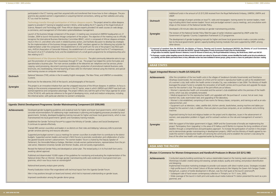Additional funds in the amount of US \$15,500 received from the Royal Netherlands Embassy, UNIFEM, UNFPA and

Frequent coverage of project activities on local TV, radio and newspapers: training events for women leaders, meetings including district level women leaders' forum and pre-budget women's caucus meetings, and consultative workshops on the revision of the National Gender Policy.

|                                         | participated in the ICT training used their acquired skills and transferred their know-how to their colleagues. The pro-<br>gramme also assisted women's organizations in acquiring Internet connections, setting up their websites and using<br>ICT as a tool for business.                                                                                                                                                                                                                                                                                                                                  |                             | Additional funds in the amount of US<br>UNDP.                                                                                                                                                                                                                                                 |
|-----------------------------------------|---------------------------------------------------------------------------------------------------------------------------------------------------------------------------------------------------------------------------------------------------------------------------------------------------------------------------------------------------------------------------------------------------------------------------------------------------------------------------------------------------------------------------------------------------------------------------------------------------------------|-----------------------------|-----------------------------------------------------------------------------------------------------------------------------------------------------------------------------------------------------------------------------------------------------------------------------------------------|
|                                         | Technology transfer through participation of African diaspora experts. The project aimed to utilize diaspora<br>experts to provide ICT training to targeted women's NGOs, while building the ICT capacity of the Kigali Institute of<br>Science, Research and Technology staff. Three African diaspora experts provided 5-6 week courses on web design,                                                                                                                                                                                                                                                       | <b>Outreach</b>             | Frequent coverage of project activities<br>ings including district level women lea<br>shops on the revision of the National<br>Developed a 30-minute video docum                                                                                                                              |
|                                         | e-commerce, and management of information systems/database management.<br>Launch of the business linkage component of the project. A meeting was convened at UNIFEM headquarters on 21                                                                                                                                                                                                                                                                                                                                                                                                                        | <b>Synergies</b>            | The revision of the National Gender P                                                                                                                                                                                                                                                         |
|                                         | October, 2004 to launch the business linkage component of the project. The objective of the meeting was to officially<br>recognize the International Business Mentorship Committee (IBMC), which is composed of African diaspora entrepre-<br>neurs in the U.S. and others who work in related business sectors, and facilitate discussion to develop key strategies<br>for the implementation of the business linkage component. IBMC members agreed on the following key activities for<br>implementation under the component: the establishment of a for-profit arm for one of the project's key NGO part- |                             | Government of Uganda / Country Co<br>The development of gender budgetir<br>tion to the local governments' generi<br>other donors.                                                                                                                                                             |
|                                         | ners, AVEGA (Association of Genocide Widows); the establishment of a venture capital fund for ICT entrepreneurs;<br>the launch of an ICT scholarship fund; and the establishment of a small grants programme for entrepreneurship activ-<br>ities relating to ICT.                                                                                                                                                                                                                                                                                                                                            |                             | *1 Composed of members from the MOGLSD, the Ministry of Fina<br>the Poverty Monitoring and Analysis Unit under the MFPED, Uganda I<br>of Agriculture Secretariat, Uganda Women's Network, Forum for Won<br>* <sup>2</sup> In Kayunga, a quota system targeting women for labour-based road wo |
|                                         | Establishment of the Gitarama Women's Community Telecentre. The pilot community telecentre aims to sup-<br>port the promotion of rural women's businesses through ICT use. The project has helped the centre formulate and<br>operationalize a business plan. The main services available at the telecentre are: telephone and fax services; photo-                                                                                                                                                                                                                                                           |                             | as a priority, and the district purchased them; in Arua, affirmative action                                                                                                                                                                                                                   |
|                                         | copying, word processing, document scanning and data entry; production of promotional material (business cards,<br>brochures, etc); bookkeeping; informal teaching of basic skills for information retrieval using the Internet; and special-                                                                                                                                                                                                                                                                                                                                                                 | <b>ARAB STATES</b>          |                                                                                                                                                                                                                                                                                               |
|                                         | ized training courses on computer networking.                                                                                                                                                                                                                                                                                                                                                                                                                                                                                                                                                                 |                             | Egypt: Integrated Women's Health (US \$352,673)                                                                                                                                                                                                                                               |
| <b>Outreach</b>                         | National Television (TVR); articles in the tri-weekly English newspaper, The New Times, and UNIFEM's e-newsletter,<br>Currents.                                                                                                                                                                                                                                                                                                                                                                                                                                                                               | <b>Achievements</b>         | After the completion of the two heal<br>(Sharkeya Governorate), the renovation                                                                                                                                                                                                                |
|                                         | Brochures for the telecentre; DVD of the launch; and photographs of the launch.                                                                                                                                                                                                                                                                                                                                                                                                                                                                                                                               |                             | of a women's club, both within the h                                                                                                                                                                                                                                                          |
|                                         |                                                                                                                                                                                                                                                                                                                                                                                                                                                                                                                                                                                                               |                             |                                                                                                                                                                                                                                                                                               |
|                                         | This project is an innovative initiative that uses the untapped resources of the African diaspora. In addition, its focus is<br>clearly on the economic empowerment of women in the ICT sector, areas in which UNFEM and UNDP have built sub-<br>stantial experience and comparative advantage. The project reflects very well the spirit of the Tokyo agenda for action<br>of the TICAD III, with particular reference to the goal of developing micro, small and medium enterprises, including<br>the informal sector, with particular attention to women's enterprises.                                    |                             | leveraged the project funds to comple<br>ment for the women's club. The outp<br>· Women's reproductive health unit i<br>centre, which was also completely rea<br>• Medical equipment for the reprodu                                                                                          |
|                                         |                                                                                                                                                                                                                                                                                                                                                                                                                                                                                                                                                                                                               |                             | cational kitchen; and                                                                                                                                                                                                                                                                         |
|                                         | Uganda: District Development Programme: Gender Mainstreaming Component (US \$300,000)                                                                                                                                                                                                                                                                                                                                                                                                                                                                                                                         |                             | insertion kits; scale; examination bed;<br>· Women's club established, compris<br>· Equipment such as television, video<br>chased for the women's club; in addi                                                                                                                               |
|                                         | Developed gender budgeting quidelines and analytical tools for higher and lower local governments, which included<br>concrete recommendations for addressing major weaknesses in planning and budgeting processes provided by local<br>governments. Similarly, developed budgeting training manuals for higher and lower local governments, which is now<br>mainstreamed into local governments' generic and mandatory training modules.                                                                                                                                                                      |                             | machine.<br>Organized training for local and religi<br>women, over-population problem in                                                                                                                                                                                                      |
|                                         | Established the Gender Technical Forum <sup>1</sup> to support the Ministry of Gender, Labour and Social Development.<br>It continues to operate effectively.                                                                                                                                                                                                                                                                                                                                                                                                                                                 | <b>Synergies</b>            | clubs.                                                                                                                                                                                                                                                                                        |
|                                         | Trained 490 women councillors and leaders in six districts on their roles and lobbying / advocacy skills to promote<br>gender sensitive planning and resource allocation.                                                                                                                                                                                                                                                                                                                                                                                                                                     |                             | With the support of the Italian govern<br>project 'Participatory Slum Upgrading<br>dwellers through a comprehensive ar<br>and to demonstrate gender mainstrea                                                                                                                                 |
|                                         | Supported pre-budget women's caucus meetings for women councillors to enable them to contribute to the district<br>budgets. Supported women leaders and women's NGO forums to promote coordination and collaboration of activi-<br>ties geared towards women's advancement. The women leaders' forum is chaired by the Deputy Speaker of<br>Parliament, the Honorable Rebecca Kadaga. Members include women parliamentarians, representatives from the pri-                                                                                                                                                   |                             |                                                                                                                                                                                                                                                                                               |
|                                         | vate sector, Makerere University Gender and Women Studies, and civil society organizations.<br>Revised the National Gender Policy and developed an action plan. The revised policy is in its final draft form and is                                                                                                                                                                                                                                                                                                                                                                                          | <b>ASIA AND THE PACIFIC</b> |                                                                                                                                                                                                                                                                                               |
|                                         | awaiting cabinet approval.                                                                                                                                                                                                                                                                                                                                                                                                                                                                                                                                                                                    |                             |                                                                                                                                                                                                                                                                                               |
|                                         | Published and disseminated 10,000 copies of the guidelines for monitoring and evaluating the implementation of the<br>National Action Plan on Women. Stronger gender mainstreaming skills were evidenced in local government pro-<br>grammes, which now focus more on women/girls*2.                                                                                                                                                                                                                                                                                                                          | <b>Achievements</b>         | ovate the women's reproductive heal<br>lines of the other two health units sup<br><b>Bhutan: E-Commerce for Women Entrepreneurs a</b><br>Conducted capacity-building worksho<br>Workshops included: creative dying a                                                                          |
|                                         | National-level poverty analysis given priority.                                                                                                                                                                                                                                                                                                                                                                                                                                                                                                                                                               |                             | and designing.<br>Implemented innovative marketing st                                                                                                                                                                                                                                         |
|                                         | Poverty Eradication Action Plan engendered with technical inputs from the Uganda Gender Forum.                                                                                                                                                                                                                                                                                                                                                                                                                                                                                                                |                             | . High profile launch of the United C                                                                                                                                                                                                                                                         |
| <b>Synergies</b><br><b>Achievements</b> | Men in key positions brought on board and trained, which led to improved understanding on gender issues.                                                                                                                                                                                                                                                                                                                                                                                                                                                                                                      |                             | Wangchuck, a patron of textile devel<br>• Subsequent sale of hand woven co<br>. Wide coverage of the launch in bot                                                                                                                                                                            |

Developed a 30-minute video documentary on gender mainstreaming activities.

The revision of the National Gender Policy filled the gaps of earlier initiatives supported by UNDP under the Government of Uganda / Country Cooperation Framework (CCF) programme.

The development of gender budgeting manuals for higher and lower local governments made a concrete contribution to the local governments' generic capacity-building training modules that were supported by UNDP, among

**nts** After the completion of the two health units in the villages of Sarabioum (Ismailia Governorate) and Shershema (Sharkeya Governorate), the renovation of a third unit for women's reproductive health as well as the establishment of a women's club, both within the health centre in Ismailia City, was undertaken in late 2004. The Ministry of Health leveraged the project funds to complete the renovation of all health centres and to purchase and upgrade the equipment for the women's club. The outputs of the joint efforts are as follows:

With the support of the Italian government in Egypt, UNDP and the Governorate of Ismailia are implementing the project 'Participatory Slum Upgrading' in the areas of El Hallous and El Bahtini to improve the living conditions of slum dwellers through a comprehensive and participatory approach. To increase the participation of women in the project and to demonstrate gender mainstreaming in development projects, UNDP and the Ministry of Health agreed to renovate the women's reproductive health unit servicing the community and to establish the women's club along the lines of the other two health units supported earlier by the project.

#### **Commerce for Women Entrepreneurs and Handicraft Producers in Bhutan (US \$212,180)**

**nts** Conducted capacity-building workshops for various stakeholders based on the training needs assessment for women. Workshops included: creative dying and weaving; sample analysis; quality and costing; and product diversification

• Women's reproductive health unit renovated and the women's club established within the premises of the health

centre, which was also completely renovated;

• Medical equipment for the reproductive health unit upgraded with the purchase of a sonar; hot air oven; loop insertion kits; scale; examination bed; and upgrading of the laboratory;

• Women's club established, comprising of two rooms for literacy classes, computers, and training as well as an edu-

• Equipment such as television, video, satellite dish, kitchen utensils, bookshelves, sewing machine and tables purchased for the women's club; in addition, there are plans to purchase computers, an air conditioner and a knitting

Organized training for local and religious leaders on the project and its objectives, issues in the advancement of women, over-population problem in Egypt; and for outreach workers on the role and management of women's

Implemented innovative marketing strategies to provide rural weavers with direct market access. Strategies included: • High profile launch of the United Colours of Bhutan textile products (Her Majesty the Queen Ashi Sangay Choden Wangchuck, a patron of textile development in Bhutan, was the chief guest at the launch ceremony**\*3**); • Subsequent sale of hand woven contemporary collection in Thimphu on 10-11 June, 2005;

• Wide coverage of the launch in both print and audio-visual media (national TV station presented the event as a pro-

**\*1Composed of members from the MOGLSD, the Ministry of Finance, Planning and Economic Development (MFPED), the Ministry of Local Government, the Poverty Monitoring and Analysis Unit under the MFPED, Uganda Participatory Poverty Assessment Project Plan for Modernization Secretariat, Uganda Women's Network, Forum for Women in Democracy, the Royal Netherlands Embassy, the World Bank, UNDP and UNCDF. \*2 In Kayunga, a quota system targeting women for labour-based road works was raised to 30 percent; in Kabale, women identified the health sector bicycle ambulances** 

d the district purchased them; in Arua, affirmative action has been instituted in farmer groups, giving women a chance to participate in decision- making.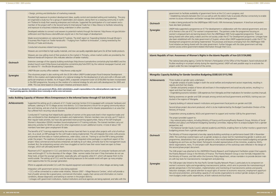ernment forms at the CLCs are in progress; and s as well as with the district hubs to provide effective connectivity to enable manage their activities is being planned.

apan WID Fund's 10th Anniversary Symposium. A brochure and posters

CT for development in collaboration with the national government, and one s empowerment. The partners under the programme focusing on ons from the UNDP/Japan WID Fund-supported programme. These are d the civil society under the ICT for Development programme. Linkages have mment of Gujarat, where other UNDP-supported projects under the ICT for emented. The processes and lessons emerging from the UNDP/Japan WID tate government. Further linkages with the state government will help information through their CLCs.

#### Its in the Islamic Republic of Iran (US \$134,000)

Women's Participation of the Office of the President, faced institutional difing the reporting period. UNDP will seek possible ways to re-activate the pe centre.

#### **Mongolian: Capacity Building (GSB)** (US \$113,700)

- oth the social welfare and employment sectors respectively, resulting in
- d and loans in the employment and social security sectors, resulting in a
- eriences from Mongolia and their implications for transition countries (manual).
- ncepts among central and local governments and NGOs; training was con-
- itutions and government focal points on gender and GSB.
- d, which is to be implemented by the Budget Coordination Division of the
- d government to support and monitor GSB by the government.
- inistry of Finance and Economy/Poverty Research Group, Ministry of Social eting Standing Committee, helping them to analyse budgets from a gender
- ected academia and NGOs, enabling them to further monitor a government

day capacity-building workshop on performance based GSB in November as gender analysis as a basic tool for mainstreaming gender in policies and r perspective, what results-based/performance-based budgeting and gender articipants included representatives of line ministries, academia, NGOs, t staff. Recommendations of the workshop were reflected in the design of

P/SIDA Poverty Research and Employment Facilitation project that supports y of Finance. The Poverty Research Group is now formally integrated into .<br>the Economic Policy department, whose mandate is to provide decision maknagement and planning.

cific Gender Equality Network Phase 2, particularly to its component on ng macroeconomic policies, which aims to promote the mainstreaming of nplementation and monitoring of macroeconomic policies and poverty reduction strategies, with special attention to equal rights of women to equal rights of women to economic reso pacity of civil society organizations to conduct gender analysis of governat both national and local levels.

|                     | . Design, printing and distribution of marketing materials.<br>Provided high exposure to product development ideas, quality control and standard setting and marketing. The proj-                                                                                                                                                                                                                                                                                                                                                                                                                                                                                                                                                                                                         |                     | government to facilitate availability of governm<br>• Establishing networks between the CLCs as v<br>women to access information and better mana                                                                                                                                                                                          |
|---------------------|-------------------------------------------------------------------------------------------------------------------------------------------------------------------------------------------------------------------------------------------------------------------------------------------------------------------------------------------------------------------------------------------------------------------------------------------------------------------------------------------------------------------------------------------------------------------------------------------------------------------------------------------------------------------------------------------------------------------------------------------------------------------------------------------|---------------------|-------------------------------------------------------------------------------------------------------------------------------------------------------------------------------------------------------------------------------------------------------------------------------------------------------------------------------------------|
|                     | ect organized a study tour for a group of stakeholders and weavers, taking them to a weaving community in north-<br>ern Thailand to study their weaving enterprises and institutes. Supported the participation of a rural weaver and a<br>member of the project staff in the Second Santa Fe International Trade Fair in New Mexico to facilitate networking<br>and exposure to e-business initiatives being undertaken in other countries.                                                                                                                                                                                                                                                                                                                                              | <b>Outreach</b>     | A video is being produced for the UNDP/Japan<br>have also been produced.                                                                                                                                                                                                                                                                  |
|                     | Developed websites to connect rural weavers to potential markets through the Internet. http://www.mti.gov.bt/color-<br>sofbhutan/ and http://www.colorsofbhutan.org.bt/ are in the final stages of development.                                                                                                                                                                                                                                                                                                                                                                                                                                                                                                                                                                           | <b>Synergies</b>    | UNDP India supported a programme on ICT fo<br>of its themes is the use of ICT for women's em<br>women's empowerment are learning lessons f                                                                                                                                                                                                |
|                     | Made recommendations on national level ICT policies. The draft report on 'Expanding Markets through Bhutan's<br>E-business Pilot Project on Textile Handicrafts - Trudging from Tradition to Innovation', is being reviewed by the<br>Ministry of Trade and Industry.                                                                                                                                                                                                                                                                                                                                                                                                                                                                                                                     |                     | being shared with other policy makers and the<br>also been established with the state governme<br>Development programme are being implemen<br>Fund initiative are being shared with the state                                                                                                                                             |
|                     | Conducted e-business related training sessions.                                                                                                                                                                                                                                                                                                                                                                                                                                                                                                                                                                                                                                                                                                                                           |                     | women access online government-related info                                                                                                                                                                                                                                                                                               |
|                     | Weavers are committed to high quality materials, and now use quality vegetable-dyed yarns for all their textile products.                                                                                                                                                                                                                                                                                                                                                                                                                                                                                                                                                                                                                                                                 |                     |                                                                                                                                                                                                                                                                                                                                           |
|                     | Weavers are now selling most of their products to the market in Thimphu, where market outlets are provided by the<br>National Handicraft Emporium (this indicates selection of better markets).                                                                                                                                                                                                                                                                                                                                                                                                                                                                                                                                                                                           |                     | <b>Islamic Republic of Iran: Awareness of Women's Rights in</b>                                                                                                                                                                                                                                                                           |
| <b>Outreach</b>     | Extensive coverage of the capacity building workshops (http://www.kuenselonline.com/article.php?sid=4863) and the<br>product launch event (http://www.kuenselonline.com/article.php?sid=5591) by the national newspaper Kuensel; and<br>on national TV - the Bhutan Broadcasting Corporation.                                                                                                                                                                                                                                                                                                                                                                                                                                                                                             |                     | The national executing agency, Centre for Wor<br>ficulties resulting in no project activity during th<br>project under the new management of the cer                                                                                                                                                                                      |
|                     | UNDP Bhutan country office website - http://www.undp.org.bt/                                                                                                                                                                                                                                                                                                                                                                                                                                                                                                                                                                                                                                                                                                                              |                     |                                                                                                                                                                                                                                                                                                                                           |
| <b>Synergies</b>    | The e-business project is also working with the US \$4 million UNDP-funded project Rural Enterprise Development<br>(RED) in the creation and implementation of a national strategy for the development of arts and crafts in Bhutan with                                                                                                                                                                                                                                                                                                                                                                                                                                                                                                                                                  |                     | <b>Mongolia: Capacity Building for Gender Sensitive Budget</b>                                                                                                                                                                                                                                                                            |
|                     | particular emphasis on textiles. As of August 2005, a separate component (over US \$100,000) has been incorporated<br>in the RED programme, focusing on the creation of a national strategy for arts and crafts development for 2005 and<br>2006. This was done based on e-biz project initiatives and lessons learnt.                                                                                                                                                                                                                                                                                                                                                                                                                                                                    | <b>Achievements</b> | Three studies on gender were undertaken:<br>• A gender analysis of public budget in both the<br>reports and short fact sheets;                                                                                                                                                                                                            |
|                     | *3 The launch was attended by ministers, senior government officials, district administrators, people's representatives to the national parliament, major tour and<br>travel operating agencies, international donor community as well as some rural weavers                                                                                                                                                                                                                                                                                                                                                                                                                                                                                                                              |                     | • Gender and poverty analysis of donor aid and<br>report and short fact sheet; and<br>• Engendering economic transition: GSB experier                                                                                                                                                                                                     |
|                     | India: Building Capacity of Women Micro Entrepreneurs in the Informal Sector through ICT (US \$315,000)                                                                                                                                                                                                                                                                                                                                                                                                                                                                                                                                                                                                                                                                                   |                     | Raising awareness on gender and GSB concept<br>ducted in five regions of Mongolia.                                                                                                                                                                                                                                                        |
| <b>Achievements</b> | Supported the setting up of a network of 21 Cluster Learning Centres (CLCs) equipped with computer hardware and                                                                                                                                                                                                                                                                                                                                                                                                                                                                                                                                                                                                                                                                           |                     | Capacity building of national research institution                                                                                                                                                                                                                                                                                        |
|                     | software, catering to 10-15 villages across nine districts. CLCs have become a forum for on-going community educa-<br>tion and training, and are a hub for community development initiatives and for disaster preparedness in an area that<br>has suffered from recurring natural disasters.                                                                                                                                                                                                                                                                                                                                                                                                                                                                                              |                     | Second phase project document produced, wh<br>Ministry of Finance.                                                                                                                                                                                                                                                                        |
|                     | Conducted ICT trainings that helped build capacities of women at the grass-roots level in their respective trades and                                                                                                                                                                                                                                                                                                                                                                                                                                                                                                                                                                                                                                                                     |                     | Cooperation among academia, NGOs and gov                                                                                                                                                                                                                                                                                                  |
|                     | also contributed to their development as leaders and implementers. Women members now not only use ICT tools in<br>their regular trade activities, but have also generated revenue-earning opportunities. Many of the Self Employed<br>Women's Association (SEWA) members found employment in IT training institutes. The trained members carry out<br>data entry activities for SEWA as well as for other organizations to earn additional income. A total of about 100<br>members have been given employment till date.                                                                                                                                                                                                                                                                  |                     | The project provided support to:<br>• Key national policy-makers, including Ministr<br>Welfare and Labour and Parliament Budgeting<br>perspective; and<br>. The National Gender Equity Council, selected                                                                                                                                  |
|                     | The benefits of ICT trainings experienced by the women have led them to accept other projects with a lot of enthusi-<br>asm. As a result, an ERP package for the craft trade is being implemented. This will integrate the entire crafts process<br>and provide real time data on market preferences, order status, costs etc. Training to use the ERP is being provided<br>under the project. The readiness of producer groups to use integrated online packages is a significant aspect of this<br>project. Many commercial and business enterprises are balking at such ideas, primarily due to the management issues<br>involved. But, the enterprising women who have struggled so hard to have their voices heard are open to these<br>changes, which will ultimately benefit them. | <b>Outreach</b>     | budgeting process from a gender perspective.<br>The Ministry of Finance organized a two-day ca<br>2004. The workshop covered topics such as ge<br>programmes, data/statistics from a gender per<br>budgeting are and how are they linked. Partici<br>donor organizations, news, TV and project staf<br>the second phase project document. |
|                     | Placement of ICT equipment in CLCs and districts has reduced the mystery and myth of computer hardware and soft-<br>ware and brought ICT to the doorstep of the villager. Older women realize that even if they themselves do not use<br>these tools, at least the younger generation, especially girls, will regularly utilize ICT, which will expose them to the<br>world outside. The setting up of CLCs and the resulting exposure to the outside world will open up many employ-<br>ment opportunities for the younger generation.                                                                                                                                                                                                                                                   |                     | The GSB project was attached to the UNDP/SID<br>the Poverty Research Group in the Ministry of I<br>the Ministry of Finance, and falls within the Eco<br>ers with key tools for macroeconomic manage                                                                                                                                       |
|                     | Efforts to upgrade and provide CLCs with the required equipment and establish CLCs in other villages are being made.                                                                                                                                                                                                                                                                                                                                                                                                                                                                                                                                                                                                                                                                      | <b>Synergies</b>    | The GSB project also linked to the Asia Pacific<br>women's economic rights and engendering m                                                                                                                                                                                                                                              |
|                     | Integration with government services is also being explored:<br>. CLCs will be connected to a nation-wide initiative, 'Mission 2007 - Village Resource Centres', which will provide a<br>host of public services like e-governance, commercial information, supply chain service and information on marine<br>conditions, disease diagnostics and banking to women in the project districts;                                                                                                                                                                                                                                                                                                                                                                                              |                     | gender perspectives in the formulation, implen<br>reduction strategies, with special attention to e<br>ties and social protection; and building capacity<br>ment budgets and/or public expenditures, at b                                                                                                                                 |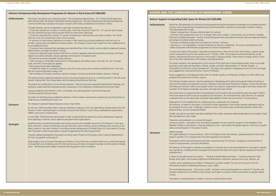Achievements More than 250 graduates of multi-level training programmes gained theoretical knowledge and completed practical and enhanced their motivation to participate in decision-making.

ion for women:

vays Time to be a Leader!', and seminars such as Projects' Strategic I participants have continued the network and have organized several

|                     | Vietnam: Entrepreneurship Development Programme for Women in Rural Areas (US \$380,000)                                                                                                                                                                                                                                                                                                                                                                                                                                                                                                                                                                                                                                                                                                                                                            |
|---------------------|----------------------------------------------------------------------------------------------------------------------------------------------------------------------------------------------------------------------------------------------------------------------------------------------------------------------------------------------------------------------------------------------------------------------------------------------------------------------------------------------------------------------------------------------------------------------------------------------------------------------------------------------------------------------------------------------------------------------------------------------------------------------------------------------------------------------------------------------------|
| <b>Achievements</b> | The project had directly and indirectly assisted 1,103 entrepreneurs/beneficiaries. 577 of these beneficiaries have<br>been trained under the project's field-based training programme; 136 were trained by the Danang Rural Resource<br>Centre and 390 were trained by the project's trainers with funding mobilized by the Women's Union.                                                                                                                                                                                                                                                                                                                                                                                                                                                                                                        |
|                     | Through trainings, women entrepreneurs were able to achieve the following:<br>. 72 percent reported an increase in monthly sales; more than 50 percent had a 50 - 217 percent sale increase.<br>This was achieved through improving their efforts to meet clients' demands;<br>· 72 percent expanded their market; 37 women entrepreneurs said that they were able to replace 'lost clients'<br>with new ones, thus preventing a loss in their business;<br>• 41 percent of those trained reported an increase in their assets by purchasing additional machines such as<br>grinders, drying trays and additional working capital; this increase in assets was funded from their additional prof-<br>its and additional loans;<br>. 75 percent have improved their packaging and identified their niche markets, and are able to implement product |
|                     | differentiation and keep transaction records;<br>. 82 percent reported longer product shelf-life as a result of applying improved production processes, and food<br>hygiene and safety methods; reduced spoilage contributed to increased income;<br>• 82 percent are producing better quality products;                                                                                                                                                                                                                                                                                                                                                                                                                                                                                                                                           |
|                     | . There has been a remarkable improvement in food hygiene and safety; borax, chemicals, etc. are no longer<br>used, and HACCP principles are applied;<br>. New products have been developed;<br>- A traditional village of rice paper producers and a fish sauce group were revived by identifying their niche mar-                                                                                                                                                                                                                                                                                                                                                                                                                                                                                                                                |
|                     | kets and improving product quality; and<br>· Self-confidence increased, resulting in positive changes in business and family relations (decision making).                                                                                                                                                                                                                                                                                                                                                                                                                                                                                                                                                                                                                                                                                          |
|                     | The lease-purchase programme allowed women to purchase equipment (such as a pumping system in the fish sauce<br>factory), freeing them from heavy labour and increasing productivity and free time.                                                                                                                                                                                                                                                                                                                                                                                                                                                                                                                                                                                                                                                |
|                     | The project also contributed to environmental protection. Husk-burning stoves reduced the demand for firewood, and<br>training on waste treatment improved women's awareness on the importance of keeping the environment clean.                                                                                                                                                                                                                                                                                                                                                                                                                                                                                                                                                                                                                   |
|                     | Capacity building of the Women's Union in Da Nang, Hue and Quang Nam and the Rural Resource<br>Centre/Vocational Training Centres                                                                                                                                                                                                                                                                                                                                                                                                                                                                                                                                                                                                                                                                                                                  |
|                     | Formation of self-help groups enabled the Women's Union to better assist women entrepreneurs by linking them to<br>credit sources, facilitating bank loans, etc.                                                                                                                                                                                                                                                                                                                                                                                                                                                                                                                                                                                                                                                                                   |
| <b>Outreach</b>     | The Vietnam Investment Review featured a story in April 2004.                                                                                                                                                                                                                                                                                                                                                                                                                                                                                                                                                                                                                                                                                                                                                                                      |
|                     | On 26 June, 2005 the project held a wrap-up workshop in Danang, which was attended by representatives from the<br>Women's Union, Danang People's Committee, five provincial Women's Union offices, development organizations,<br>UNIDO, and women entrepreneurs.                                                                                                                                                                                                                                                                                                                                                                                                                                                                                                                                                                                   |
|                     | In June 2005, 1000 brochures were printed in order to disseminate the experience among development organiza-<br>tions operating in Vietnam, donor agencies and government organizations.                                                                                                                                                                                                                                                                                                                                                                                                                                                                                                                                                                                                                                                           |
| <b>Synergies</b>    | Qualified trainers trained by the project and training manuals are invaluable resources for the Women's Union and<br>other institutions. Trainers and training manuals have been used in training courses funded by other resources in Da<br>Nang; trainers in Hue were involved in consulting women entrepreneurs for World Vision, ILO; and trainers in Quang<br>Nam have been invited to participate in a project supported by the Danish government.                                                                                                                                                                                                                                                                                                                                                                                           |
|                     | Training materials developed by the project are being used in Phase II of the project, which is being implemented in<br>Ha Tinh, Quang Binh and Quang Tri.                                                                                                                                                                                                                                                                                                                                                                                                                                                                                                                                                                                                                                                                                         |
|                     | Other projects such as the Rural Development Projects in Thua Thien Hue, and other NGOs such as Holt International<br>in Quang Nam are considering using the training manuals and trainers to expand coverage to other women entrepre-<br>neurs. The Danang Food College is using the training guide to teach its students.                                                                                                                                                                                                                                                                                                                                                                                                                                                                                                                        |
|                     |                                                                                                                                                                                                                                                                                                                                                                                                                                                                                                                                                                                                                                                                                                                                                                                                                                                    |
|                     |                                                                                                                                                                                                                                                                                                                                                                                                                                                                                                                                                                                                                                                                                                                                                                                                                                                    |
|                     |                                                                                                                                                                                                                                                                                                                                                                                                                                                                                                                                                                                                                                                                                                                                                                                                                                                    |
|                     |                                                                                                                                                                                                                                                                                                                                                                                                                                                                                                                                                                                                                                                                                                                                                                                                                                                    |
|                     |                                                                                                                                                                                                                                                                                                                                                                                                                                                                                                                                                                                                                                                                                                                                                                                                                                                    |
|                     |                                                                                                                                                                                                                                                                                                                                                                                                                                                                                                                                                                                                                                                                                                                                                                                                                                                    |

#### **EUROPE AND THE COMMONWEALTH OF INDEPENDENT STATES**

#### **Belarus: Support to Expanding Public Space for Women (US \$320,000)**

| More than 250 graduates of multi-level training |
|-------------------------------------------------|
| training, which improved their competitiveness  |
| Training programmes include:                    |
| • Master's programme in Business Administrati   |
| • Summer school programmes such as 'It is Alv   |
| Planning for girls/voung leaders. Summer school |

joint projects including student exchange;

• One-year certification programme for students of women's institutes;

• Seminars on 'Civic Participation: Another Dimension of Women's Leadership', for women activists/NGOs; and • Basics of Business Administration programme for women entrepreneurs.

To assess the impact of the project's educational programmes on their alumni's lives and activities, a special survey will be conducted during the final conference on 7 October, 2005. The conference will be attended by over 60 women, representing the entire spectrum of the project's training activities. These women comprise almost 10 percent of the direct beneficiaries of the project's educational efforts.

The project assisted in the development of the concept of the Draft Law on Equal Opportunities; three round table discussions were held with lawmakers, officials, scholars and NGO representatives on 'Gender Equality – a Precondition for Effective Country Development'. The project also assisted in integrating this law into the list of legal acts suggested for improvement by the Council of Ministers.

Project suggestions on the National Action Plan for Gender Equality in the Republic of Belarus for 2001-2005 were

prepared and shared with the Plan's authors.

The findings of project research, and the experiences of developing and implementing gender-balanced policies in Lithuania (the project has organized a visit by a Member of the Lithuanian Parliament to Belarus, where she will meet with Belarusian decision-makers) and Sweden (within the study tour organized by the project) have been shared with members of the National Assembly, lawmakers and high-level state officials.

The Government has approved almost all amendments to the Family Code, promoted through the project's efforts. These amendments will thus also be accepted by the Parliament. The renewed Family Code will have, for example, a separate article on the equal rights and equal responsibilities of both men and women in family relations.

Negotiations for the establishment of a lobbying group in parliament are underway; Anna Burova, an expert in the project, is carrying out these negotiations, and women deputies gathered to discuss the prospects of such a step. Challenges, however, remain. The women were unofficially advised to refrain from group activities, and lack recognized leaders.

Gender manuals for journalists have been published; the number of gender-related publications has increased in both print and electronic mass media.

Production and publication of a manual for lawyers: Twenty-six lawyers – lawmakers from the National Legislation Centre under the Auspices of the President of the Republic of Belarus, practitioners, university professors in law – learnt about the gender aspects in law from our publication and participation in the project's events.

Media coverage:

The *Capital television* TV channel telecast '[She is] The Maker of Her Own Destiny', prepared along the lines of the project's activities (16 TV programmes have been prepared and screened).

The project's events and achievements have been covered by local TV channels, newspapers, Internet portals on women's empowerment, and local UN bulletins.

PR materials: all the project's materials are available for screening and can be downloaded from the project's website, www.gender.by, a leading Russian-language Internet portal that deals with issues of gender equality and women's empowerment.

A report on the advancement of women – 'Towards a Gender Balanced Society' – has been prepared in both Russian and English, and has been published and distributed to statesmen, learned community, teachers, etc.

A public service advertising clip entitled 'A Professional' has been created. The clip won first prize at the XIY International Festival of Advertising (Moscow, Russia, 2004).

The social advertising series, 'Time to be a Leader', has been continuously broadcast on national TV channels, and has been distributed via CD ROMS in both Russian and English to women's NGOs and lecturers on gender related courses.

The project's social advertising is rotated in cinemas in Minsk before movies.

#### *Outreach*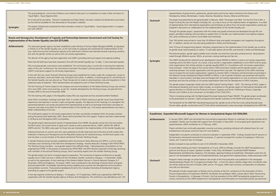parliaments, gender policy and human rights institutions from Bosnia and gro, Croatia, Slovenia, Macedonia, Kosovo, Albania and Romania.

ne general public in February, 2004. The project was titled 'For the First Time in BiH, a Prople's Everyday Life', as a way to focus on the implementation of legislations. A number tional organizations and embassies as well as from civil society organizations actively parborations for the implementation of the Gender Equality Law.

operation with the media was greatly enhanced and developed through PR camth journalists to update them on Gender Law implementation and regional cooperaas round tables and workshops.

in more than 20 different daily and weekly newspapers and magazines throughout Where also being published in Serbia and Montenegro.

(reports, interviews, programmes) on the implementation of the Gender Law as well as st on various TV and radio stations all over BiH, and recently in Serbia and Montenegro.

gency leaflets and a Gender Law brochure have been printed and are being disseminated through size through different sources: NGOs, at seminars, during meetings and fairs etc.

onal human development report (NHDR) on MDGs in various civil society organization ncil. As a result, a local women's organization established a micro MDG fund for grassactivities on gender equality (MDG 3). Consultations with civil society organizations jis of the country office's MDG promotion initiative and the gender project, a joint organizations and the government was held. The objective of this MDG workshop organizations' capacity to monitor MDG 3 indicators and benchmarks enumerated in tent Report (NHDR) on MDGs. A set of gender indicators was presented with specific d ideas were exchanged with civil society organizations on how to enhance monitoring es of civil society organizations feed into the development of MDG indicators.

closely with the UNDP Judicial Training Project – MOC. The training of MOC judges in man rights includes an emphasis on the gender aspect of international standards with nd the Protocol to Prevent, Suppress and Punish Trafficking in Persons, Especially onvention on the Rights of the Child (CRC).

the Rights-based Municipal Assessment Project (RMAP). The gender project contributed tion the presentation on woment gender institutions at the RMAP staff education seminar.

H mainstreaming process lists gender as one of the four cross-cutting thematic areas nent and ICT) that will be mainstreamed in every new project developed by the UNDP BiH.

#### **Karakhstan: Expanding Microcredit Support Forms** (US \$500,000)

ntracted the micro-lending organization Bereke to undertake the project activities till its ed with support from this project in May 2003. A microcapital grant agreement was reke on 27 February, 2004.

Ily expanded, covering rural areas, providing individual soft-collateral loans for rural umer loans for rural residents.

ucted an outcome evaluation in September 2004. Findings showed that 87 percent of roved their businesses, 21 percent increased the number of employees in their busi-

blio to over US \$1,000,000 in November 2004.

d in Semipalatinsk on 4 June, 2005 to officially conclude the UNDP Semipalatinsk pro-. Speakers included Yuriko Shoji, UN Resident Coordinator/UNDP Resident Hayamizu, First Secretary, Japanese Embassy to Kazakhstan. Participants came from all on and included beneficiaries, local government representatives, media and project staff.

article based on the results of the final evaluation was published in the newspaper *K* programme *Khabar Zher* – a short film about a Bereke village client; the Bereke web-October 2005; and on 19 August, 2004 Gael Guichard, correspondent of *Liberation*,

ation of Bereke and its activities at the first conference of the Association of Micro khstan (AMFOK); the Bereke Annual Report 2004; a photo album titled 'Overcoming essage in Pictures'; the final evaluation of the UNDP Semipalatinsk programme out-P programme in Semipalatinsk; and information on microcredit activity was aired over

**40 UNDP/JAPAN WID FUND**

|                     | The young designers' community of Belarus was invited to take part in a competition to create a flash animation on<br>'Equal Rights - Equal Opportunities'.                                                                                                                                                                                                                                                                                                                                                                                                                                                                                                                       |                     | representatives of governments, parliam<br>Herzegovina, Serbia, Montenegro, Croat                                                                                                                        |
|---------------------|-----------------------------------------------------------------------------------------------------------------------------------------------------------------------------------------------------------------------------------------------------------------------------------------------------------------------------------------------------------------------------------------------------------------------------------------------------------------------------------------------------------------------------------------------------------------------------------------------------------------------------------------------------------------------------------|---------------------|----------------------------------------------------------------------------------------------------------------------------------------------------------------------------------------------------------|
|                     | An e-manual for journalists, 'Women's Leadership and Mass Media', has been created and distributed to journalists<br>via the Internet (available for free download on the project's website).                                                                                                                                                                                                                                                                                                                                                                                                                                                                                     | <b>Outreach</b>     | The project was presented to the general<br>Project to Bring the Law into People's Eve                                                                                                                   |
| <b>Synergies</b>    | The project initiated and conducted the flash animation contest on 'Equal Rights - Equal Opportunities' in coopera-<br>tion with UNICEF.                                                                                                                                                                                                                                                                                                                                                                                                                                                                                                                                          |                     | of representatives from international orga<br>ticipated in discussions on collaborations                                                                                                                 |
|                     | Bosnia and Herzegovina: Development of Capacity and Partnerships between Government and Civil Society for                                                                                                                                                                                                                                                                                                                                                                                                                                                                                                                                                                         |                     | Through the gender project, cooperation<br>paigns, periodical meetings with journali<br>tion, press conferences as well as round                                                                         |
|                     | Implementation of the Gender Equality Law (US \$275,000)                                                                                                                                                                                                                                                                                                                                                                                                                                                                                                                                                                                                                          |                     | Over 100 articles were printed in more th<br>BiH. In addition, articles are now also be                                                                                                                  |
| <b>Achievements</b> | The state-level gender agency has been established under Ministry of Human Rights Refugees (MHRR), as stipulated<br>in Article 22 of the Gender Equality Law, as the main body to supervise and coordinate the implementation of the<br>Law, while ensuring that institutional capacity at the state level is efficient and oriented towards improving coordina-<br>tion with the gender centres as well as with civil society organizations.                                                                                                                                                                                                                                     |                     | Over 10 hours of programming (reports, i<br>on gender issues were broadcast on vario<br>Promotional posters, gender agency leaf                                                                          |
|                     | The director of the agency has been appointed, and UNDP is providing technical support and capacity building.                                                                                                                                                                                                                                                                                                                                                                                                                                                                                                                                                                     |                     | nated through different sources: NGOs,                                                                                                                                                                   |
|                     | More than 60 draft laws have been reviewed in line with the Gender Equality Law. To date, 11 laws have been passed.                                                                                                                                                                                                                                                                                                                                                                                                                                                                                                                                                               | <b>Synergies</b>    | The UNDP introduced the national huma<br>meetings and to the NGO council. As a r                                                                                                                         |
|                     | Fifty municipal gender commissions were established. The commissions play a crucial role in ensuring the implemen-<br>tation of the Law. Furthermore, the commissions have been the project's primary partners in the implementation of<br>UNDP's small grants support to civil society organizations.                                                                                                                                                                                                                                                                                                                                                                            |                     | roots organizations that initiate activities<br>have increased. Under the aegis of the o<br>workshop between civil society organiza<br>was to increase the civil society organizat                       |
|                     | In line with the Law, seven Thematic Working Groups were established for media, public life, employment, access to<br>resources, education, social and health care, and sports and culture. In addition, a working group for commentary on<br>the Gender Equality Law was also set up. These Groups aim to create or amend policies, rules and regulations in their<br>respective areas of expertise. NGO representatives are assigned to each of these Working Groups.                                                                                                                                                                                                           |                     | the National Human Development Repor<br>examples in a local context, and ideas we<br>processes and how the activities of civil s                                                                         |
|                     | The first Training of Trainers based on the analyses and recommendations of the Media Working Group was conduct-<br>ed in June 2005. Seven more trainings, as per the modules developed by the Working Groups, are planned from<br>October 2005 to the end of December 2006.                                                                                                                                                                                                                                                                                                                                                                                                      |                     | The gender project cooperates closely wi<br>international standards and human right<br>special attention to CEDAW and the Pro<br>Women and Children to the Convention                                    |
|                     | The first training with judges in the Republika Srpska (RS) was organized and has received excellent feedback.                                                                                                                                                                                                                                                                                                                                                                                                                                                                                                                                                                    |                     | There is increasing synergy with the Right:                                                                                                                                                              |
|                     | Seven NGO consultation meetings have been held. A number of NGOs working on gender issues have shared their<br>experiences and expertise in women's rights and gender equality. The objective of the meetings is to strengthen the<br>partnership between civil society and government representatives as well as to exchange information and ideas on<br>measures and steps to be taken for the implementation of the Gender Law. Civil society representatives now have a<br>better understanding of the Law.                                                                                                                                                                   |                     | to the presentation on women's rights are<br>The framework for the UNDP BiH mainstre<br>(human rights, gender, environment and I                                                                         |
|                     | The small grants support to civil society organizations has been successfully completed within the project activities<br>during the period April-September 2005. Eleven NGOs benefited from this support. Projects have been implemented<br>in 20 Bosnia and Herzegovina (BiH) municipalities.                                                                                                                                                                                                                                                                                                                                                                                    | <b>Achievements</b> | Kazakhstan: Expanded Microcredit Support for Wo<br>In January 2004, UNDP sub-contracted t                                                                                                                |
|                     | The gender project steering board consists of representatives from MHRR, the gender centres from the two entities,<br>the NGO sector, the Governments of Japan and Canada as well as potential donors, UNDP, UNOHCHR, UNICEF,<br>UNFPA and ILO. The SBM is also open for those who are interested in the implementation of the Gender Equality Law.                                                                                                                                                                                                                                                                                                                               |                     | completion. Bereke was founded with su<br>signed between UNDP and Bereke on 27<br>Project activities have continually expand                                                                             |
|                     | Statistical brochures on women and men were published at the BiH state level and at the level of both entities (the<br>Federation of Bosnia and Herzegovina and the Republika Srpska) by the statistical bureau; the BiH level statistic insti-<br>tute has been a crucial member of the above mentioned Thematic Working Groups.                                                                                                                                                                                                                                                                                                                                                 |                     | entrepreneurs and group consumer loan<br>Independent consultants conducted an o<br>the borrowers interviewed improved the<br>nesses, and 13 percent saw no changes.                                      |
|                     | A Gender Working Group has been established within the Economic Policy Planning Unit (EPPU), a unit for imple-<br>mentation and monitoring of the Mid-Term Development Strategy - Poverty Reduction Strategy in BiH (MTDS-PRSP).<br>The Working Group members - local gender experts from different fields - held preparatory consultations on the                                                                                                                                                                                                                                                                                                                                |                     | Bereke increased its loan portfolio to ove                                                                                                                                                               |
|                     | engendering of PRSP. In the process of reviewing the MTDS-PRSP, the EPPU director organized a three-day workshop<br>with members of the sectoral Working Groups, which was led by experts from the Gender Working Group.                                                                                                                                                                                                                                                                                                                                                                                                                                                          |                     | A round table meeting was held in Semip<br>gramme and discuss its impact. Speakers<br>Representative and Nobumitsu Hayamizu                                                                              |
|                     | The gender project has led to increased regional cooperation. The convening of regional conferences on gender<br>equality (one in 2003 and two in 2004) and the First Balkan Gender Conference (Sarajevo, 1-3 November, 2004),<br>as well as the organization of two meetings of the Western Balkan Women in Science Network (Sarajevo, 6-7<br>December, 2004 and Podgorica, 18 August, 2005), have contributed to the exchange of lessons learnt and good<br>practices beyond BiH. Knowledge networking among neighbouring countries has strengthened communications<br>among Balkan countries. These positive developments led to the Canadian International Development Agency | Outreach            | parts of the Semipalatinsk region and ine<br>Frequent media coverage: an article base<br>Kazakhstanskaya Pravda; the TV progran<br>site will be ready by the end of October 2<br>met with our borrowers. |
|                     | extending its support to the gender project.<br>A two-day regional conference on Beijing + 10 (Sarajevo, 14-15 September, 2005) was organized by UNDP BiH in<br>cooperation with the Gender Equality Agency of Bosnia and Herzegovina. The conference was attended by over 150                                                                                                                                                                                                                                                                                                                                                                                                    |                     | PR materials include a presentation of Be<br>Finance Organizations of Kazakhstan (Al<br>Poverty in Semipalatinsk - A Message in<br>comes; a brochure on the UNDP prograr                                 |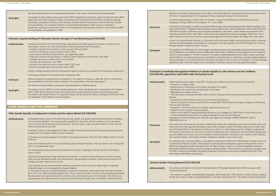NDP; and Andrés Marinakis, Representative of the sub-regional office Embassy was present during the whole seminar.

Vomen, a Goal in Poverty Reduction were held in two cities 0-11 June, 2004).

ninated through national and regional media. Media coverage of the sta was provided on both radio and television, and included interviews rts participating in the events. A press release was prepared on the event was covered by the national newspaper, *El Mercurio*. Two iny and employment were also aired on the *Radio Tierra* radio station.

hation leaflet and project folders summarizing the project's objectives, ounterparts were also provided with the GPE Programme's Training

to eradicate poverty, promote gender equity and generate employorative relationship. In addition, the vast experience accumulated by of the region contributed greatly to the Chilean initiative, providing dinators, and participation in workshops on project-related subjects as r held in Santiago at the conclusion of the project. The series of books ituted an important resource for public policy formulation.

### **Equality in Latin America and the Caribbean**

principal activities during the start-up phase have been:

hroughout the region; in the project;

of Brazil, Paraguay and the sub-regional resource facility (SURF) in

**Honduras and Mexico);** m several UNDP offices (Mexico, Nicaragua, Paraguay, SURF Panama,

regional assessment, etc.;

sessments and strategies for UNDP offices in Latin America; and

I meetings through the end of the year.

other agencies and bodies: UNIFEM, INSTRAW, UNICEF,

ablishing contacts and collaboration with national equality offices and puts were provided to support the UNDP presence at the 38th meetence on Women in Latin America and the Caribbean, organized by d the Caribbean (ECLAC). Mechanisms that will facilitate greater advosite, are being instituted. Through the Latin American and Caribbean ewsletter on gender is sent out by e-mail.

dvice to the projects funded by the UNDP Gender Thematic Trust Fund ts are primarily aimed at preparing a gender strategy for the country n all UNDP activities, as well as in CCA/UN Development Assistance Jency gender activities. At the same time, coordination has begun with erspective in the products and services provided by the SURF to the

|                     | the radio and published in local newspapers (periodically in the rayons, where the project has expanded).                                                                                                                                                                                                                                                                                                                                      |                     | Minister; Irene Philippi, Representative of the UNDP; a                                                                                                                                                                                                                                                                                              |
|---------------------|------------------------------------------------------------------------------------------------------------------------------------------------------------------------------------------------------------------------------------------------------------------------------------------------------------------------------------------------------------------------------------------------------------------------------------------------|---------------------|------------------------------------------------------------------------------------------------------------------------------------------------------------------------------------------------------------------------------------------------------------------------------------------------------------------------------------------------------|
| <b>Synergies</b>    | The project has been implemented as part of the UNDP Semipalatinsk programme, which includes two other UNDP<br>projects (Business Skills & Support Training, and Extension of Small Grants to NGO/CBOs). All projects exchange<br>information, participate in business centre trainings, and refer clients to the business centre for business consulta-                                                                                       |                     | of the ILO. A representative from the Japanese Emba<br>Two seminars/workshops on Decent Work for Wome<br>(Valparaíso, 4-5 May, 2004 and Antofagasta, 10-11.                                                                                                                                                                                          |
|                     | tions and trainings. The successes of Bereke as a microcredit organization is often used as an example in<br>Kazakhstan, especially for work with women. It will be quoted as a best practice example in a new report by UNDP<br>on microfinance, to be published in 2005.                                                                                                                                                                     | <b>Outreach</b>     | Information on the project's activities was disseminate<br>regional workshops in Valparaíso and Antofagasta wa<br>with both the project coordinators and the experts pa<br>international seminar held in July, 2004, and the even<br>depth interviews on the issue of women, poverty and                                                             |
|                     | Lithuania: Capacity Building of Lithuanian Women through ICT and Networking (US \$272,930)                                                                                                                                                                                                                                                                                                                                                     |                     | As part of the dissemination activities, an information                                                                                                                                                                                                                                                                                              |
| <b>Achievements</b> | Conducted training for the staff of beneficiary organizations and target groups (rural women, business women<br>from regions, women who want to participate in business development) of the project:<br>. European computer driving license courses, January- February 2004;                                                                                                                                                                   |                     | activities and methodologies were produced. Counte<br>Manuals (Reader's Guide and Trainer's Guide).                                                                                                                                                                                                                                                  |
|                     | • Correll and Photoshop courses, February-March 2004;<br>. Courses by the beneficiary organizations, July-September 2004;<br>. Three-day intensive training seminar on Effective Team Building and Team Work, May 2004;<br>• Strategic planning for women NGOs, January 2005;<br>. Two-day training seminar, June 2005;<br>. Intensive, one-week accounting courses, March 2005; and<br>. Power Point presentation skills courses, March 2005. | <b>Synergies</b>    | The experience of UNDP and ILO in the struggle to er<br>ment enabled them to develop a positive collaborativ<br>the ILO in similar projects in 10 other countries of the<br>opportunities for exchange among project coordinate<br>well as participation in the international seminar held<br>published as part of the GPE projects also constituted |
|                     | Invited a strategic planning and NGO development expert to conduct an evaluation of the beneficiary organizations.                                                                                                                                                                                                                                                                                                                             |                     | El Salvador: Knowledge Management Platform on Gender Eq                                                                                                                                                                                                                                                                                              |
|                     | Final closing conference of the project held in September 2005.                                                                                                                                                                                                                                                                                                                                                                                |                     | (US \$330,420, approved in April 2005 under Partnership Fund)                                                                                                                                                                                                                                                                                        |
| <b>Outreach</b>     | Media coverage of the project by local newspapers in five regions of Lithuania; a radio talk show for women (one<br>time presentation); information board; websites of the organizations; data base www.lygus.lt.                                                                                                                                                                                                                              | <b>Achievements</b> | Project implementation began in July 2005. The princ                                                                                                                                                                                                                                                                                                 |
|                     | PR materials included booklets, articles and, short presentations at different events.                                                                                                                                                                                                                                                                                                                                                         |                     | • Formation of a project team;<br>· Dissemination of information on the project throug                                                                                                                                                                                                                                                               |
| <b>Synergies</b>    | The project is part of UNDP Lithuania's gender programme. At the operational level, it complements the initiatives<br>of the UNDP and the Women's Issues Information Centre, made through the gender mainstreaming project.<br>The project is also linked (mainly in its cooperation phase with the Lithuanian Labour Exchange and small and medi-<br>um enterprises ) to the Women in Business project.                                       |                     | · Identification of countries that will participate in the<br>• Negotiations for website start-up;<br>• Technical missions requested by UNDP offices of Br<br>Panama;                                                                                                                                                                                |
|                     |                                                                                                                                                                                                                                                                                                                                                                                                                                                |                     | · Scheduling of other technical missions (e.g. to Hon-<br>• Technical assistance to review documents from sevi-                                                                                                                                                                                                                                      |
|                     | <b>LATIN AMERICA AND THE CARIBBEAN</b>                                                                                                                                                                                                                                                                                                                                                                                                         |                     | Panama and El Salvador);<br>• Preparation of terms of reference for website, regio                                                                                                                                                                                                                                                                   |
|                     | Chile: Gender Equality in Employment Creation and the Labour Market (US \$100,000)                                                                                                                                                                                                                                                                                                                                                             |                     | • Establishment of a project monitoring system;<br>• Follow-up and advice for preparing gender assessm<br>• Timeline prepared for participation in regional meet<br>Negotiation for alliance building were held with othe                                                                                                                            |
| <b>Achievements</b> | Knowledge building. Study of the relationship between gender and poverty and the fundamental role of employ-<br>ment in poverty alleviation. The study provided a guideline for discussion with the members of the Consultative<br>Council and for the formulation of policy proposals. 'Women, Equity, Gaps and Labour Market in Chile' was pub-                                                                                              | <b>Outreach</b>     | PRIGEPP/FLACSO, etc.<br>Work during this first phase has focused on establish                                                                                                                                                                                                                                                                        |
|                     | lished and presented in July 2004.<br>An analysis of the socio-demographic and labour profile of women beneficiaries of the selected poverty alleviation<br>strategy, the Chile Solidario System of Social Protection.                                                                                                                                                                                                                         |                     | mechanisms and other agencies and bodies. Inputs v<br>ing of Presiding Officers of the Regional Conference<br>the Economic Commission of Latin America and the                                                                                                                                                                                       |
|                     | Consultancy on practical proposals to strengthen the gender perspective within the Chile Solidario System of Social<br>Protection.                                                                                                                                                                                                                                                                                                             |                     | cacy and visibility on the issue, such as the website, a<br>(LAC) gender network, a fortnightly thematic newsle                                                                                                                                                                                                                                      |
|                     | Study of the implementation of the Chile Solidario System of Social Protection at the local level in two municipal dis-<br>tricts in the metropolitan region.                                                                                                                                                                                                                                                                                  | <b>Synergies</b>    | The regional project is providing follow-up and advice<br>in several Latin American countries. These projects are<br>offices that will facilitate gender mainstreaming in all U                                                                                                                                                                      |
|                     | The three studies mentioned above were published in the book 'Challenges of Gender and the Chile Solidario<br>System' (2005).                                                                                                                                                                                                                                                                                                                  |                     | Framework (UNDAF) processes and other interagency<br>the SURF in Panama to strengthen the gender perspec<br>entire region (UNDP offices and partners).                                                                                                                                                                                               |
|                     | Institutional strengthening through training and sensitization. A national training workshop was held in January,<br>2004, and was attended by public sector professionals, representatives of workers' unions and social actors from<br>Santiago and other regions of the country.                                                                                                                                                            |                     | Jamaica: Gender Training Research (US \$189,223)                                                                                                                                                                                                                                                                                                     |
|                     | Three regional training and sensitization workshops were held in Puerto Varas (Los Lagos Region), Valparaíso                                                                                                                                                                                                                                                                                                                                   |                     |                                                                                                                                                                                                                                                                                                                                                      |
|                     | (Valparaíso Region) and Antofagasta (Antofagasta Region).<br>An international seminar on Poverty Alleviation, Employment Generation and Gender Equity was held in Santiago<br>from 26-27 July, 2004. It featured speakers from Chile as well as from other countries, and convened approximately                                                                                                                                               | <b>Achievements</b> | Key activities undertaken in the Gender Training Rese<br>include the following:                                                                                                                                                                                                                                                                      |
|                     | 80 policymakers and representatives from workers' unions, the business sector and civil society. The seminar was<br>inaugurated by the Chilean Minister of Labour and Social Welfare, Ricardo Solari; Cecilia Pérez, National Women's                                                                                                                                                                                                          |                     | • The creation of a gender and development databas<br>Gender and Culture, Gender and Legislative Reform,                                                                                                                                                                                                                                             |
|                     |                                                                                                                                                                                                                                                                                                                                                                                                                                                |                     |                                                                                                                                                                                                                                                                                                                                                      |

*Achievements* Key activities undertaken in the Gender Training Research (GTR) project between April 2004 and August 2005

tabase, which boasts over 1700 records on various themes including form, and Men and Masculinities. The website is being hosted by the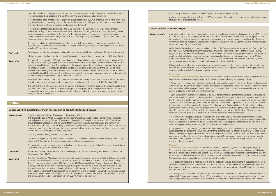#### **Gender and the MDGs (US \$286,667)**

Achievements Concrete models and results for strengthening the gender equality and women's rights perspectives in MDG processes at the country level are emerging. As the specific reports on country level activities will show, each pilot initiative has continued to develop diverse and innovative entry points and approaches to demonstrate how the UN system, government partners, civil society organizations, bi-lateral donors, and media can use the MDGs to strengthen action

# and accountability for gender equality.

While there is diversity in the innovations and entry points in the five countries of Kenya, Kyrgyzstan, Cambodia, Peru and Morocco, a number of common threads are also emerging. Programmes in three of the countries – Kenya, Kyrgyzstan and Cambodia – are linking with initiatives on Poverty Reduction Strategy Papers (PRSP) in their respective countries. Multi-stakeholder teams are seen by all as being critical to securing widespread buy-in of the MDGs. And the continuing lack of general awareness about the MDGs amongst key constituencies – community-based groups, women's organizations and youth, for instance – is noted as an obstacle.

UN country team members are playing leadership roles and incorporating the approaches and results from this programme into related initiatives. Additionally, government partners are also playing key roles and using programme results in their broader MDG and gender equality initiatives.

#### **Kyrgyzstan**

**Key activities and achievements** By working in collaboration with the Gender Theme Group, tangible results have begun to emerge in relation to pilot project activities in the areas of advocacy and capacity building.

• The process of creating a harmonized system of gender indicators (as reported in the August-December 2004 period) whereby an expert working group screened sets of indicators available in the MDGs, PRSP, Beijing Platform for Action and the CEDAW and incorporated these indicators into one system, has increased the awareness level of sectoral gender focal points in different government ministries.

• Using the system of harmonized indicators as a basis, a gender monitoring mechanism was developed in cooperation with the National Council on Women, Family and Gender Affairs, 16 gender experts from government ministries, the UN system and NGOs. This mechanism is envisioned to serve as a platform for mainstreaming gender into national plans and socio-economic programmes like the PRSP. An unanticipated but positive consequence of the project is that the status of the Secretariat of the National Council on Women, Family and Gender Equality Affairs has been strengthened significantly as a result of its leading role in the process of establishing the gender monitoring mechanism. Moreover, the National Poverty Reduction Strategy Monitoring Unit and the President of Kyrgyzstan have expressed their willingness to take the gender monitoring mechanism under consideration.

• A communication strategy was developed based on a series of discussions with the Gender Theme Group and other relevant partners. The strategy, geared toward raising awareness and encouraging advocacy on gender and the MDGs includes use of local mass media like TV, radio and print. The strategy also encompasses the training of journalists, using peer training and securing the cooperation of leading journalists.

• To support the incorporation of a gender analysis into the Kyrgyzstan MDG reporting process, the project team prepared fact sheets on gender and MDGs that highlight the gender dimensions of each of the MDGs. The fact sheets identify challenges in regard to gender and the MDGs and present statistical data that helps describe the situation of women and men from the perspective of global and national MDG indicators. The aim is to provide user-friendly information on the gender dimensions of MDGs for policy and decision makers, civil society organizations, mass media and the general public.

#### **Morocco**

**Key activities and achievements** In line with the implementation strategy developed by the pilot project in Morocco, activities took place with a great degree of government buy-in and ownership, and were geared directly toward the drafting of an engendered national MDG report. Unanticipated but important outcomes of the pilot project activities include enhanced awareness of the need for coordination between Common Country Assessment and MDG processes as well as possibilities for engendered MDG costing.

• M. Abdessalam Fazouane (a statistical expert) and the institution Groupe de Recherche et d'Etudes sur le Genre et le Développement**\*4** were brought on board to provide technical input and worked with the lead implementation team to prepare a draft methodology to guide the preparation of the engendered national MDG report, the main output of the project.

• In January 2005 a national kick-off seminar was held to inform national partners that the formulation of the 2005 national MDG report was underway. Some 180 representatives from governmental departments, parliament, women and development NGOs, the private sector, academia, the UN system and bilateral donors attended the seminar.

|                     | Centre for Gender and Development Studies and the URL is www.uwi.edu/cgds. The site has proved to be a useful<br>resource for researchers, academics and practitioners in the area of gender and development;                                                                                                                                                                                                                                                                                                                                                                                                                                                                                                                                                                               |
|---------------------|---------------------------------------------------------------------------------------------------------------------------------------------------------------------------------------------------------------------------------------------------------------------------------------------------------------------------------------------------------------------------------------------------------------------------------------------------------------------------------------------------------------------------------------------------------------------------------------------------------------------------------------------------------------------------------------------------------------------------------------------------------------------------------------------|
|                     | . The completion of an annotated bibliography on gender-based violence, which integrates new material from a bib-<br>liography previously compiled by UNIFEM. The launch of the annotated bibliography took place on 14 October, 2005,<br>and was attended by officials of the Japanese Embassy and JICA; and                                                                                                                                                                                                                                                                                                                                                                                                                                                                               |
|                     | . The provision of fellowships to certificate and M.Sc. students of the University of the West Indies (Jamaica).<br>Fellowships totaling US \$24,180 were awarded to 18 students (10 pursuing certificate courses, and eight graduate<br>students) pursuing gender studies at the University. This allowed students to engage in a rigorous training pro-<br>gramme on gender and development, which facilitated a thorough analysis of pertinent issues and built capacities in<br>the area of gender mainstreaming.                                                                                                                                                                                                                                                                       |
|                     | This project is relatively small in financial terms, but its capacity for wide and meaningful impact is undisputed.<br>By introducing a gender certificate programme at a regional University, the project is impacting students and profes-<br>sionals in 18 countries in the region.                                                                                                                                                                                                                                                                                                                                                                                                                                                                                                      |
| <b>Outreach</b>     | Development of a database on gender and development issues, available at the following URL: www.uwi.edu/cgds.                                                                                                                                                                                                                                                                                                                                                                                                                                                                                                                                                                                                                                                                               |
|                     | Media coverage of the launch of the annotated bibliography on gender-based violence held on 14 October, 2005.                                                                                                                                                                                                                                                                                                                                                                                                                                                                                                                                                                                                                                                                               |
| <b>Synergies</b>    | The principles underlying the GTR project have been quite influential in guiding some of the processes in which the<br>country office is currently engaged. In the CCA/UNDAF consultations for example, UNDP has been tasked with chair-<br>ing the Sustainable Development Theme Group, in which gender is one of the critical components of the analysis.<br>An important reason for this focus on gender is the fact that key persons associated with the GTR project have<br>attended these meetings and seek to ensure that this issue is well represented and mainstreamed. It is expected that<br>in the final Sustainable Development Theme Group report, gender will be given primary importance, and as such will<br>influence the upcoming five-year programme of the UN system. |
|                     | Based on staff discussions on the project, a recommendation was made to invite a regional UNDP advisor to conduct<br>a gender assessment of the country office's programming and projects. This is scheduled for October 2005.                                                                                                                                                                                                                                                                                                                                                                                                                                                                                                                                                              |
|                     | The partnership with UNIFEM is broadening the visibility of the project within the region and is ensuring greater syner-<br>gies with other projects, as well as better quality outputs. The ongoing research on gender-based violence that is<br>being conducted in four countries is also expected to influence public discussions, teaching curricula and possibly<br>policy discussions in the region.                                                                                                                                                                                                                                                                                                                                                                                  |
|                     |                                                                                                                                                                                                                                                                                                                                                                                                                                                                                                                                                                                                                                                                                                                                                                                             |
| <b>GLOBAL</b>       |                                                                                                                                                                                                                                                                                                                                                                                                                                                                                                                                                                                                                                                                                                                                                                                             |
|                     |                                                                                                                                                                                                                                                                                                                                                                                                                                                                                                                                                                                                                                                                                                                                                                                             |
|                     | Gender Sensitive Budgets: Investing in Poor Women to Reach the MDGs (US \$495,000)                                                                                                                                                                                                                                                                                                                                                                                                                                                                                                                                                                                                                                                                                                          |
| <b>Achievements</b> | Organization of the Training of Trainers workshop in west Africa:<br>The Regional Bureau of Africa, the Bureau for Development Policy and SURF/west and central Africa organized a<br>regional gender budgeting Training of Trainers workshop in Dakar (Senegal) from 1-4 June, 2005. The training<br>brought together UN agencies and government technicians from about 15 counties in west and central Africa.<br>The workshop took place in CESAG, a highly recognized regional training centre that hosts most World Bank and UN<br>training sessions. The centre will adopt the training manual that came out of the Training of Trainers workshop and<br>will use it for its regional gender training programmes.                                                                     |
|                     | A training module is being finalized by the consultant.                                                                                                                                                                                                                                                                                                                                                                                                                                                                                                                                                                                                                                                                                                                                     |
|                     | A group of 30 experts, which includes two parliamentarians, have been trained and are now sharing a network (elec-<br>tronic) of GSB through which information and tools of GSB are being discussed.                                                                                                                                                                                                                                                                                                                                                                                                                                                                                                                                                                                        |
|                     | A proposal has been made for synergies to be built amongst the various initiatives that are being currently undertaken<br>by UNIFEM, IDRC, NDP and the network of experts.                                                                                                                                                                                                                                                                                                                                                                                                                                                                                                                                                                                                                  |
| <b>Outreach</b>     | Reported to the new Administrator as one of the best practices of the work done by the Gender Unit, Bureau for<br>Development Policy, UNDP                                                                                                                                                                                                                                                                                                                                                                                                                                                                                                                                                                                                                                                  |
| <b>Synergies</b>    | The Asia Pacific Gender Mainstreaming Programme will conduct a regional workshop on GSB, 'A Follow-up and Way<br>Forward', from 8-9November, 2005 in Colombo (Sri Lanka). This will serve as a follow-up to a regional Training of<br>Trainers organized in Manila in July 2004, funded by the UNDP/Japan WID Fund. This workshop resulted in a trainer's<br>manual, which awaits inclusion of Asia/Pacific case studies; and the training of a regional pool of trainers in GSB.<br>The objective of the proposed workshop is to follow-up with the original pool of trainers from the 2004 workshop<br>and in addition, bring together participants from the government and civil society. The workshop will also be used as                                                              |
|                     | a venue for representatives from different countries to provide an update on the status of GSB-related work. At the<br>end of the workshop, a three year action plan on GSB initiatives will be produced.                                                                                                                                                                                                                                                                                                                                                                                                                                                                                                                                                                                   |

For follow-up activities in the Europe and CIS region, please see section on Highlights.

- 
- A global conference will be held in Tokyo in 2006 to take stock of the regional and country level initiatives and iden-

tify future areas of concentrated action.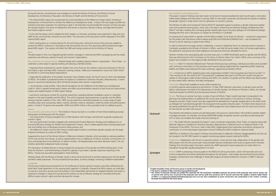level of national development planning through a multi-staketo raise public awareness and advocate for policies to address on women's poverty.

requested support to produce a gender responsive employtep in influencing the National Strategic Development Plan . ed trade issues into policy dialogue for the National Strategic MDGs in Cambodia.

s entitled 'A Fair Share for Women' – produced in preparation ID-Fair%20Share%20Mar05.htm) – was translated into

women's leadership forum on reducing women's poverty in s, was held; 64 senior leaders from civil society organizations, xecutive branches) attended the forum.

k part in a UNDP-World Bank panel on gender and the MDGs that of Women (New York, March 2005), and a summary of the ed at the same event.

Morking Group workshop; individual journalists were provided isures being implemented for engendering MDG reporting; supporting sensitization efforts.

hizations entitled 'Cómo te gustaría que fuera el mundo?"or It explained each goal in the Peruvian context and gave an DG. An e-bulletin on gender and the MDGs was disseminated

sia.org.

May, 2005 featured a discussion on gender issues and the Gender Equality, the Ministry of Women's Affairs, the Gender or of SILAKA.

**Refa**: Project results have been incorporated in the team pilot projects in the districts of Garissa, Muranga, the development of gender equality plans at the district level nment poverty reduction plans. The district level resource cenprogramme have helped ensure that the issues and concerns

n into account in government, UN and NGO activities related 6 budget recognizes women's priorities by eliminating the

counterpart organization, Flora Tristan, to organize along side Reproductivos a National Forum on Maternal Heath in the , helped government authorities and officers recognize the I fulfilling the MDGs related to maternal health.

tnerships to elaborate indicators disaggregated by sex that can ring progress toward meeting the MDGs.

rkers' issues and the close collaboration of the gender and national coordinators with access to government ministries. JNDP-sponsored impact assessment on trade reform to

Gs for UN country teams, which will have both print and the UN system. Case studies documenting the entry points, rojects are being finalized for inclusion in UNDP's resource

| During the seminar, the lead team was enlarged to include the Ministry of Finance, the Ministry of Social<br>Development, the Ministry of Education, the Ministry of Health and the Ministry of Environment.<br>. The national MDG report has incorporated the recommendations of the Millennium Project report 'Investing in<br>Development: A Practical Plan to Achieve the Millennium Development Goals'. A total of 29 new targets and 89 new<br>indicators have been proposed. For reporting on goal 3, the lead team recommended the inclusion of three new gen-<br>der equality targets in the areas of employment and access to resources, decision-making, and legal discrimination<br>and violence against women.<br>In line with the above, and to validate the draft chapters, six thematic workshops were organized in May and June<br>2005 by the concerned line ministries for each MDG. The outcomes of the discussions will be integrated in the 2005<br>national MDG report.<br>. Work is being done on a costing exercise for the next three years, taking into account the resources needed to<br>achieve the MDGs in Morocco in accordance with the priorities set out in the upcoming 2005 localized and engen-<br>dered MDG report. The outputs will reflect the GRB work being carried out by the Ministry of Finance.<br>Peru<br>The pilot project in Peru has integrated gender sensitive messages in national level MDG campaigning and has raised<br>awareness and advocacy capacity of youth and women's organizations.<br>Key activities and achievements Worked closely with a leading national women's organization - Flora Tristan - to<br>undertake a wide range of capacity building and advocacy oriented activities.<br>. Organized three workshops for women leaders from Lima, Piura (on the northern coast) and Huancayo (in the cen-<br>tral Andes) in April and May 2005. Produced a training module, 'Millennium Development Goals and Citizen Watch<br>for Women's Community Based Organizations'.<br>• Supported the publication of the bulletin Sumando Voces (Adding Voices), the fourth issue of which was dedicated<br>to MDGs. The bulletin is published by Mesa de Vigilancia Ciudadana en Derechos Sexuales y Reproductivos, a watch<br>group on sexual and reproductive rights formed by 26 grass-roots women's organizations.<br>. Commissioned a study entitled 'Policy Recommendations for the Fulfillment of the Millennium Development<br>Goals' <sup>*5</sup> , which is geared toward policy makers and offers recommendations relevant to both local and national-level<br>analysis and implementation of MDG report findings.<br>• Launched a small grants contest for university researchers, awarding selected candidates a grant to undertake<br>research in the area of gender and the MDGs. The call for proposals raised awareness on gender and the MDGs<br>among university students in Peru. Over 190 <sup>-6</sup> young researchers submitted proposals on a wide range of topics<br>including urban and rural poverty, labour markets, domestic violence, education, maternity health and political partici-<br>pation. A total of 10 grants were awarded. UNDP and UNFPA offices in Peru provided funds for additional grants. |                                     | Key activities and achievements<br>The project's research findings have been taken to the level of<br>holder policy dialogue that took place in January 2005 to rais<br>the gender impacts of trade reform and its implications on w<br>The Ministry of Labor and Vocational Training (MOLVT) requ<br>ment and vocational training policy, which was a first step in<br>MOLVT will take a leading role in bringing gender-related tra<br>Development Plan and in discussions on targets for the MDG<br>An existing set of policy briefs on gender and the MDGs enti<br>for this project (see http://www.unifem-eseasia.org/CMD-Fai<br>Khmer to use for advocacy in government offices.<br>In order to build and encourage women's leadership, a wom<br>Cambodia, presided by the Minister of Women's Affairs, wa<br>the parliament and government (both legislature and execut<br>Women ministers from participating pilot countries took part<br>that was held during the UN Commission on the Status of W<br>project was included in an inter-agency folder distributed at<br>Morocco: Main TV networks followed each Thematic Worki<br>with continuous information on the processes and measures<br>leaflets and folders were produced for every workshop, supp<br>Peru: A brochure on MDGs targeting grass-roots organization<br>'How would you like the world to be?' was produced. It expl<br>update on the progress made toward meeting each MDG. A<br>to mass media (radio, television and daily newspapers).<br>Cambodia: Policy briefs available at www.unifem-eseasia.or<br>A monthly national radio programme launched on 15 May, 2<br>MDGs, held between the Head of the Department of Gende<br>Technical Assistant to MOWA and the Executive Director of !<br>Kenya: The focus on women has had a number of spin-off<br>planning and implementation of additional UN country team<br>Bungoma and Ijara. Project results have also supported the d<br>as strategies for mainstreaming gender into local governmer<br>tres being established through the UN system's UNVIS progra |
|-----------------------------------------------------------------------------------------------------------------------------------------------------------------------------------------------------------------------------------------------------------------------------------------------------------------------------------------------------------------------------------------------------------------------------------------------------------------------------------------------------------------------------------------------------------------------------------------------------------------------------------------------------------------------------------------------------------------------------------------------------------------------------------------------------------------------------------------------------------------------------------------------------------------------------------------------------------------------------------------------------------------------------------------------------------------------------------------------------------------------------------------------------------------------------------------------------------------------------------------------------------------------------------------------------------------------------------------------------------------------------------------------------------------------------------------------------------------------------------------------------------------------------------------------------------------------------------------------------------------------------------------------------------------------------------------------------------------------------------------------------------------------------------------------------------------------------------------------------------------------------------------------------------------------------------------------------------------------------------------------------------------------------------------------------------------------------------------------------------------------------------------------------------------------------------------------------------------------------------------------------------------------------------------------------------------------------------------------------------------------------------------------------------------------------------------------------------------------------------------------------------------------------------------------------------------------------------------------------------------------------------------------------------------------------------------------------------------------------------------------------------------------------------------------------------------------------------------------------------------------------------------------------------------------------------------------------------------------------------------------------------------------------------------------------------------------------------------------------------------------------------------------------------------------------------------------------------------------------------------------------------------------------------------------------------|-------------------------------------|-----------------------------------------------------------------------------------------------------------------------------------------------------------------------------------------------------------------------------------------------------------------------------------------------------------------------------------------------------------------------------------------------------------------------------------------------------------------------------------------------------------------------------------------------------------------------------------------------------------------------------------------------------------------------------------------------------------------------------------------------------------------------------------------------------------------------------------------------------------------------------------------------------------------------------------------------------------------------------------------------------------------------------------------------------------------------------------------------------------------------------------------------------------------------------------------------------------------------------------------------------------------------------------------------------------------------------------------------------------------------------------------------------------------------------------------------------------------------------------------------------------------------------------------------------------------------------------------------------------------------------------------------------------------------------------------------------------------------------------------------------------------------------------------------------------------------------------------------------------------------------------------------------------------------------------------------------------------------------------------------------------------------------------------------------------------------------------------------|
| Kenya<br>Key activities and achievements The initiative in Kenya has built on a number of inter-linked enabling processes<br>taking place simultaneously with this project:<br>1. the Government of Kenya emerged from its 2002 elections with stronger commitments to gender equality and<br>women's rights;<br>2. the new government has been engaged with reviewing the Poverty Reduction Strategy and modifying it to an<br>Economic Recovery Strategy for Wealth and Employment Creation, which created opportunities to bring project part-<br>ners and findings into a mainstream economic policy process; and<br>3. the Millennium Project and the UN in Kenya created opportunities to mainstream gender equality into the larger<br>analytical framework as a pilot for MDG costing.<br>Supported the launch of the African Women's Millennium Initiative in Nairobi, which provided an advocacy platform<br>for 50 rural women from Kenya, as well as representation from an additional 10 African countries, to bring their con-<br>cerns and perspectives to the attention of cabinet ministers, UN representatives and other decision-makers. The con-<br>sultation generated widespread media coverage.<br>The Association of Media Women in Kenya finalized the production of the gender and MDG briefing pack ('A Fair<br>Share for Women'), and held briefings to build the capacity of journalists in gender responsive reporting of the<br>MDGs. Twenty-two journalists participated in these briefings.<br>Worked closely with the Ministry of Gender, Sports Culture and Social Services to provide ongoing input into the gender<br>and MDG needs assessment. This has involved technical advice, as well as strategic convening of different stakeholders.<br><b>Cambodia</b>                                                                                                                                                                                                                                                                                                                                                                                                                                                                                                                                                                                                                                                                                                                                                                                                                                                                                                                                                                                                                                                                                                                                                                                                                                                                                                                                                                                                                                                                                                     | <b>Outreach</b><br><b>Synergies</b> | of rural women are taken into account.<br>The priorities articulated by women are also being taken into<br>to budget processes. For example, the Kenya 2005/2006 bu<br>VAT on basic commodities like mealie meal and cooking oil.<br>Peru: The Health Ministry requested the project's main coun<br>Mesa de Vigilancia Ciudadana en Derechos Sexuales y Repro<br>framework of the MDGs. The forum, held in May 2005, help<br>contribution of community-based organizations toward fulfil<br>UNDP Peru is building on the project's findings and partnersh<br>be included in the DEV INFO system to support monitoring p<br>Cambodia: Collaboration with the ILO on garment workers'<br>MDG project with the UN country team have provided natio<br>Findings from the pilot project have been used by the UNDP-<br>strengthen the gender equality perspective in its work.<br>Global: UNDP is producing a how-to guide on the MDGs fo<br>on-line components and will be distributed throughout the U<br>strategies, achievements and challenges in these pilot project<br>material.                                                                                                                                                                                                                                                                                                                                                                                                                                                                                                                                                                                                                                                                                                                                                                                                                                                                                                                                                                                                            |
| Put the issue of planning and protection for the livelihoods of women garment workers and others affected by the<br>Multi-Fibre Trade Agreement on the national policy agenda in Cambodia. Showed that MDG analysis can shed light<br>on women's economic security and that building a multi-stakeholder partnership for targeted attention and action in<br>response to changes in trade and macroeconomic policies can be an effective strategy for concretely linking the                                                                                                                                                                                                                                                                                                                                                                                                                                                                                                                                                                                                                                                                                                                                                                                                                                                                                                                                                                                                                                                                                                                                                                                                                                                                                                                                                                                                                                                                                                                                                                                                                                                                                                                                                                                                                                                                                                                                                                                                                                                                                                                                                                                                                                                                                                                                                                                                                                                                                                                                                                                                                                                                                                                                                                                                                              |                                     | *4 English translation: Study and Research group on Gender and Development.<br>*5 The report is available at: http://www.flora.org.pe/pdfs/jennuy.pdf<br>* <sup>6</sup> The volume of proposals received was greater than expected with 192 researchers submitting<br>pt were sent by men 42 percent of the proposals were sent by youth from provinces                                                                                                                                                                                                                                                                                                                                                                                                                                                                                                                                                                                                                                                                                                                                                                                                                                                                                                                                                                                                                                                                                                                                                                                                                                                                                                                                                                                                                                                                                                                                                                                                                                                                                                                                       |

MDGs to poor women's rights and their demands for change.

 $m$  *The proposals (53 percent of the proposals were sent by women and* **47 percent were sent by men. 43 percent of the proposals were sent by youth from provinces and 57 percent came from the capital). A network called Friends** 

**of MDG's or amigasoslosobjetivosdelmilenio@groups.msn.com has been established by junior researchers who participated in the contest. Currently, 60 people have joined the discussion group.**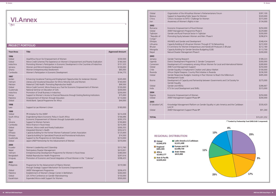**48 JWID Fund 2005 Annual Report**

| <b>PROJECT PORTFOLIO</b>                                                                                                        |                                                                                                                                                                                                                                                                                                                                                                                                                                                                                                                                                                         |                                                                                                                                            |  |  |
|---------------------------------------------------------------------------------------------------------------------------------|-------------------------------------------------------------------------------------------------------------------------------------------------------------------------------------------------------------------------------------------------------------------------------------------------------------------------------------------------------------------------------------------------------------------------------------------------------------------------------------------------------------------------------------------------------------------------|--------------------------------------------------------------------------------------------------------------------------------------------|--|--|
| Year/Area                                                                                                                       | <b>Title</b>                                                                                                                                                                                                                                                                                                                                                                                                                                                                                                                                                            | <b>Approved Amount</b>                                                                                                                     |  |  |
| 1996<br>Global<br>Global<br>Indochina<br>Jamaica<br>Ghana<br>Cambodia                                                           | Asia/Africa Forum for Empowerment of Women<br>Micro-Credit Schemes: The Experience on Women's Empowerment and Poverty Eradication<br>Promoting Women's Participation in Economic Development in the Countries of Indochina<br>Women and Micro-Enterprise Development<br>Women Entrepreneurship Develoment<br>Women's Participation in Economic Development                                                                                                                                                                                                              | \$330,500<br>\$180,500<br>\$151,525<br>\$100,000<br>\$85,000<br>\$194,775                                                                  |  |  |
| 1997<br>Jordan<br>Vietnam<br>Pakistan<br>Global<br>Guatemala<br>Indochina<br>Kenya<br>Palestine<br>Global                       | Enhancing Vocational Training and Employment Opportunities for Jordanian Women<br>Literacy and Vocational Education for Ethnic Minority Girls and Women<br>Maternal Child Health: Promoting Reproductive Health<br>Micro-Credit Summit: Micro-finance as a Tool for Economic Empowerment of Women<br>National Seminar on Education of Girls<br>Promotion of Small Business in Indochina<br>Support to Women's Access to Financial Resources through Existing Banking Institutions<br>Empowerment of Women through Education<br>World Bank: Special Programme for Africa | \$245,000<br>\$160,000<br>\$99,500<br>\$100,000<br>\$200,000<br>\$200,000<br>\$75,000<br>\$110,000<br>\$44,000                             |  |  |
| 1998<br>Laos                                                                                                                    | Support to Lao Women's Union                                                                                                                                                                                                                                                                                                                                                                                                                                                                                                                                            | \$180,000                                                                                                                                  |  |  |
| 1999<br>Global<br>South Africa<br>Fiji<br>Ukraine<br>Cambodia<br>Global<br>Egypt<br>Ethiopia<br>Ethiopia<br>Guatemala<br>Global | PR Initiative for the JWIDF<br>Engendering Macro Economic Policy in South Africa<br>Economic Empowerment of Women through Sustainable Livelihoods<br>Support to Women Farmers<br>Micro-finance in Rural Areas<br>Women, Micro-credit and Povety Eradication<br>Integrated Women's Health<br>Capacity-building for the Former Women Fuelwood Carriers Association<br>Capacity-building for Specialized Financial and Promotional Institutions<br>Support to the Programme on Girls Education<br>Japan-UNDP Partnership for the Advancement of Women                      | \$214,438<br>\$166,696<br>\$293,370<br>\$190,800<br>\$210,300<br>\$300,355<br>\$352,673<br>\$125,600<br>\$74,500<br>\$310,000<br>\$370,000 |  |  |
| 2000<br>Ecuador<br>Nepal<br>Vietnam<br>Bangladesh<br>Uruguay                                                                    | Women's Leadership and Citizenship<br>Participatory Disaster Management<br>Entrepreneurship Development Programme for Women in Rural Areas<br>Matlab Reproductive Health Programme<br>Promotion of Economic and Social Integration of Rural Women in the "Colonias"                                                                                                                                                                                                                                                                                                     | \$313,760<br>\$410,001<br>\$380,000<br>\$297,616<br>\$398,425                                                                              |  |  |
| 2001<br>Philippines<br>Global<br>Palestine<br>Global<br>Kazakhstan                                                              | Programme for the Advancement of Filipino Women<br>through Strategic Support Mechanism for Economic Empowerment<br>JWIDF Management Programme<br>Establishment of Women's Design Center in Bethlehem<br>LDC III Pre-Conference on Gender Mainstreaming<br>Expanded Micro-credit Support for Women                                                                                                                                                                                                                                                                       | \$319,580<br>\$206,470<br>\$260,000<br>\$150,000<br>\$500,000                                                                              |  |  |

| <b>□ Global</b>                            | <b>■ Latin America &amp; Caribbean</b> |
|--------------------------------------------|----------------------------------------|
| \$3,845,970                                | \$1,611,408                            |
| $\blacksquare$ Regional                    | Europe and CIS                         |
| \$681,945                                  | \$2,008,730                            |
| $\Box$ Africa                              | □ Arab States                          |
| \$2,603,177                                | \$615,000                              |
| <b>■ Asia &amp; Pacific</b><br>\$3,835,022 |                                        |

#### **REGIONAL DISTRIBUTION**

| <b>VI.Annex</b> |
|-----------------|
|                 |

| 2002<br>Economic Empowerment of Rural Women<br>\$250,000<br>Romania<br>Global<br>JWIDF Management Programme Phase II<br>\$229,680<br>Gender and Rural Financial Sector in Tajikistan<br>\$200,000<br>Tajikistan<br>"Republic of<br>Promoting Equity between Women and Men: Phase II<br>\$298,874<br>Congo"<br>Ethiopia<br>HIV/AIDS and Gender and Development<br>\$348,434<br>Lithuania<br>Capacity Building of Lithuanian Women Through ICT & Networking<br>\$272,930<br>E-Commerce for Women Entrepreneurs and Handicraft Producers in Bhutan<br><b>Bhutan</b><br>\$212,180<br>Capacity Building for Gender-Sensitive Budgeting (GSB)<br>\$113,700<br>Mongolia<br>Natural Disaster Management Phase II<br>Nepal<br>\$200,000<br>2003<br>\$189,223<br>Jamaica<br>Gender Training Research<br>District Development Programme 2: Gender Component<br>Uganda<br>\$300,000<br>Development of E-competency among African Women for Local and International Market<br>\$289,900<br>Cameroon<br>JWID Fund Management Support<br>Global<br>\$250,000<br>Chile<br>Gender Equality in Employment Creation and Labour Market<br>\$100,000<br>African Digital Diaspora: Country Pilot Initiative in Rwanda<br>\$236,500<br>Rwanda<br>Gender Responsive Budgets: Investing in Poor Women to Reach the Millennium<br>Global<br>\$495,000<br>Development Goals<br>Development of Capacity and Partnership between Governments and Civil Society for<br>\$275,000<br><b>Bosnia</b><br><b>Gender Equality</b><br>Gender and MDGs<br>Global<br>\$286,667<br>ICTs for Local Development and SMEs<br>India<br>\$315,000<br>2004<br>Economic Empowerment of Women<br>\$250,000<br>Nigeria<br>JWIDF Management Support Phase III*1<br>\$200,000<br>Global<br>2005<br>El Salvador/LAC<br>Knowledge Management Platform on Gender Equality in Latin America and the Caribbean<br>\$330,420<br>$(LAC)*1$<br>Global<br>JWIDF Management Support Phase III*1<br>\$91,260 | Global<br><b>Belarus</b><br>China<br><b>Iran</b> | Organization of the Africa/Asia Women's Parliamentarians Forum<br>Support to Expanding Public Space for Women<br>China's Accession to WTO: Challenge for Women<br>Awareness of Women's Rights in Iran | \$397,100<br>\$320,000<br>\$315,000<br>\$134,000 |
|------------------------------------------------------------------------------------------------------------------------------------------------------------------------------------------------------------------------------------------------------------------------------------------------------------------------------------------------------------------------------------------------------------------------------------------------------------------------------------------------------------------------------------------------------------------------------------------------------------------------------------------------------------------------------------------------------------------------------------------------------------------------------------------------------------------------------------------------------------------------------------------------------------------------------------------------------------------------------------------------------------------------------------------------------------------------------------------------------------------------------------------------------------------------------------------------------------------------------------------------------------------------------------------------------------------------------------------------------------------------------------------------------------------------------------------------------------------------------------------------------------------------------------------------------------------------------------------------------------------------------------------------------------------------------------------------------------------------------------------------------------------------------------------------------------------------------------------------------------------------------------------------------------------------------------------------|--------------------------------------------------|-------------------------------------------------------------------------------------------------------------------------------------------------------------------------------------------------------|--------------------------------------------------|
|                                                                                                                                                                                                                                                                                                                                                                                                                                                                                                                                                                                                                                                                                                                                                                                                                                                                                                                                                                                                                                                                                                                                                                                                                                                                                                                                                                                                                                                                                                                                                                                                                                                                                                                                                                                                                                                                                                                                                |                                                  |                                                                                                                                                                                                       |                                                  |
|                                                                                                                                                                                                                                                                                                                                                                                                                                                                                                                                                                                                                                                                                                                                                                                                                                                                                                                                                                                                                                                                                                                                                                                                                                                                                                                                                                                                                                                                                                                                                                                                                                                                                                                                                                                                                                                                                                                                                |                                                  |                                                                                                                                                                                                       |                                                  |
|                                                                                                                                                                                                                                                                                                                                                                                                                                                                                                                                                                                                                                                                                                                                                                                                                                                                                                                                                                                                                                                                                                                                                                                                                                                                                                                                                                                                                                                                                                                                                                                                                                                                                                                                                                                                                                                                                                                                                |                                                  |                                                                                                                                                                                                       |                                                  |
|                                                                                                                                                                                                                                                                                                                                                                                                                                                                                                                                                                                                                                                                                                                                                                                                                                                                                                                                                                                                                                                                                                                                                                                                                                                                                                                                                                                                                                                                                                                                                                                                                                                                                                                                                                                                                                                                                                                                                |                                                  |                                                                                                                                                                                                       |                                                  |
| *1 Funded by Partnership Fund (WID/GAD Component)                                                                                                                                                                                                                                                                                                                                                                                                                                                                                                                                                                                                                                                                                                                                                                                                                                                                                                                                                                                                                                                                                                                                                                                                                                                                                                                                                                                                                                                                                                                                                                                                                                                                                                                                                                                                                                                                                              | <b>TOTAL</b>                                     |                                                                                                                                                                                                       | \$15,201,252                                     |



**11%**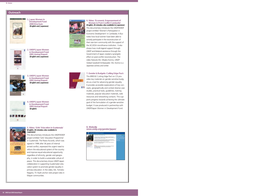#### **Outreach**

#### **5. Video: 'Girls' Education in Guatemala'**  *(English, 26 minutes; also available in Japanese)*

This documentary introduces the UNDP/JWIDF project entitled 'Girls' Education Programme' in Guatemala. The Peace Accords, which was signed in 1996 after 36 years of internal armed conflict, expressed the urgent need to reform the educational system of the country and improve equal educational opportunity regardless of ethnicity, gender and geography, in order to build a sustainable culture of peace. This documentary shows UNDP-Japan collaboration in supporting Guatemalan education system to promote gender equality in primary education. In the video, Ms. Tomoko Nagano, TV Asahi anchor visits project sites in Mayan communities.



#### **8. Website www.undp.org/gender/japan/**





**1. Japan Women in Development Fund 2000 Brochure** *(English and Japanese)*



**2. UNDP/Japan Women in Development Fund 2001 Annual Report**  *(English and Japanese)*

**3. UNDP/Japan Women in Development Fund 2002 Annual Report** 



*(English and Japanese)*



**4. UNDP/Japan Women in Development Fund 2003 Annual Report** *(English)*

## 装置配置的

1043 Annual Report



**6. Video: 'Economic Empowerment of Women in Post-Conflict Cambodia'** *(English, 26 minutes; also available in Japanese)* This documentary introduces the UNDP/JWIDF project entitled 'Women's Participation in Economic Development' in Cambodia. It illustrates how local women have been able to actively participate in the reconstruction of their war-torn community with the support of the ACLEDA microfinance institution. It also shows how multi-lageral support through UNDP and bilateral assistance through the Government of Japan created a synergetic effect on post-conflict reconstruction. The video features Ms. Misako Konno, UNDP Global Goodwill Ambassador. Ms. Konno is a Japanese actress and writer.



#### **7. Gender & Budgets: Cutting Edge Pack**  This BRIDGE Cutting Edge Pact on CD pro-

vides key materials on gender-sensitive budgets as a tool for advancing gender equality. It provides accessible explanations of key con-**E** cepts, geographically and context diverse case studies, practical tools, guidelines, training materials, popular education materials, web resources and networking contacts. This supports progress towards achieving the ultimate goal of the formulation of a gender-sensitive budget. It was produced in partnership with UNDP/Japan Women in Development Fund.